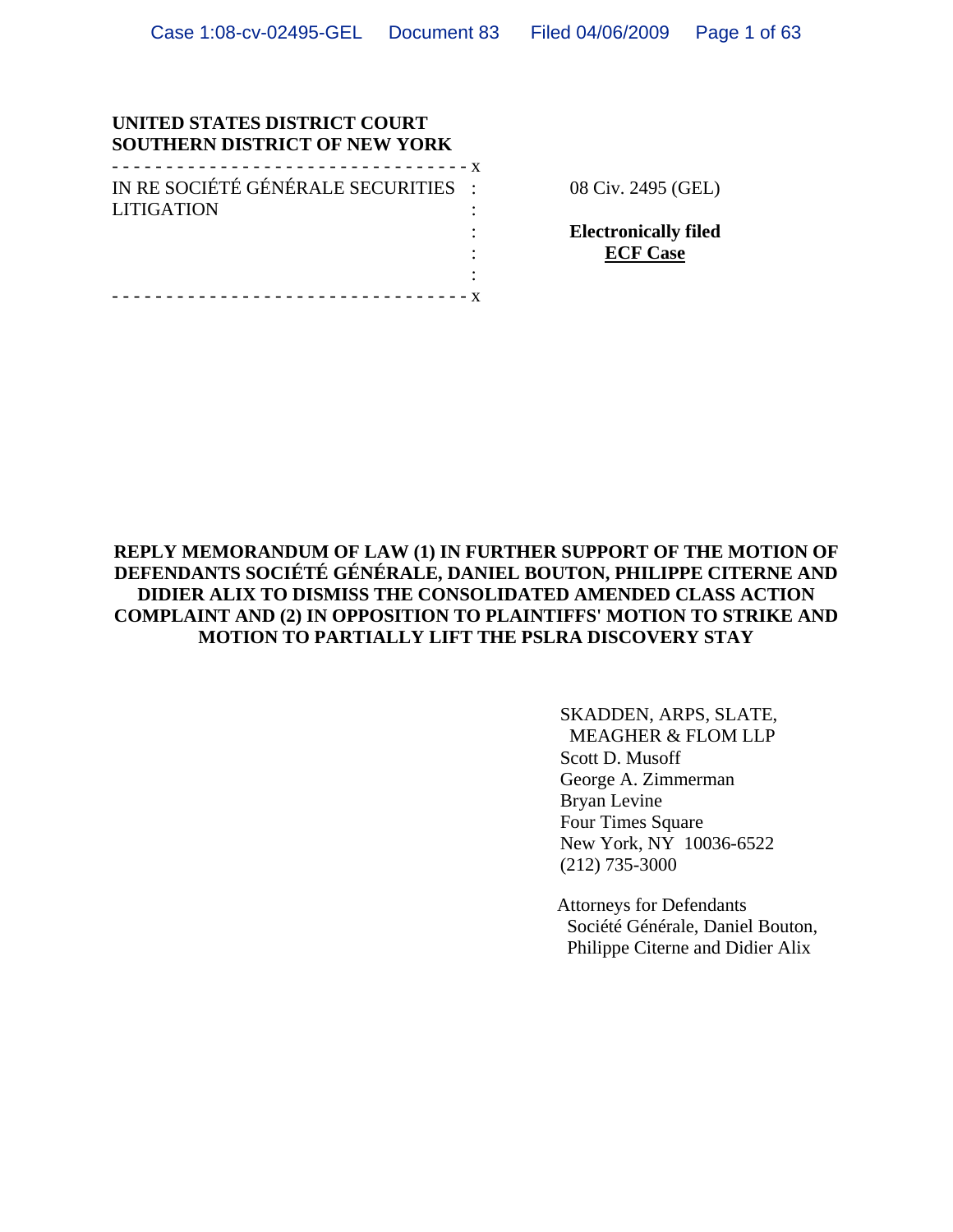#### **UNITED STATES DISTRICT COURT SOUTHERN DISTRICT OF NEW YORK**

| IN RE SOCIÉTÉ GÉNÉRALE SECURITIES : |  |
|-------------------------------------|--|
| <b>LITIGATION</b>                   |  |
|                                     |  |
|                                     |  |
|                                     |  |

- - - - - - - - - - - - - - - - - - - - - - - - - - - - - - - - - x

08 Civ. 2495 (GEL)

**Electronically filed ECF Case**

### **REPLY MEMORANDUM OF LAW (1) IN FURTHER SUPPORT OF THE MOTION OF DEFENDANTS SOCIÉTÉ GÉNÉRALE, DANIEL BOUTON, PHILIPPE CITERNE AND DIDIER ALIX TO DISMISS THE CONSOLIDATED AMENDED CLASS ACTION COMPLAINT AND (2) IN OPPOSITION TO PLAINTIFFS' MOTION TO STRIKE AND MOTION TO PARTIALLY LIFT THE PSLRA DISCOVERY STAY**

SKADDEN, ARPS, SLATE, MEAGHER & FLOM LLP Scott D. Musoff George A. Zimmerman Bryan Levine Four Times Square New York, NY 10036-6522 (212) 735-3000

Attorneys for Defendants Société Générale, Daniel Bouton, Philippe Citerne and Didier Alix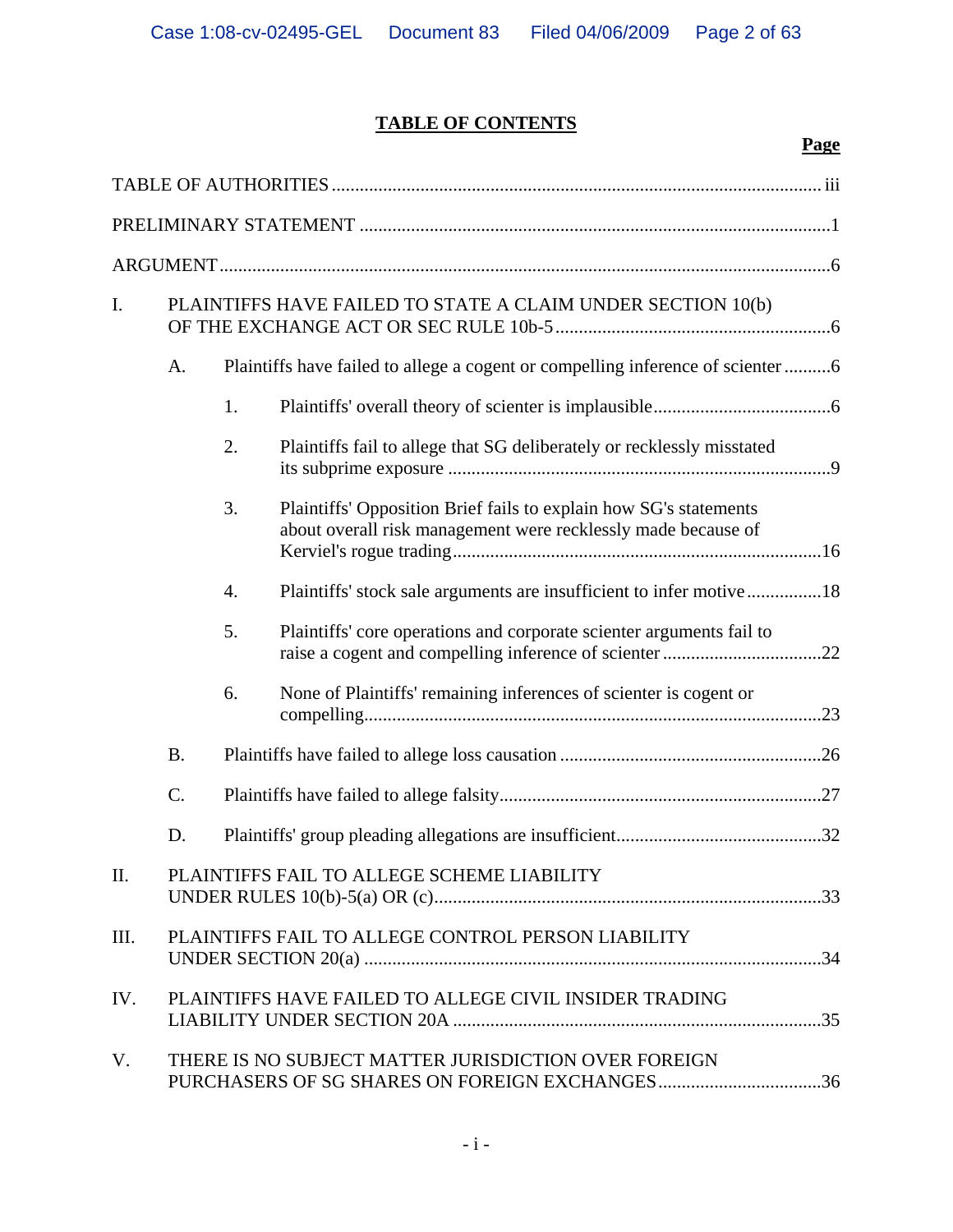# **TABLE OF CONTENTS**

|      |           |    |                                                                                                                                    | <b>Page</b> |
|------|-----------|----|------------------------------------------------------------------------------------------------------------------------------------|-------------|
|      |           |    |                                                                                                                                    |             |
|      |           |    |                                                                                                                                    |             |
|      |           |    |                                                                                                                                    |             |
| I.   |           |    | PLAINTIFFS HAVE FAILED TO STATE A CLAIM UNDER SECTION 10(b)                                                                        |             |
|      | A.        |    |                                                                                                                                    |             |
|      |           | 1. |                                                                                                                                    |             |
|      |           | 2. | Plaintiffs fail to allege that SG deliberately or recklessly misstated                                                             |             |
|      |           | 3. | Plaintiffs' Opposition Brief fails to explain how SG's statements<br>about overall risk management were recklessly made because of |             |
|      |           | 4. | Plaintiffs' stock sale arguments are insufficient to infer motive18                                                                |             |
|      |           | 5. | Plaintiffs' core operations and corporate scienter arguments fail to                                                               |             |
|      |           | 6. | None of Plaintiffs' remaining inferences of scienter is cogent or                                                                  |             |
|      | <b>B.</b> |    |                                                                                                                                    |             |
|      | C.        |    |                                                                                                                                    |             |
|      | D.        |    |                                                                                                                                    |             |
| II.  |           |    | PLAINTIFFS FAIL TO ALLEGE SCHEME LIABILITY                                                                                         |             |
| III. |           |    | PLAINTIFFS FAIL TO ALLEGE CONTROL PERSON LIABILITY                                                                                 |             |
| IV.  |           |    | PLAINTIFFS HAVE FAILED TO ALLEGE CIVIL INSIDER TRADING                                                                             |             |
| V.   |           |    | THERE IS NO SUBJECT MATTER JURISDICTION OVER FOREIGN<br>PURCHASERS OF SG SHARES ON FOREIGN EXCHANGES36                             |             |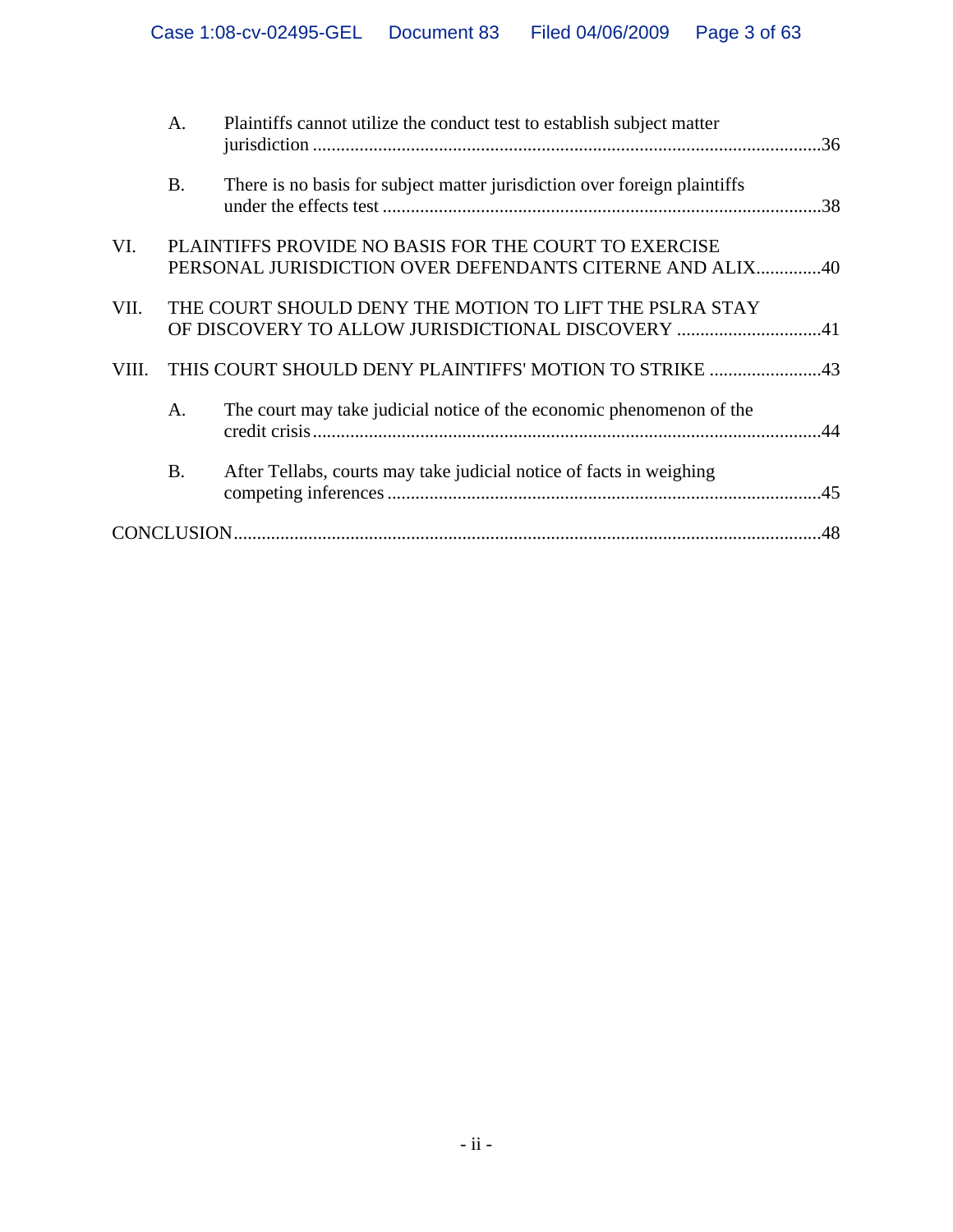|       | A.        | Plaintiffs cannot utilize the conduct test to establish subject matter                                            |  |
|-------|-----------|-------------------------------------------------------------------------------------------------------------------|--|
|       | <b>B.</b> | There is no basis for subject matter jurisdiction over foreign plaintiffs                                         |  |
| VI.   |           | PLAINTIFFS PROVIDE NO BASIS FOR THE COURT TO EXERCISE<br>PERSONAL JURISDICTION OVER DEFENDANTS CITERNE AND ALIX40 |  |
| VII.  |           | THE COURT SHOULD DENY THE MOTION TO LIFT THE PSLRA STAY<br>OF DISCOVERY TO ALLOW JURISDICTIONAL DISCOVERY 41      |  |
| VIII. |           |                                                                                                                   |  |
|       | A.        | The court may take judicial notice of the economic phenomenon of the                                              |  |
|       | <b>B.</b> | After Tellabs, courts may take judicial notice of facts in weighing                                               |  |
|       |           |                                                                                                                   |  |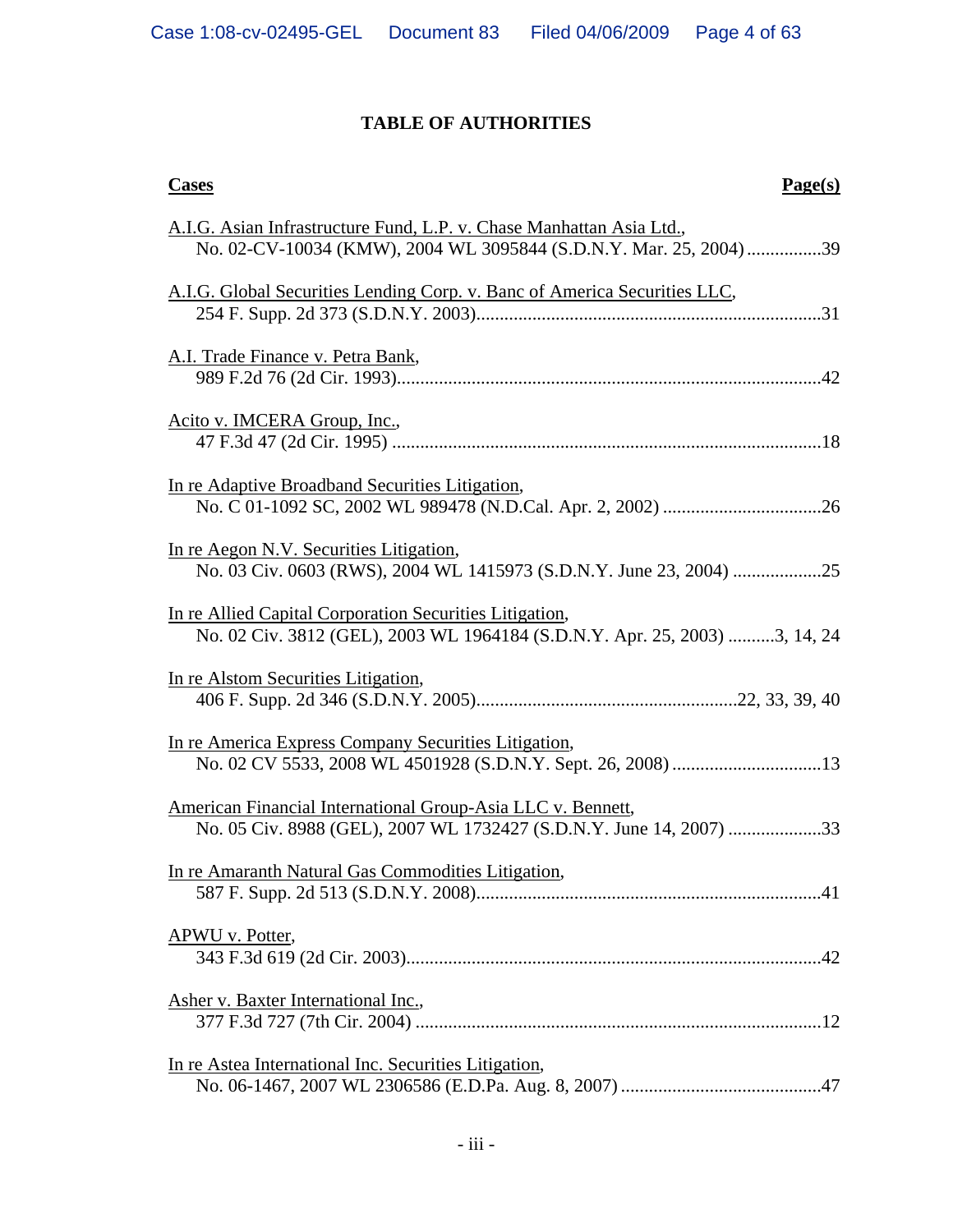# **TABLE OF AUTHORITIES**

| Page(s)<br><b>Cases</b>                                                                                                                    |
|--------------------------------------------------------------------------------------------------------------------------------------------|
| A.I.G. Asian Infrastructure Fund, L.P. v. Chase Manhattan Asia Ltd.,<br>No. 02-CV-10034 (KMW), 2004 WL 3095844 (S.D.N.Y. Mar. 25, 2004) 39 |
| A.I.G. Global Securities Lending Corp. v. Banc of America Securities LLC,                                                                  |
| A.I. Trade Finance v. Petra Bank,                                                                                                          |
| Acito v. IMCERA Group, Inc.,                                                                                                               |
| In re Adaptive Broadband Securities Litigation,                                                                                            |
| In re Aegon N.V. Securities Litigation,                                                                                                    |
| In re Allied Capital Corporation Securities Litigation,<br>No. 02 Civ. 3812 (GEL), 2003 WL 1964184 (S.D.N.Y. Apr. 25, 2003) 3, 14, 24      |
| In re Alstom Securities Litigation,                                                                                                        |
| In re America Express Company Securities Litigation,                                                                                       |
| American Financial International Group-Asia LLC v. Bennett,<br>No. 05 Civ. 8988 (GEL), 2007 WL 1732427 (S.D.N.Y. June 14, 2007) 33         |
| In re Amaranth Natural Gas Commodities Litigation,                                                                                         |
| APWU v. Potter,                                                                                                                            |
| Asher v. Baxter International Inc.,                                                                                                        |
| In re Astea International Inc. Securities Litigation,                                                                                      |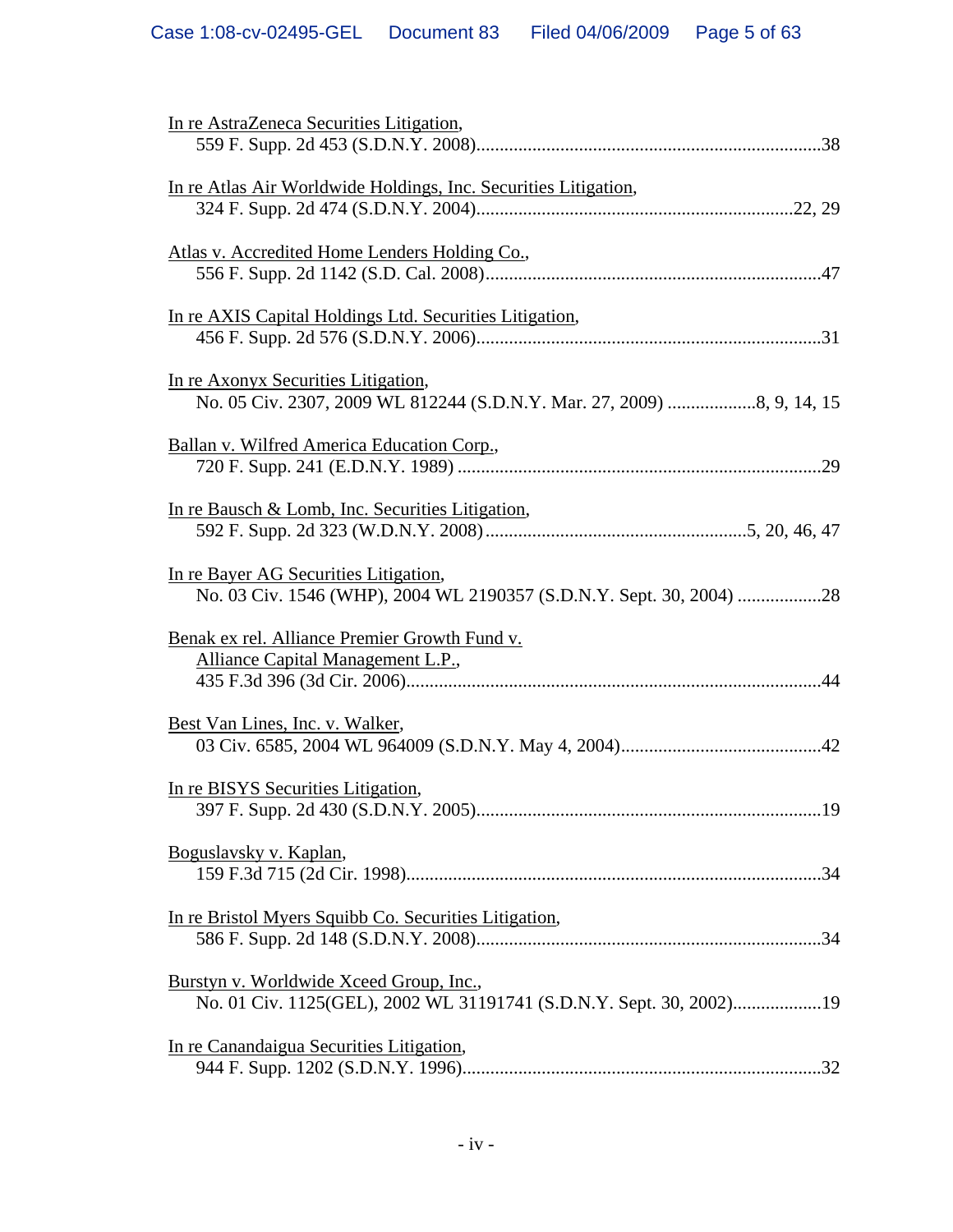| In re AstraZeneca Securities Litigation,                                                                       |
|----------------------------------------------------------------------------------------------------------------|
| In re Atlas Air Worldwide Holdings, Inc. Securities Litigation,                                                |
| Atlas v. Accredited Home Lenders Holding Co.,                                                                  |
| In re AXIS Capital Holdings Ltd. Securities Litigation,                                                        |
| In re Axonyx Securities Litigation,                                                                            |
| Ballan v. Wilfred America Education Corp.,                                                                     |
| In re Bausch & Lomb, Inc. Securities Litigation,                                                               |
| In re Bayer AG Securities Litigation,                                                                          |
| Benak ex rel. Alliance Premier Growth Fund v.<br>Alliance Capital Management L.P.,                             |
| Best Van Lines, Inc. v. Walker,                                                                                |
| In re BISYS Securities Litigation,<br>.19                                                                      |
| Boguslavsky v. Kaplan,                                                                                         |
| In re Bristol Myers Squibb Co. Securities Litigation,                                                          |
| Burstyn v. Worldwide Xceed Group, Inc.,<br>No. 01 Civ. 1125(GEL), 2002 WL 31191741 (S.D.N.Y. Sept. 30, 2002)19 |
| In re Canandaigua Securities Litigation,                                                                       |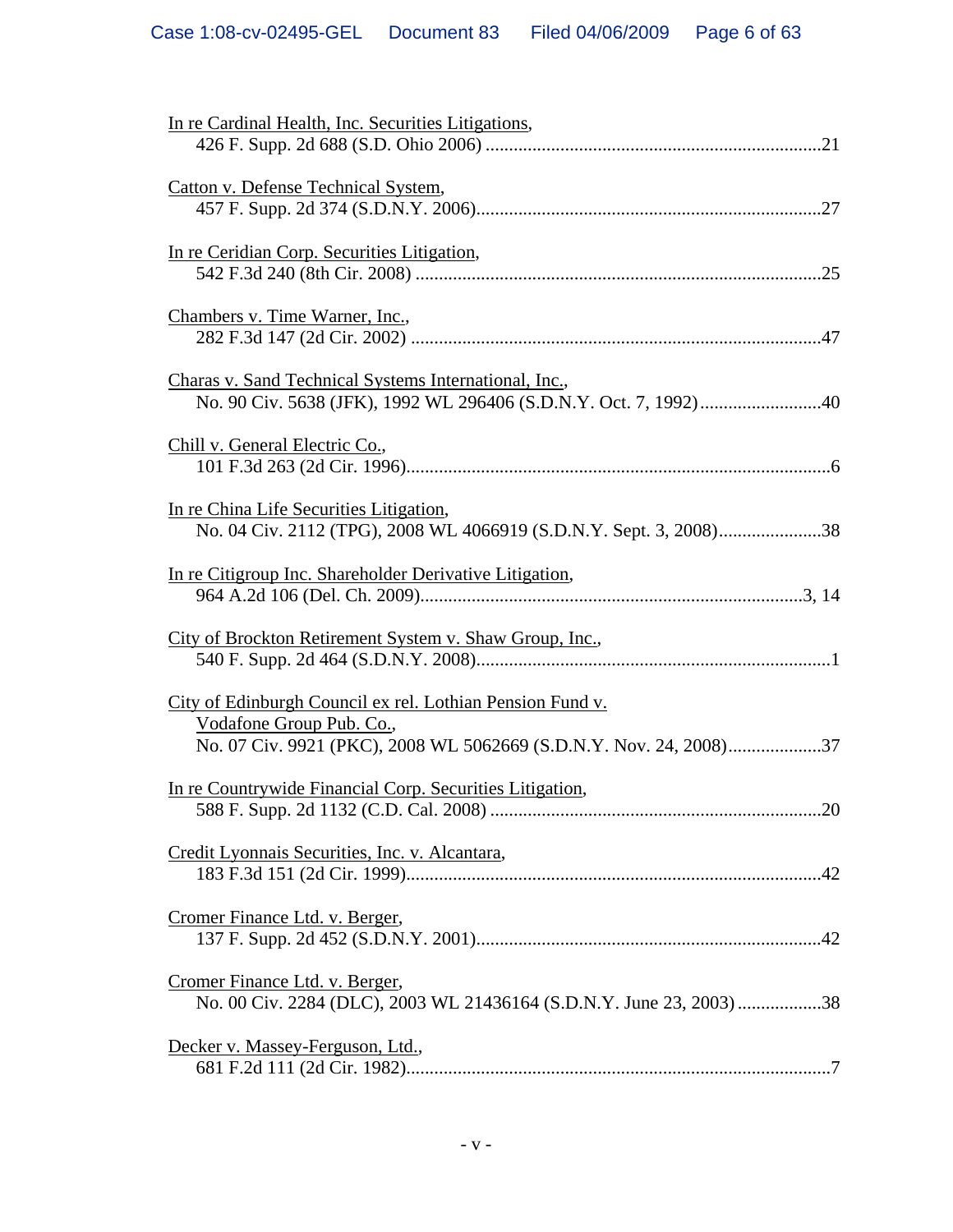| In re Cardinal Health, Inc. Securities Litigations,                                                                            |
|--------------------------------------------------------------------------------------------------------------------------------|
| Catton v. Defense Technical System,                                                                                            |
| In re Ceridian Corp. Securities Litigation,                                                                                    |
| Chambers v. Time Warner, Inc.,                                                                                                 |
| Charas v. Sand Technical Systems International, Inc.,                                                                          |
| Chill v. General Electric Co.,                                                                                                 |
| In re China Life Securities Litigation,                                                                                        |
| In re Citigroup Inc. Shareholder Derivative Litigation,                                                                        |
| City of Brockton Retirement System v. Shaw Group, Inc.,                                                                        |
| City of Edinburgh Council ex rel. Lothian Pension Fund v.<br>Vodafone Group Pub. Co.,                                          |
| No. 07 Civ. 9921 (PKC), 2008 WL 5062669 (S.D.N.Y. Nov. 24, 2008)37<br>In re Countrywide Financial Corp. Securities Litigation, |
| Credit Lyonnais Securities, Inc. v. Alcantara,                                                                                 |
| Cromer Finance Ltd. v. Berger,                                                                                                 |
| Cromer Finance Ltd. v. Berger,<br>No. 00 Civ. 2284 (DLC), 2003 WL 21436164 (S.D.N.Y. June 23, 2003) 38                         |
| Decker v. Massey-Ferguson, Ltd.,                                                                                               |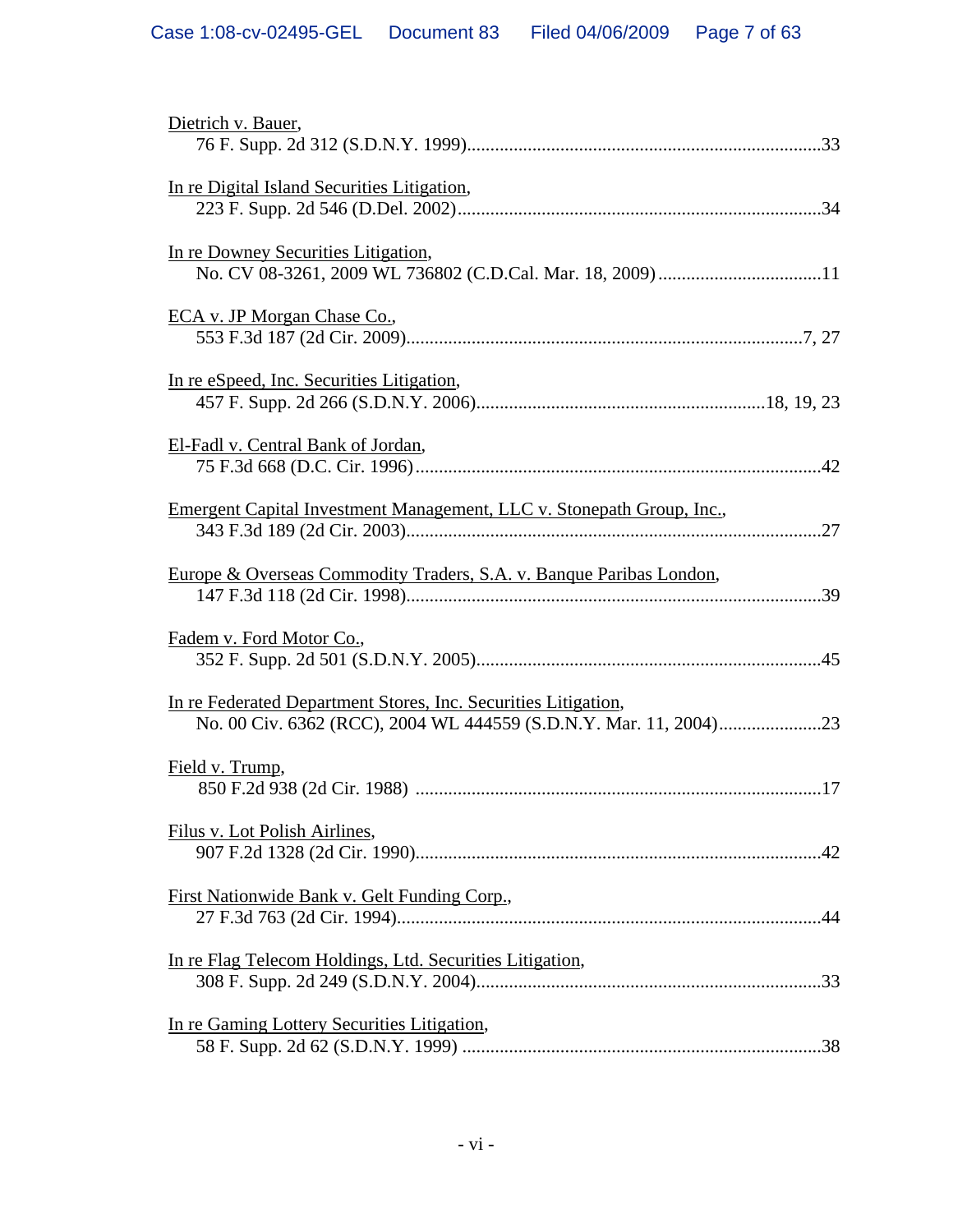| Dietrich v. Bauer,                                                    |
|-----------------------------------------------------------------------|
| In re Digital Island Securities Litigation,                           |
| In re Downey Securities Litigation,                                   |
| ECA v. JP Morgan Chase Co.,                                           |
| In re eSpeed, Inc. Securities Litigation,                             |
| El-Fadl v. Central Bank of Jordan,                                    |
| Emergent Capital Investment Management, LLC v. Stonepath Group, Inc., |
| Europe & Overseas Commodity Traders, S.A. v. Banque Paribas London,   |
| Fadem v. Ford Motor Co.,                                              |
| In re Federated Department Stores, Inc. Securities Litigation,        |
| Field v. Trump,                                                       |
| Filus v. Lot Polish Airlines,                                         |
| First Nationwide Bank v. Gelt Funding Corp.,                          |
| In re Flag Telecom Holdings, Ltd. Securities Litigation,              |
| In re Gaming Lottery Securities Litigation,                           |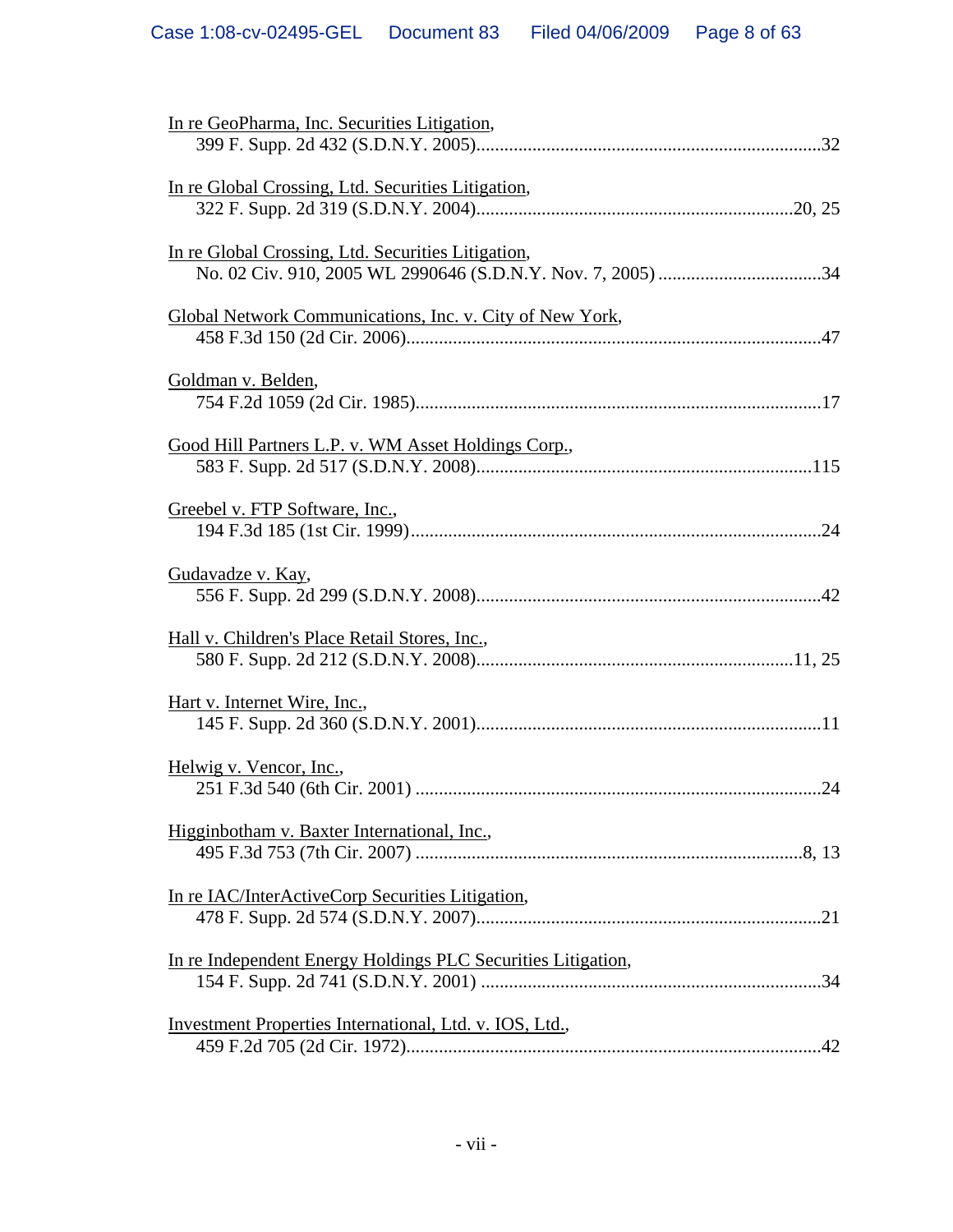| In re GeoPharma, Inc. Securities Litigation,                 |
|--------------------------------------------------------------|
| In re Global Crossing, Ltd. Securities Litigation,           |
| In re Global Crossing, Ltd. Securities Litigation,           |
| Global Network Communications, Inc. v. City of New York,     |
| Goldman v. Belden,                                           |
| Good Hill Partners L.P. v. WM Asset Holdings Corp.,          |
| Greebel v. FTP Software, Inc.,                               |
| Gudavadze v. Kay,                                            |
| Hall v. Children's Place Retail Stores, Inc.,                |
| Hart v. Internet Wire, Inc.,                                 |
| Helwig v. Vencor, Inc.,                                      |
| Higginbotham v. Baxter International, Inc.,                  |
| In re IAC/InterActiveCorp Securities Litigation,             |
| In re Independent Energy Holdings PLC Securities Litigation, |
| Investment Properties International, Ltd. v. IOS, Ltd.,      |
|                                                              |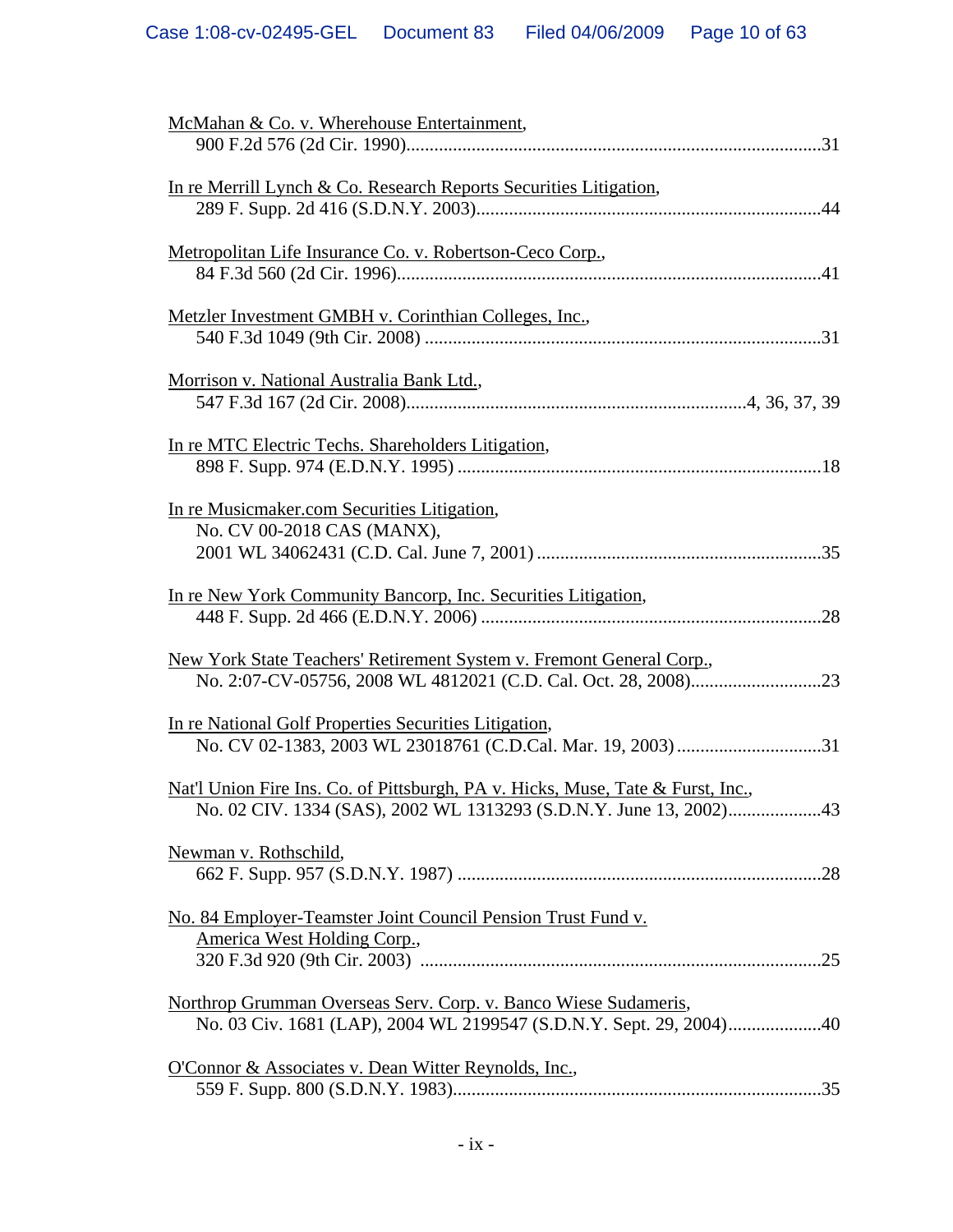| McMahan & Co. v. Wherehouse Entertainment,                                                 |
|--------------------------------------------------------------------------------------------|
|                                                                                            |
| In re Merrill Lynch & Co. Research Reports Securities Litigation,                          |
|                                                                                            |
| Metropolitan Life Insurance Co. v. Robertson-Ceco Corp.,                                   |
|                                                                                            |
| Metzler Investment GMBH v. Corinthian Colleges, Inc.,                                      |
|                                                                                            |
| Morrison v. National Australia Bank Ltd.,                                                  |
|                                                                                            |
| In re MTC Electric Techs. Shareholders Litigation,                                         |
|                                                                                            |
| In re Musicmaker.com Securities Litigation,                                                |
| No. CV 00-2018 CAS (MANX),                                                                 |
|                                                                                            |
| In re New York Community Bancorp, Inc. Securities Litigation,                              |
|                                                                                            |
| New York State Teachers' Retirement System v. Fremont General Corp.,                       |
|                                                                                            |
| In re National Golf Properties Securities Litigation,                                      |
|                                                                                            |
| <u>Nat'l Union Fire Ins. Co. of Pittsburgh, PA v. Hicks, Muse, Tate &amp; Furst, Inc.,</u> |
|                                                                                            |
| Newman v. Rothschild,                                                                      |
|                                                                                            |
| No. 84 Employer-Teamster Joint Council Pension Trust Fund v.                               |
| America West Holding Corp.,                                                                |
|                                                                                            |
| Northrop Grumman Overseas Serv. Corp. v. Banco Wiese Sudameris,                            |
| No. 03 Civ. 1681 (LAP), 2004 WL 2199547 (S.D.N.Y. Sept. 29, 2004)40                        |
| O'Connor & Associates v. Dean Witter Reynolds, Inc.,                                       |
|                                                                                            |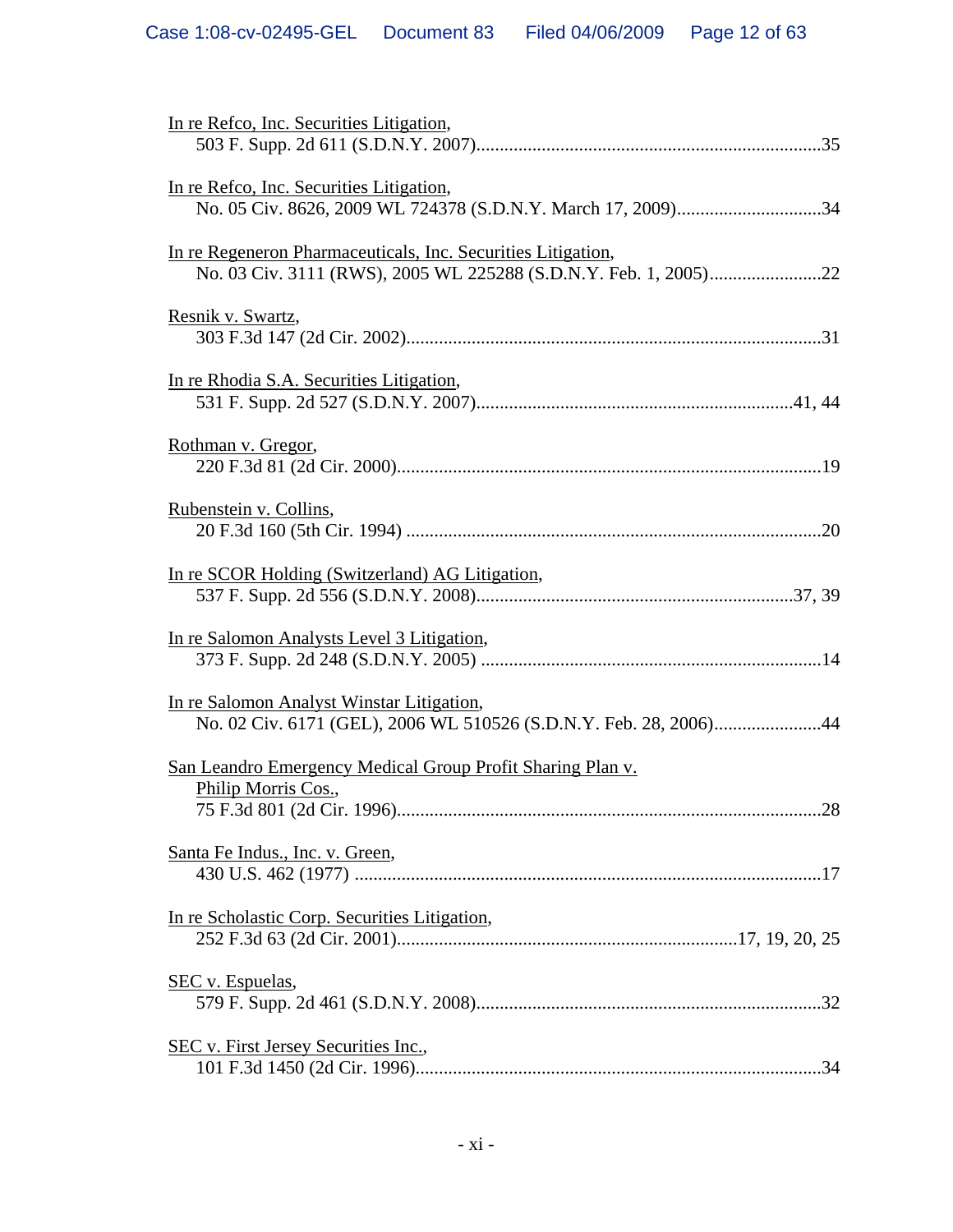| In re Refco, Inc. Securities Litigation,                                                                       |
|----------------------------------------------------------------------------------------------------------------|
| In re Refco, Inc. Securities Litigation,                                                                       |
| In re Regeneron Pharmaceuticals, Inc. Securities Litigation,                                                   |
| Resnik v. Swartz,                                                                                              |
| In re Rhodia S.A. Securities Litigation,                                                                       |
| Rothman v. Gregor,                                                                                             |
| Rubenstein v. Collins,                                                                                         |
| In re SCOR Holding (Switzerland) AG Litigation,                                                                |
| In re Salomon Analysts Level 3 Litigation,                                                                     |
| In re Salomon Analyst Winstar Litigation,<br>No. 02 Civ. 6171 (GEL), 2006 WL 510526 (S.D.N.Y. Feb. 28, 2006)44 |
| San Leandro Emergency Medical Group Profit Sharing Plan v.<br>Philip Morris Cos.,                              |
| 28<br>Santa Fe Indus., Inc. v. Green,                                                                          |
|                                                                                                                |
| In re Scholastic Corp. Securities Litigation,                                                                  |
| SEC v. Espuelas,                                                                                               |
| <b>SEC v. First Jersey Securities Inc.,</b>                                                                    |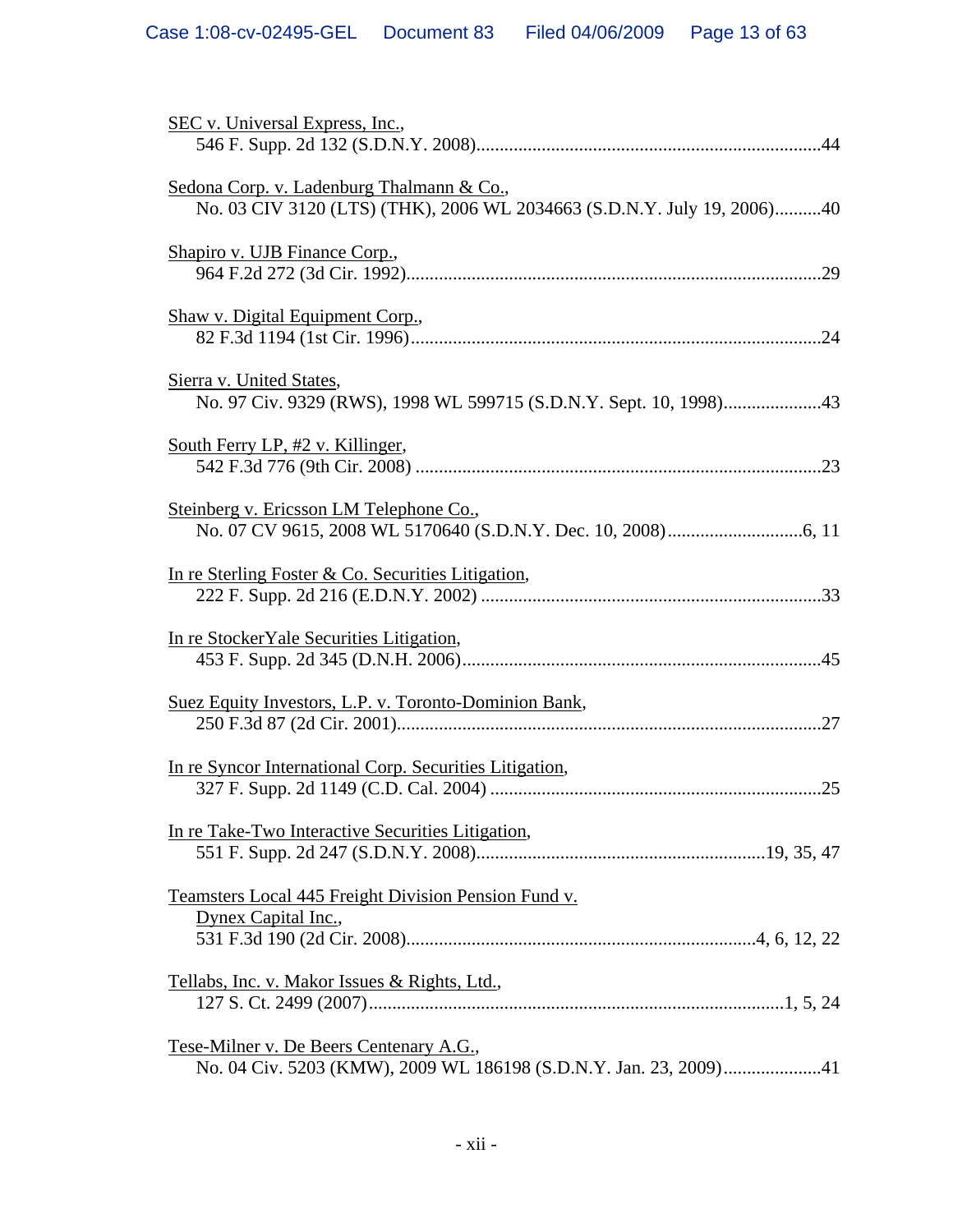| SEC v. Universal Express, Inc.,                                                                                      |
|----------------------------------------------------------------------------------------------------------------------|
| Sedona Corp. v. Ladenburg Thalmann & Co.,<br>No. 03 CIV 3120 (LTS) (THK), 2006 WL 2034663 (S.D.N.Y. July 19, 2006)40 |
| Shapiro v. UJB Finance Corp.,                                                                                        |
| Shaw v. Digital Equipment Corp.,                                                                                     |
| Sierra v. United States,                                                                                             |
| South Ferry LP, #2 v. Killinger,                                                                                     |
| Steinberg v. Ericsson LM Telephone Co.,                                                                              |
| In re Sterling Foster & Co. Securities Litigation,                                                                   |
| In re Stocker Yale Securities Litigation,                                                                            |
| Suez Equity Investors, L.P. v. Toronto-Dominion Bank,                                                                |
| In re Syncor International Corp. Securities Litigation,                                                              |
| In re Take-Two Interactive Securities Litigation,                                                                    |
| Teamsters Local 445 Freight Division Pension Fund v.<br>Dynex Capital Inc.,                                          |
| Tellabs, Inc. v. Makor Issues & Rights, Ltd.,                                                                        |
| <u>Tese-Milner v. De Beers Centenary A.G.,</u><br>No. 04 Civ. 5203 (KMW), 2009 WL 186198 (S.D.N.Y. Jan. 23, 2009)41  |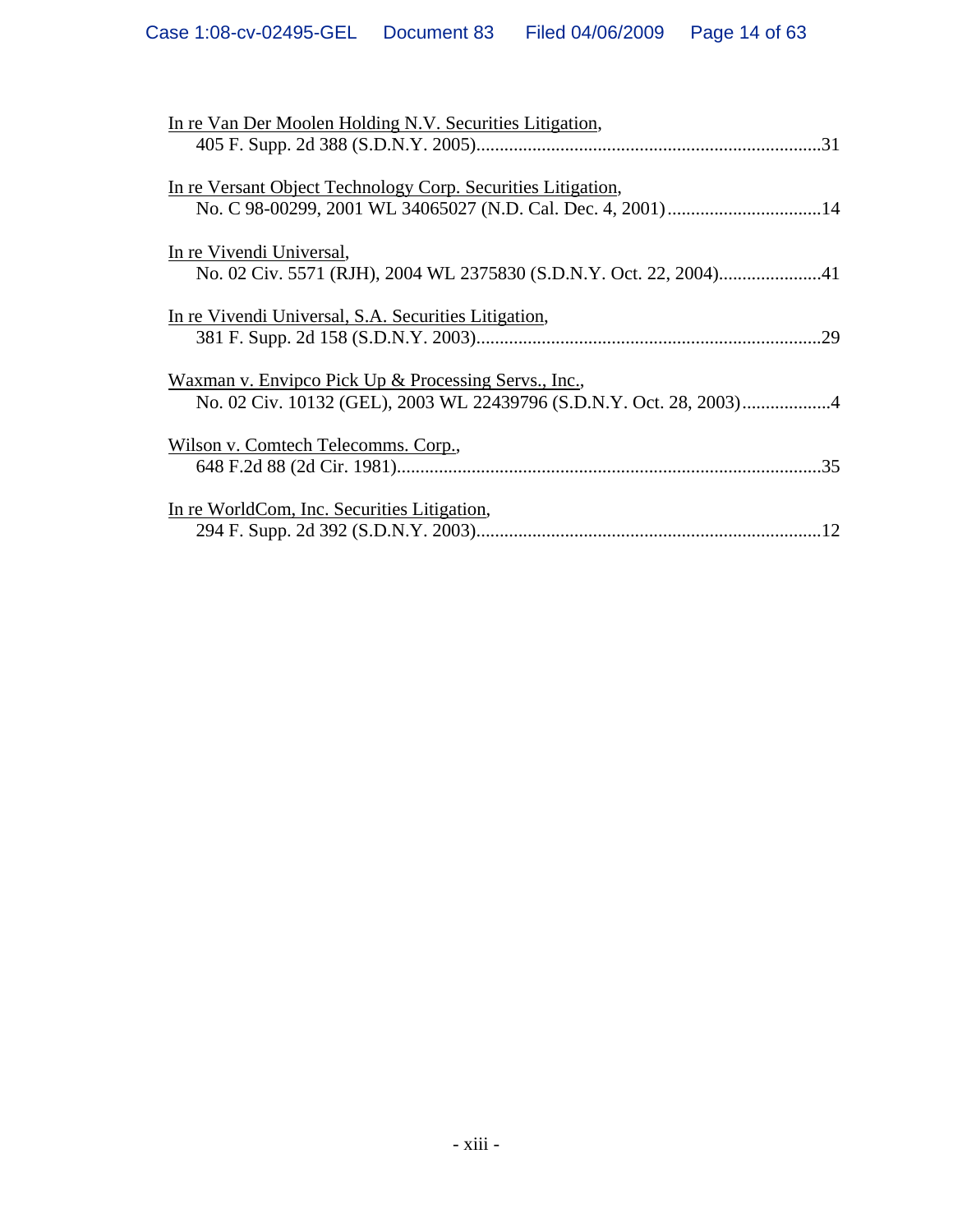| In re Van Der Moolen Holding N.V. Securities Litigation,     |
|--------------------------------------------------------------|
|                                                              |
| In re Versant Object Technology Corp. Securities Litigation, |
|                                                              |
| In re Vivendi Universal,                                     |
|                                                              |
| In re Vivendi Universal, S.A. Securities Litigation,         |
| .29                                                          |
| Waxman v. Envipco Pick Up & Processing Servs., Inc.,         |
|                                                              |
| Wilson v. Comtech Telecomms. Corp.,                          |
|                                                              |
| In re WorldCom, Inc. Securities Litigation,                  |
|                                                              |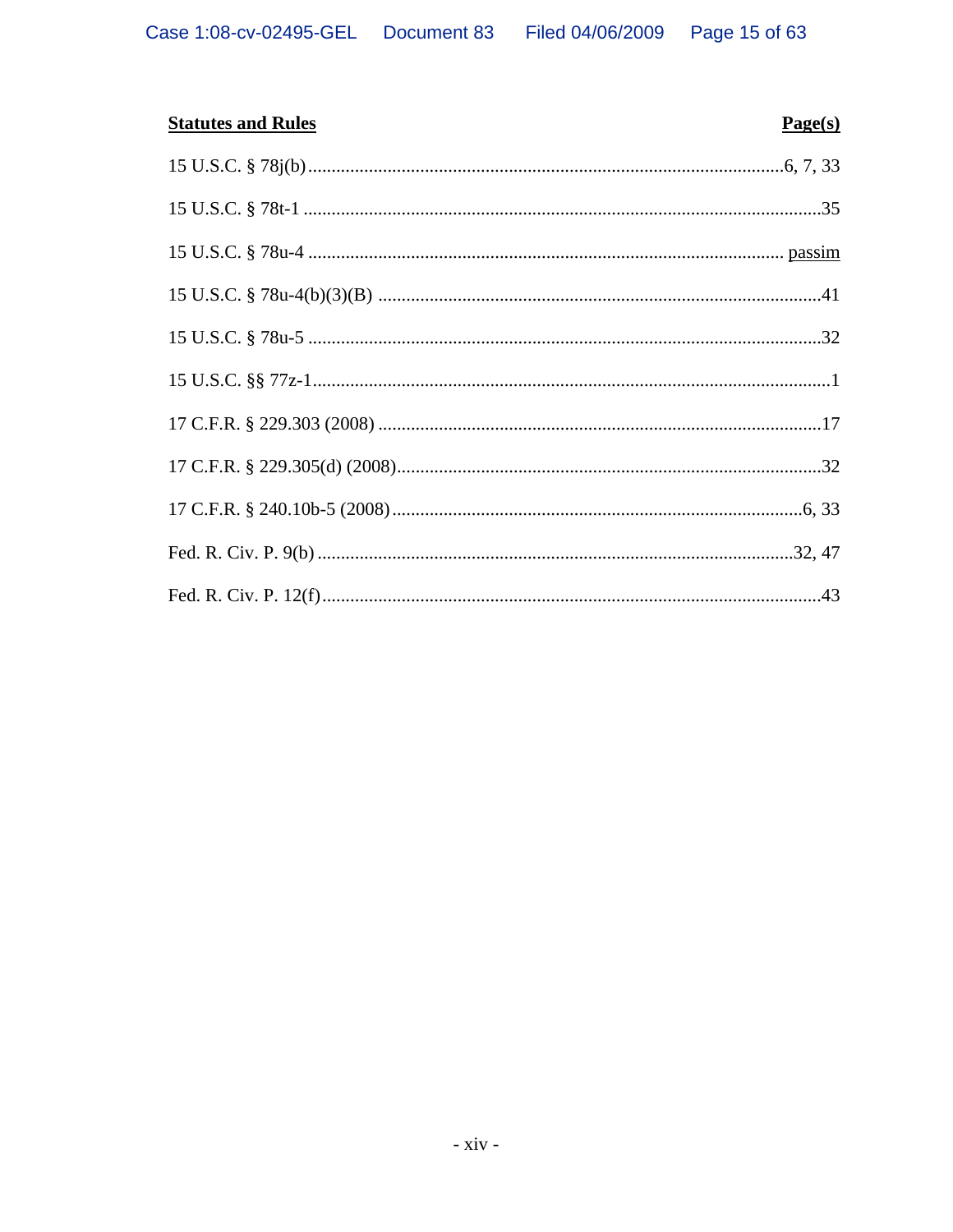| <b>Statutes and Rules</b> | Page(s) |
|---------------------------|---------|
|                           |         |
|                           |         |
|                           |         |
|                           |         |
|                           |         |
|                           |         |
|                           |         |
|                           |         |
|                           |         |
|                           |         |
|                           |         |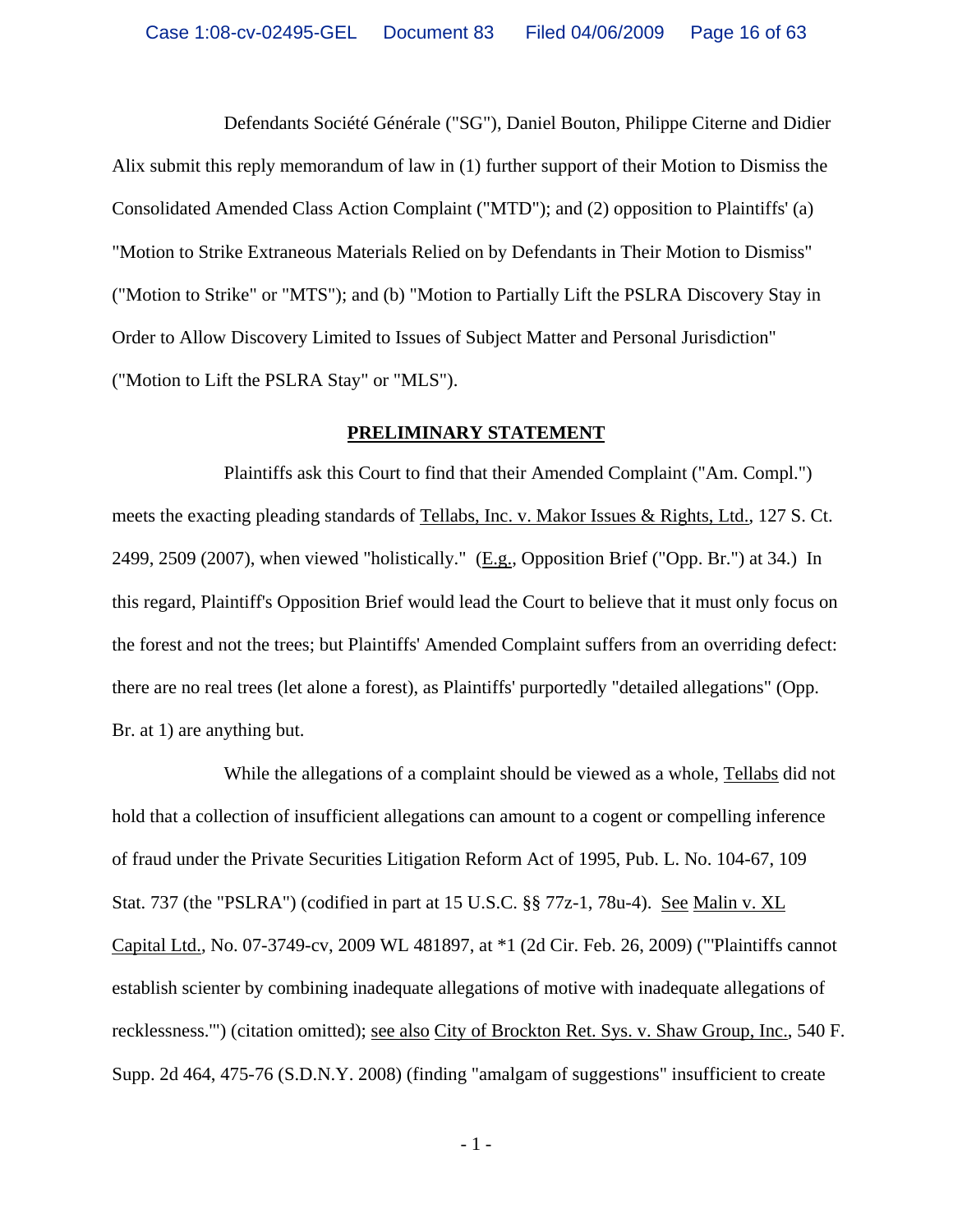Defendants Société Générale ("SG"), Daniel Bouton, Philippe Citerne and Didier Alix submit this reply memorandum of law in (1) further support of their Motion to Dismiss the Consolidated Amended Class Action Complaint ("MTD"); and (2) opposition to Plaintiffs' (a) "Motion to Strike Extraneous Materials Relied on by Defendants in Their Motion to Dismiss" ("Motion to Strike" or "MTS"); and (b) "Motion to Partially Lift the PSLRA Discovery Stay in Order to Allow Discovery Limited to Issues of Subject Matter and Personal Jurisdiction" ("Motion to Lift the PSLRA Stay" or "MLS").

#### **PRELIMINARY STATEMENT**

Plaintiffs ask this Court to find that their Amended Complaint ("Am. Compl.") meets the exacting pleading standards of Tellabs, Inc. v. Makor Issues & Rights, Ltd., 127 S. Ct. 2499, 2509 (2007), when viewed "holistically." ( $E.g.,$  Opposition Brief ("Opp. Br.") at 34.) In this regard, Plaintiff's Opposition Brief would lead the Court to believe that it must only focus on the forest and not the trees; but Plaintiffs' Amended Complaint suffers from an overriding defect: there are no real trees (let alone a forest), as Plaintiffs' purportedly "detailed allegations" (Opp. Br. at 1) are anything but.

While the allegations of a complaint should be viewed as a whole, Tellabs did not hold that a collection of insufficient allegations can amount to a cogent or compelling inference of fraud under the Private Securities Litigation Reform Act of 1995, Pub. L. No. 104-67, 109 Stat. 737 (the "PSLRA") (codified in part at 15 U.S.C. §§ 77z-1, 78u-4). See Malin v. XL Capital Ltd., No. 07-3749-cv, 2009 WL 481897, at \*1 (2d Cir. Feb. 26, 2009) ("'Plaintiffs cannot establish scienter by combining inadequate allegations of motive with inadequate allegations of recklessness.'") (citation omitted); see also City of Brockton Ret. Sys. v. Shaw Group, Inc., 540 F. Supp. 2d 464, 475-76 (S.D.N.Y. 2008) (finding "amalgam of suggestions" insufficient to create

 $-1$  -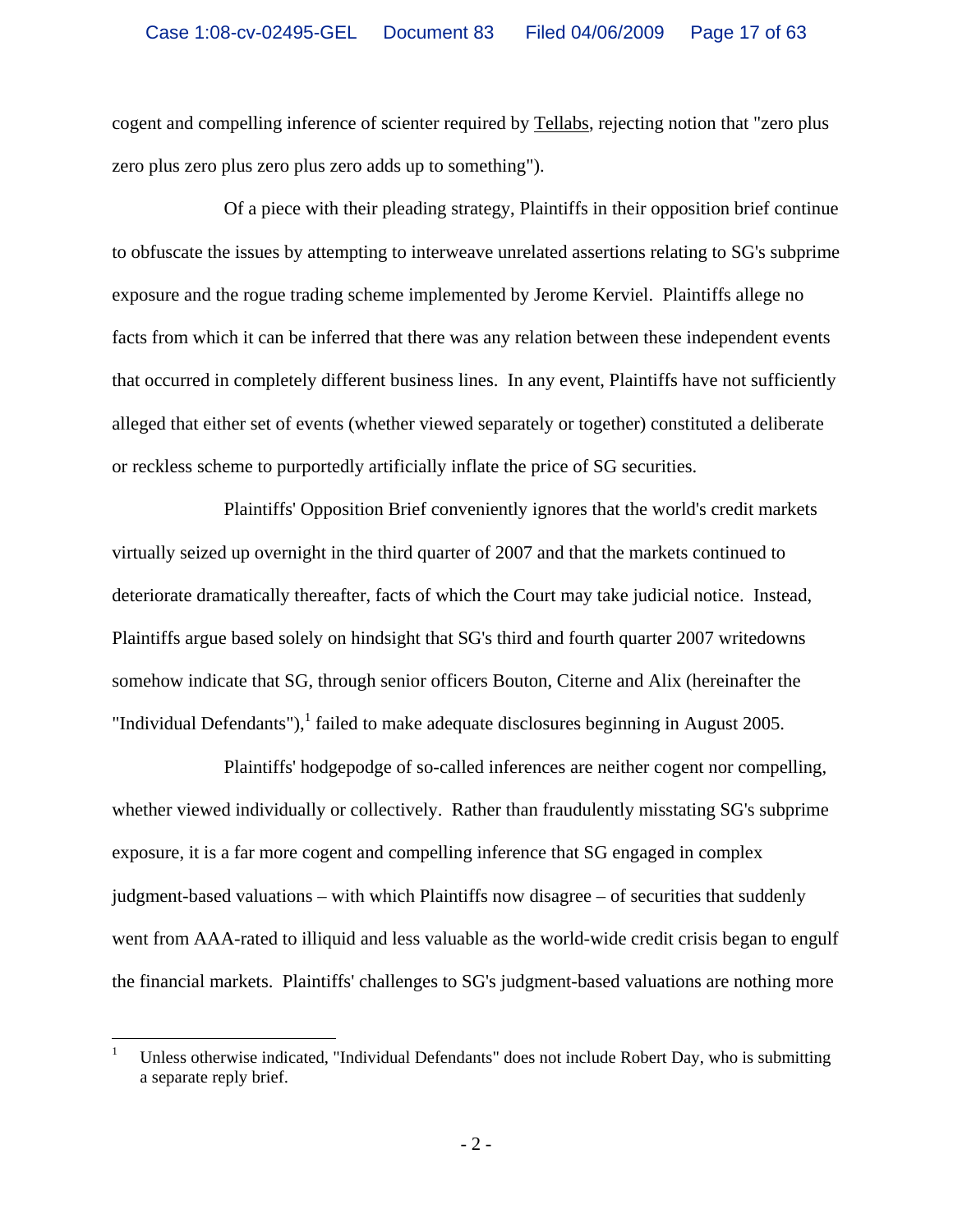cogent and compelling inference of scienter required by Tellabs, rejecting notion that "zero plus zero plus zero plus zero plus zero adds up to something").

Of a piece with their pleading strategy, Plaintiffs in their opposition brief continue to obfuscate the issues by attempting to interweave unrelated assertions relating to SG's subprime exposure and the rogue trading scheme implemented by Jerome Kerviel. Plaintiffs allege no facts from which it can be inferred that there was any relation between these independent events that occurred in completely different business lines. In any event, Plaintiffs have not sufficiently alleged that either set of events (whether viewed separately or together) constituted a deliberate or reckless scheme to purportedly artificially inflate the price of SG securities.

Plaintiffs' Opposition Brief conveniently ignores that the world's credit markets virtually seized up overnight in the third quarter of 2007 and that the markets continued to deteriorate dramatically thereafter, facts of which the Court may take judicial notice. Instead, Plaintiffs argue based solely on hindsight that SG's third and fourth quarter 2007 writedowns somehow indicate that SG, through senior officers Bouton, Citerne and Alix (hereinafter the "Individual Defendants"),  $\frac{1}{2}$  failed to make adequate disclosures beginning in August 2005.

Plaintiffs' hodgepodge of so-called inferences are neither cogent nor compelling, whether viewed individually or collectively. Rather than fraudulently misstating SG's subprime exposure, it is a far more cogent and compelling inference that SG engaged in complex judgment-based valuations – with which Plaintiffs now disagree – of securities that suddenly went from AAA-rated to illiquid and less valuable as the world-wide credit crisis began to engulf the financial markets. Plaintiffs' challenges to SG's judgment-based valuations are nothing more

 $\overline{a}$ 

<sup>1</sup> Unless otherwise indicated, "Individual Defendants" does not include Robert Day, who is submitting a separate reply brief.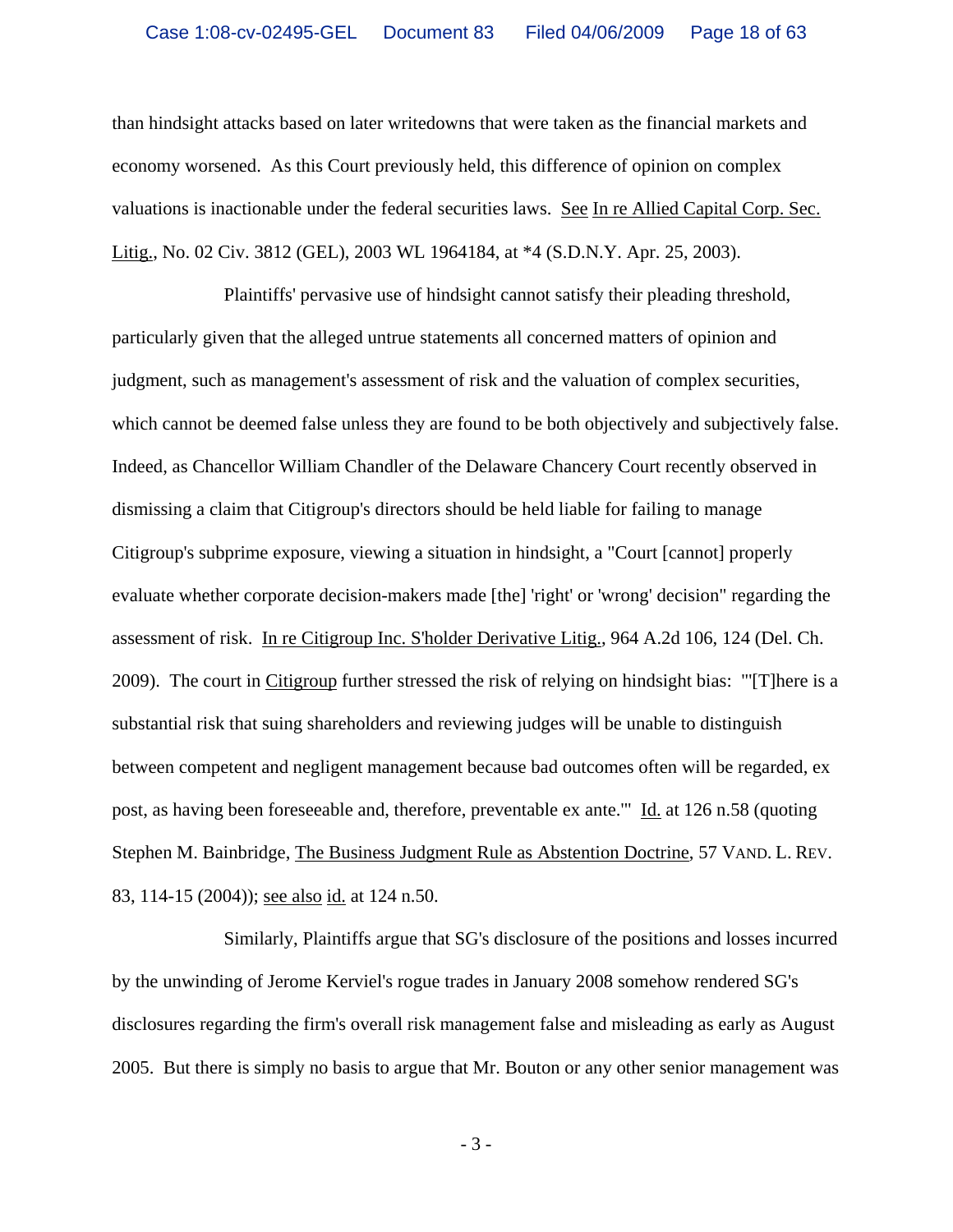than hindsight attacks based on later writedowns that were taken as the financial markets and economy worsened. As this Court previously held, this difference of opinion on complex valuations is inactionable under the federal securities laws. See In re Allied Capital Corp. Sec. Litig., No. 02 Civ. 3812 (GEL), 2003 WL 1964184, at \*4 (S.D.N.Y. Apr. 25, 2003).

Plaintiffs' pervasive use of hindsight cannot satisfy their pleading threshold, particularly given that the alleged untrue statements all concerned matters of opinion and judgment, such as management's assessment of risk and the valuation of complex securities, which cannot be deemed false unless they are found to be both objectively and subjectively false. Indeed, as Chancellor William Chandler of the Delaware Chancery Court recently observed in dismissing a claim that Citigroup's directors should be held liable for failing to manage Citigroup's subprime exposure, viewing a situation in hindsight, a "Court [cannot] properly evaluate whether corporate decision-makers made [the] 'right' or 'wrong' decision" regarding the assessment of risk. In re Citigroup Inc. S'holder Derivative Litig., 964 A.2d 106, 124 (Del. Ch. 2009). The court in Citigroup further stressed the risk of relying on hindsight bias: "[T]here is a substantial risk that suing shareholders and reviewing judges will be unable to distinguish between competent and negligent management because bad outcomes often will be regarded, ex post, as having been foreseeable and, therefore, preventable ex ante.'" Id. at 126 n.58 (quoting Stephen M. Bainbridge, The Business Judgment Rule as Abstention Doctrine, 57 VAND. L. REV. 83, 114-15 (2004)); see also id. at 124 n.50.

Similarly, Plaintiffs argue that SG's disclosure of the positions and losses incurred by the unwinding of Jerome Kerviel's rogue trades in January 2008 somehow rendered SG's disclosures regarding the firm's overall risk management false and misleading as early as August 2005. But there is simply no basis to argue that Mr. Bouton or any other senior management was

- 3 -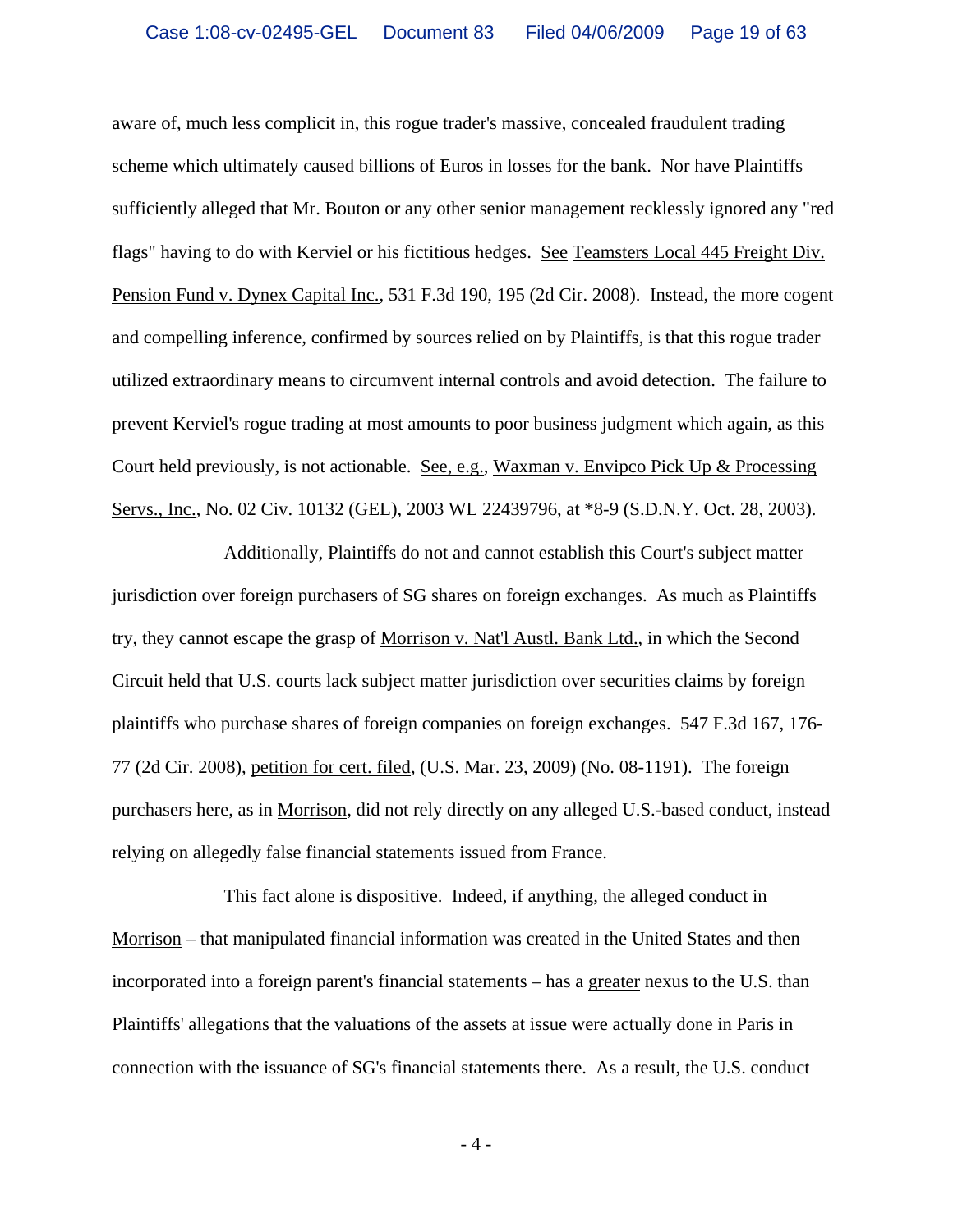aware of, much less complicit in, this rogue trader's massive, concealed fraudulent trading scheme which ultimately caused billions of Euros in losses for the bank. Nor have Plaintiffs sufficiently alleged that Mr. Bouton or any other senior management recklessly ignored any "red flags" having to do with Kerviel or his fictitious hedges. See Teamsters Local 445 Freight Div. Pension Fund v. Dynex Capital Inc., 531 F.3d 190, 195 (2d Cir. 2008). Instead, the more cogent and compelling inference, confirmed by sources relied on by Plaintiffs, is that this rogue trader utilized extraordinary means to circumvent internal controls and avoid detection. The failure to prevent Kerviel's rogue trading at most amounts to poor business judgment which again, as this Court held previously, is not actionable. See, e.g., Waxman v. Envipco Pick Up & Processing Servs., Inc., No. 02 Civ. 10132 (GEL), 2003 WL 22439796, at \*8-9 (S.D.N.Y. Oct. 28, 2003).

Additionally, Plaintiffs do not and cannot establish this Court's subject matter jurisdiction over foreign purchasers of SG shares on foreign exchanges. As much as Plaintiffs try, they cannot escape the grasp of Morrison v. Nat'l Austl. Bank Ltd., in which the Second Circuit held that U.S. courts lack subject matter jurisdiction over securities claims by foreign plaintiffs who purchase shares of foreign companies on foreign exchanges. 547 F.3d 167, 176- 77 (2d Cir. 2008), petition for cert. filed, (U.S. Mar. 23, 2009) (No. 08-1191). The foreign purchasers here, as in Morrison, did not rely directly on any alleged U.S.-based conduct, instead relying on allegedly false financial statements issued from France.

This fact alone is dispositive. Indeed, if anything, the alleged conduct in Morrison – that manipulated financial information was created in the United States and then incorporated into a foreign parent's financial statements – has a greater nexus to the U.S. than Plaintiffs' allegations that the valuations of the assets at issue were actually done in Paris in connection with the issuance of SG's financial statements there. As a result, the U.S. conduct

 $-4-$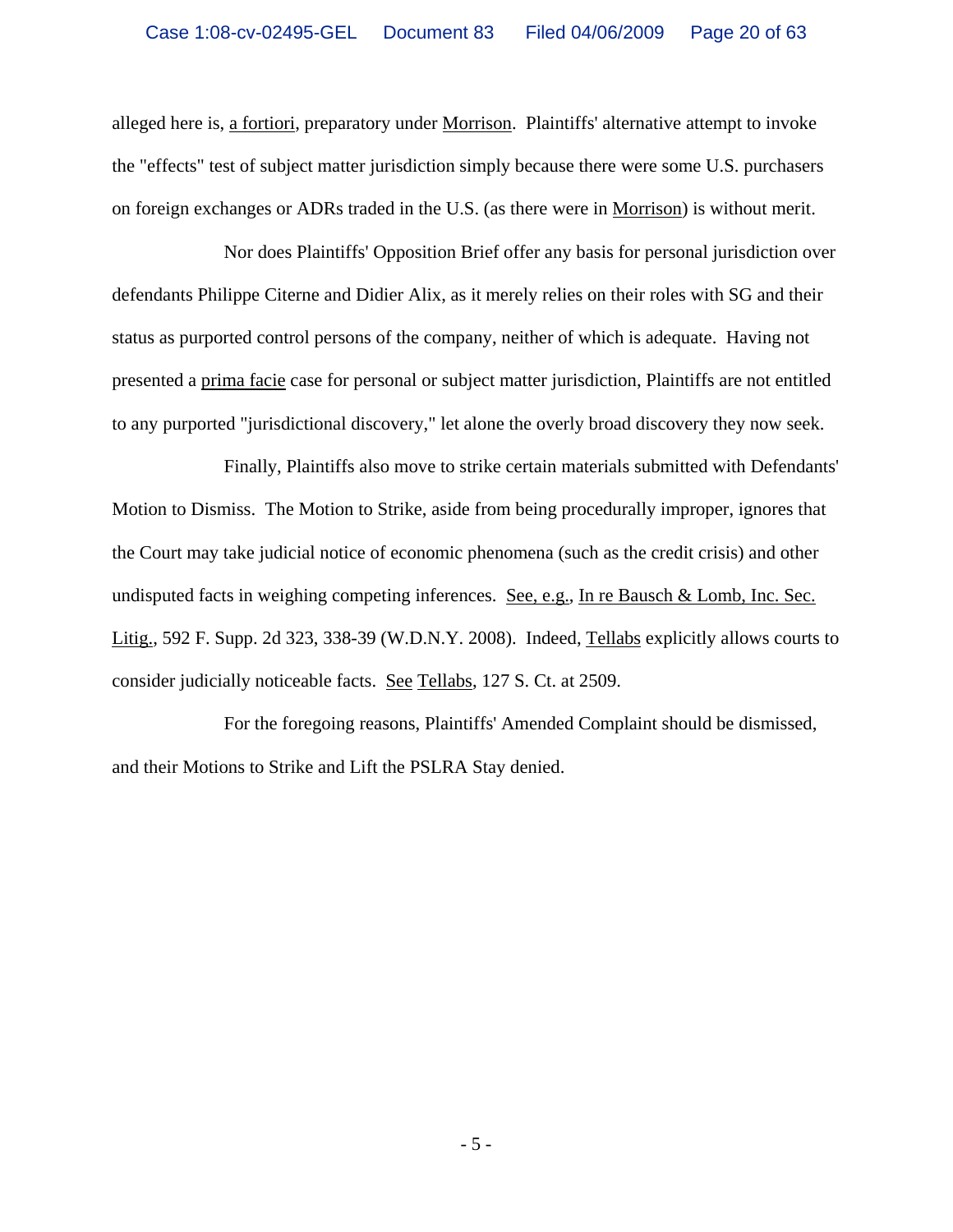alleged here is, a fortiori, preparatory under Morrison. Plaintiffs' alternative attempt to invoke the "effects" test of subject matter jurisdiction simply because there were some U.S. purchasers on foreign exchanges or ADRs traded in the U.S. (as there were in Morrison) is without merit.

Nor does Plaintiffs' Opposition Brief offer any basis for personal jurisdiction over defendants Philippe Citerne and Didier Alix, as it merely relies on their roles with SG and their status as purported control persons of the company, neither of which is adequate. Having not presented a prima facie case for personal or subject matter jurisdiction, Plaintiffs are not entitled to any purported "jurisdictional discovery," let alone the overly broad discovery they now seek.

Finally, Plaintiffs also move to strike certain materials submitted with Defendants' Motion to Dismiss. The Motion to Strike, aside from being procedurally improper, ignores that the Court may take judicial notice of economic phenomena (such as the credit crisis) and other undisputed facts in weighing competing inferences. See, e.g., In re Bausch & Lomb, Inc. Sec. Litig., 592 F. Supp. 2d 323, 338-39 (W.D.N.Y. 2008). Indeed, Tellabs explicitly allows courts to consider judicially noticeable facts. See Tellabs, 127 S. Ct. at 2509.

For the foregoing reasons, Plaintiffs' Amended Complaint should be dismissed, and their Motions to Strike and Lift the PSLRA Stay denied.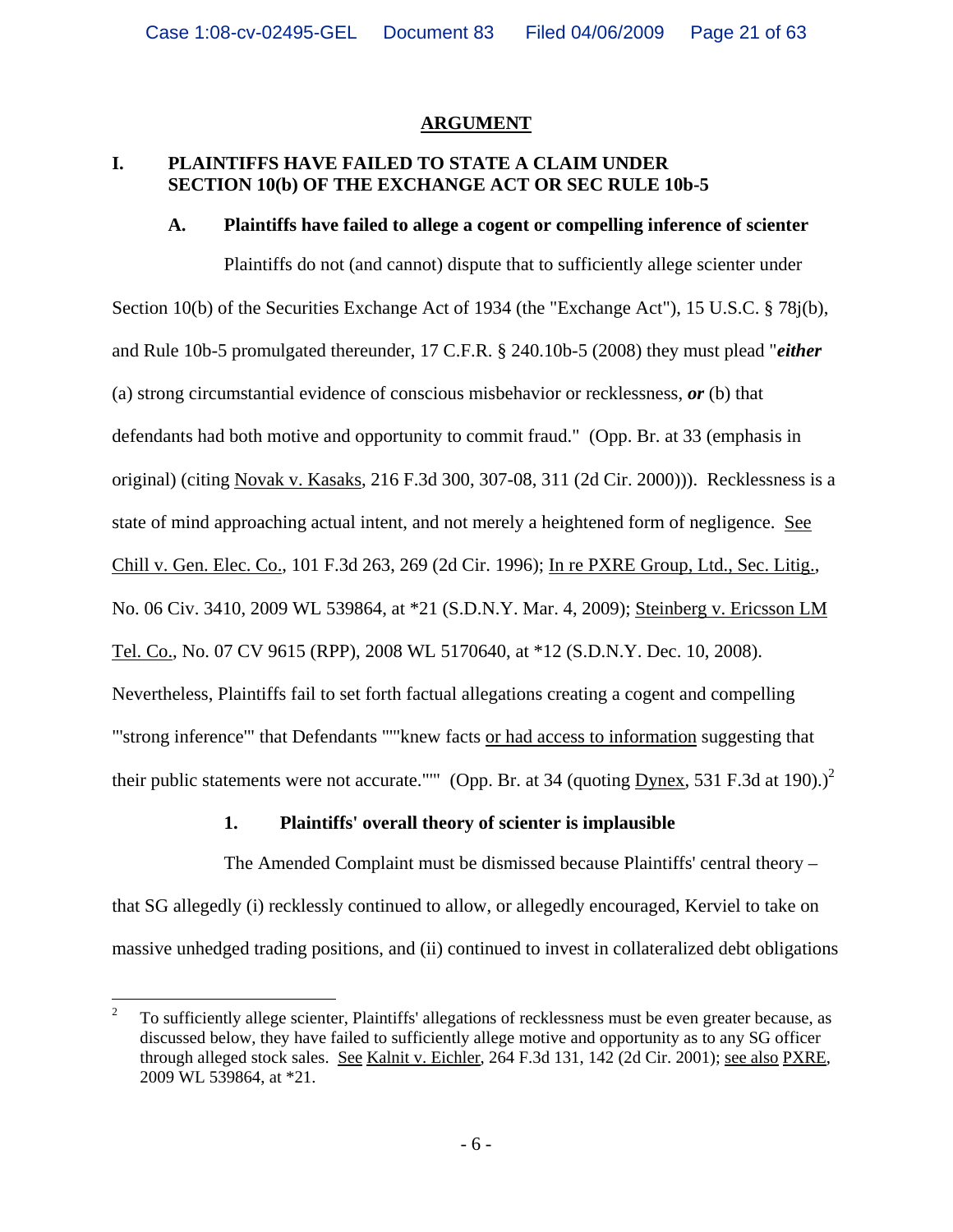### **ARGUMENT**

# **I. PLAINTIFFS HAVE FAILED TO STATE A CLAIM UNDER SECTION 10(b) OF THE EXCHANGE ACT OR SEC RULE 10b-5**

#### **A. Plaintiffs have failed to allege a cogent or compelling inference of scienter**

Plaintiffs do not (and cannot) dispute that to sufficiently allege scienter under Section 10(b) of the Securities Exchange Act of 1934 (the "Exchange Act"), 15 U.S.C. § 78j(b), and Rule 10b-5 promulgated thereunder, 17 C.F.R. § 240.10b-5 (2008) they must plead "*either*  (a) strong circumstantial evidence of conscious misbehavior or recklessness, *or* (b) that defendants had both motive and opportunity to commit fraud." (Opp. Br. at 33 (emphasis in original) (citing Novak v. Kasaks, 216 F.3d 300, 307-08, 311 (2d Cir. 2000))). Recklessness is a state of mind approaching actual intent, and not merely a heightened form of negligence. See Chill v. Gen. Elec. Co., 101 F.3d 263, 269 (2d Cir. 1996); In re PXRE Group, Ltd., Sec. Litig., No. 06 Civ. 3410, 2009 WL 539864, at \*21 (S.D.N.Y. Mar. 4, 2009); Steinberg v. Ericsson LM Tel. Co., No. 07 CV 9615 (RPP), 2008 WL 5170640, at \*12 (S.D.N.Y. Dec. 10, 2008). Nevertheless, Plaintiffs fail to set forth factual allegations creating a cogent and compelling "'strong inference'" that Defendants "'"knew facts or had access to information suggesting that their public statements were not accurate."" (Opp. Br. at 34 (quoting  $\overline{Dynes}$ , 531 F.3d at 190).)<sup>2</sup>

# **1. Plaintiffs' overall theory of scienter is implausible**

The Amended Complaint must be dismissed because Plaintiffs' central theory – that SG allegedly (i) recklessly continued to allow, or allegedly encouraged, Kerviel to take on massive unhedged trading positions, and (ii) continued to invest in collateralized debt obligations

 $\frac{1}{2}$  To sufficiently allege scienter, Plaintiffs' allegations of recklessness must be even greater because, as discussed below, they have failed to sufficiently allege motive and opportunity as to any SG officer through alleged stock sales. See Kalnit v. Eichler, 264 F.3d 131, 142 (2d Cir. 2001); see also PXRE, 2009 WL 539864, at \*21.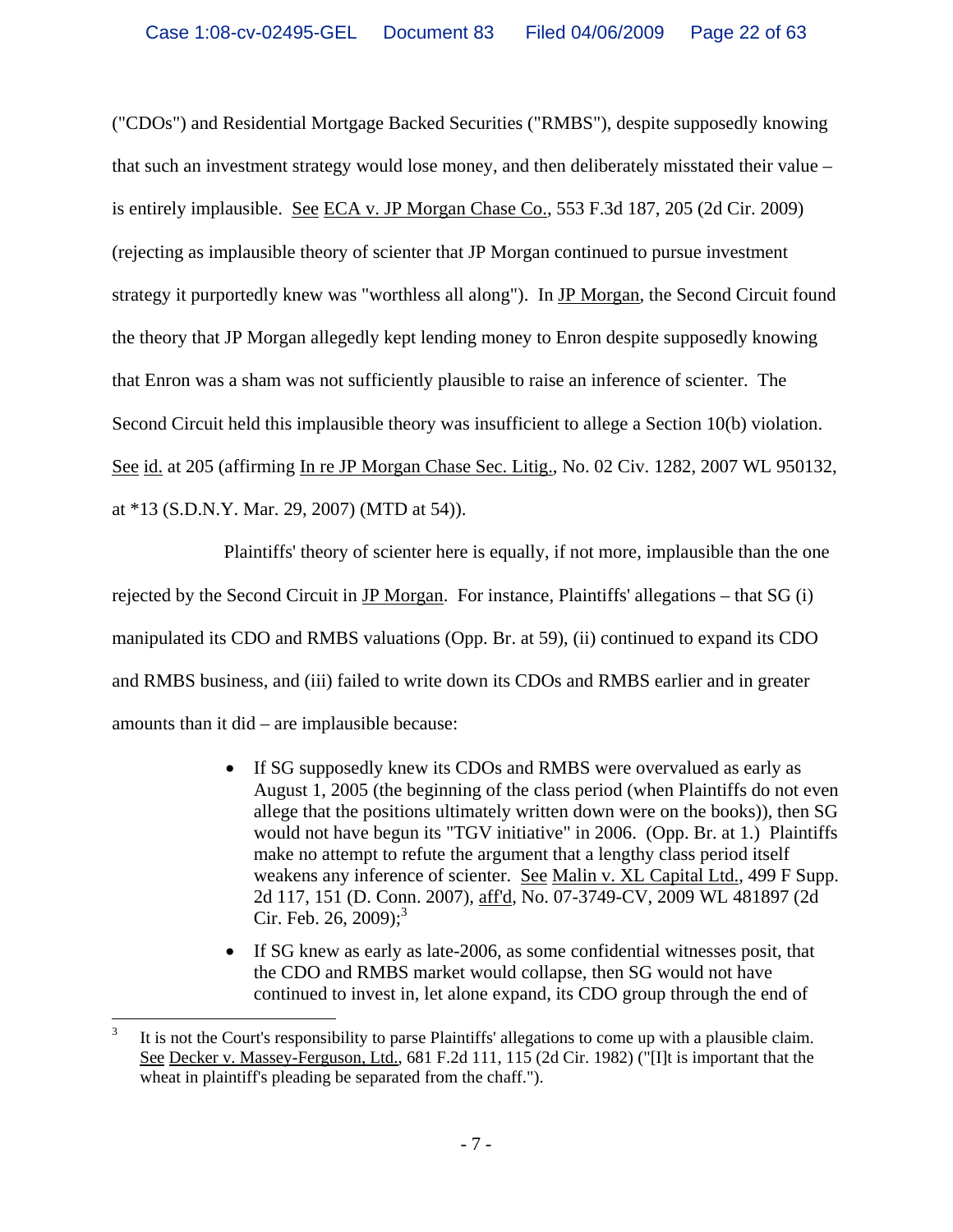("CDOs") and Residential Mortgage Backed Securities ("RMBS"), despite supposedly knowing that such an investment strategy would lose money, and then deliberately misstated their value – is entirely implausible. See ECA v. JP Morgan Chase Co., 553 F.3d 187, 205 (2d Cir. 2009) (rejecting as implausible theory of scienter that JP Morgan continued to pursue investment strategy it purportedly knew was "worthless all along"). In JP Morgan, the Second Circuit found the theory that JP Morgan allegedly kept lending money to Enron despite supposedly knowing that Enron was a sham was not sufficiently plausible to raise an inference of scienter. The Second Circuit held this implausible theory was insufficient to allege a Section 10(b) violation. See id. at 205 (affirming In re JP Morgan Chase Sec. Litig., No. 02 Civ. 1282, 2007 WL 950132, at \*13 (S.D.N.Y. Mar. 29, 2007) (MTD at 54)).

Plaintiffs' theory of scienter here is equally, if not more, implausible than the one rejected by the Second Circuit in JP Morgan. For instance, Plaintiffs' allegations – that SG (i) manipulated its CDO and RMBS valuations (Opp. Br. at 59), (ii) continued to expand its CDO and RMBS business, and (iii) failed to write down its CDOs and RMBS earlier and in greater amounts than it did – are implausible because:

- If SG supposedly knew its CDOs and RMBS were overvalued as early as August 1, 2005 (the beginning of the class period (when Plaintiffs do not even allege that the positions ultimately written down were on the books)), then SG would not have begun its "TGV initiative" in 2006. (Opp. Br. at 1.) Plaintiffs make no attempt to refute the argument that a lengthy class period itself weakens any inference of scienter. See Malin v. XL Capital Ltd., 499 F Supp. 2d 117, 151 (D. Conn. 2007), aff'd, No. 07-3749-CV, 2009 WL 481897 (2d Cir. Feb. 26, 2009);<sup>3</sup>
- If SG knew as early as late-2006, as some confidential witnesses posit, that the CDO and RMBS market would collapse, then SG would not have continued to invest in, let alone expand, its CDO group through the end of

 $\overline{a}$ 

<sup>3</sup> It is not the Court's responsibility to parse Plaintiffs' allegations to come up with a plausible claim. See Decker v. Massey-Ferguson, Ltd., 681 F.2d 111, 115 (2d Cir. 1982) ("[I]t is important that the wheat in plaintiff's pleading be separated from the chaff.").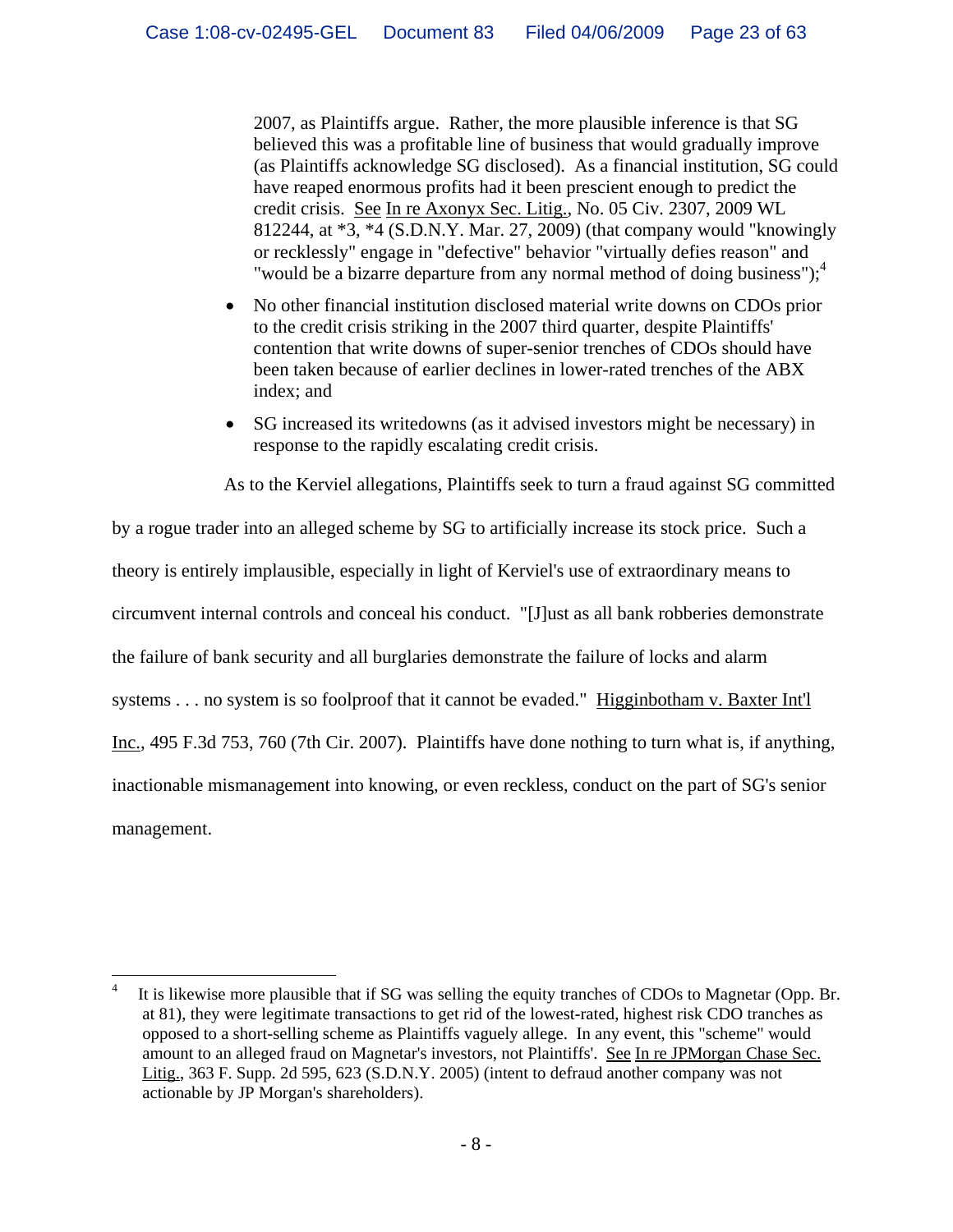2007, as Plaintiffs argue. Rather, the more plausible inference is that SG believed this was a profitable line of business that would gradually improve (as Plaintiffs acknowledge SG disclosed). As a financial institution, SG could have reaped enormous profits had it been prescient enough to predict the credit crisis. See In re Axonyx Sec. Litig., No. 05 Civ. 2307, 2009 WL 812244, at \*3, \*4 (S.D.N.Y. Mar. 27, 2009) (that company would "knowingly or recklessly" engage in "defective" behavior "virtually defies reason" and "would be a bizarre departure from any normal method of doing business"); $\ddot{ }$ 

- No other financial institution disclosed material write downs on CDOs prior to the credit crisis striking in the 2007 third quarter, despite Plaintiffs' contention that write downs of super-senior trenches of CDOs should have been taken because of earlier declines in lower-rated trenches of the ABX index; and
- SG increased its writedowns (as it advised investors might be necessary) in response to the rapidly escalating credit crisis.

As to the Kerviel allegations, Plaintiffs seek to turn a fraud against SG committed

by a rogue trader into an alleged scheme by SG to artificially increase its stock price. Such a theory is entirely implausible, especially in light of Kerviel's use of extraordinary means to circumvent internal controls and conceal his conduct. "[J]ust as all bank robberies demonstrate the failure of bank security and all burglaries demonstrate the failure of locks and alarm systems . . . no system is so foolproof that it cannot be evaded." Higginbotham v. Baxter Int'l Inc., 495 F.3d 753, 760 (7th Cir. 2007). Plaintiffs have done nothing to turn what is, if anything, inactionable mismanagement into knowing, or even reckless, conduct on the part of SG's senior management.

 $\overline{a}$ 

<sup>4</sup> It is likewise more plausible that if SG was selling the equity tranches of CDOs to Magnetar (Opp. Br. at 81), they were legitimate transactions to get rid of the lowest-rated, highest risk CDO tranches as opposed to a short-selling scheme as Plaintiffs vaguely allege. In any event, this "scheme" would amount to an alleged fraud on Magnetar's investors, not Plaintiffs'. See In re JPMorgan Chase Sec. Litig., 363 F. Supp. 2d 595, 623 (S.D.N.Y. 2005) (intent to defraud another company was not actionable by JP Morgan's shareholders).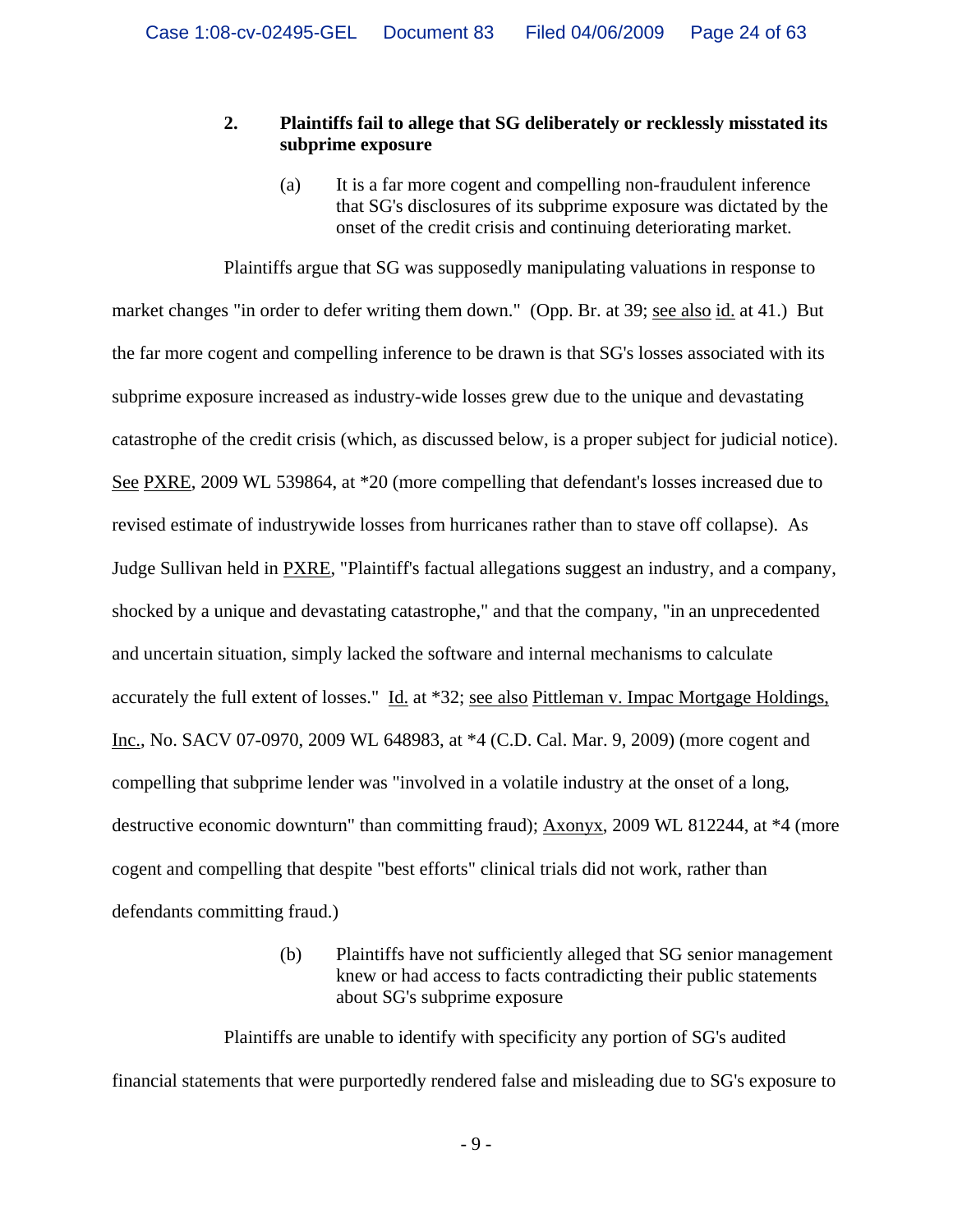### **2. Plaintiffs fail to allege that SG deliberately or recklessly misstated its subprime exposure**

(a) It is a far more cogent and compelling non-fraudulent inference that SG's disclosures of its subprime exposure was dictated by the onset of the credit crisis and continuing deteriorating market.

Plaintiffs argue that SG was supposedly manipulating valuations in response to market changes "in order to defer writing them down." (Opp. Br. at 39; see also id. at 41.) But the far more cogent and compelling inference to be drawn is that SG's losses associated with its subprime exposure increased as industry-wide losses grew due to the unique and devastating catastrophe of the credit crisis (which, as discussed below, is a proper subject for judicial notice). See PXRE, 2009 WL 539864, at \*20 (more compelling that defendant's losses increased due to revised estimate of industrywide losses from hurricanes rather than to stave off collapse). As Judge Sullivan held in PXRE, "Plaintiff's factual allegations suggest an industry, and a company, shocked by a unique and devastating catastrophe," and that the company, "in an unprecedented and uncertain situation, simply lacked the software and internal mechanisms to calculate accurately the full extent of losses." Id. at \*32; see also Pittleman v. Impac Mortgage Holdings, Inc., No. SACV 07-0970, 2009 WL 648983, at \*4 (C.D. Cal. Mar. 9, 2009) (more cogent and compelling that subprime lender was "involved in a volatile industry at the onset of a long, destructive economic downturn" than committing fraud); Axonyx, 2009 WL 812244, at \*4 (more cogent and compelling that despite "best efforts" clinical trials did not work, rather than defendants committing fraud.)

> (b) Plaintiffs have not sufficiently alleged that SG senior management knew or had access to facts contradicting their public statements about SG's subprime exposure

Plaintiffs are unable to identify with specificity any portion of SG's audited financial statements that were purportedly rendered false and misleading due to SG's exposure to

 $-9-$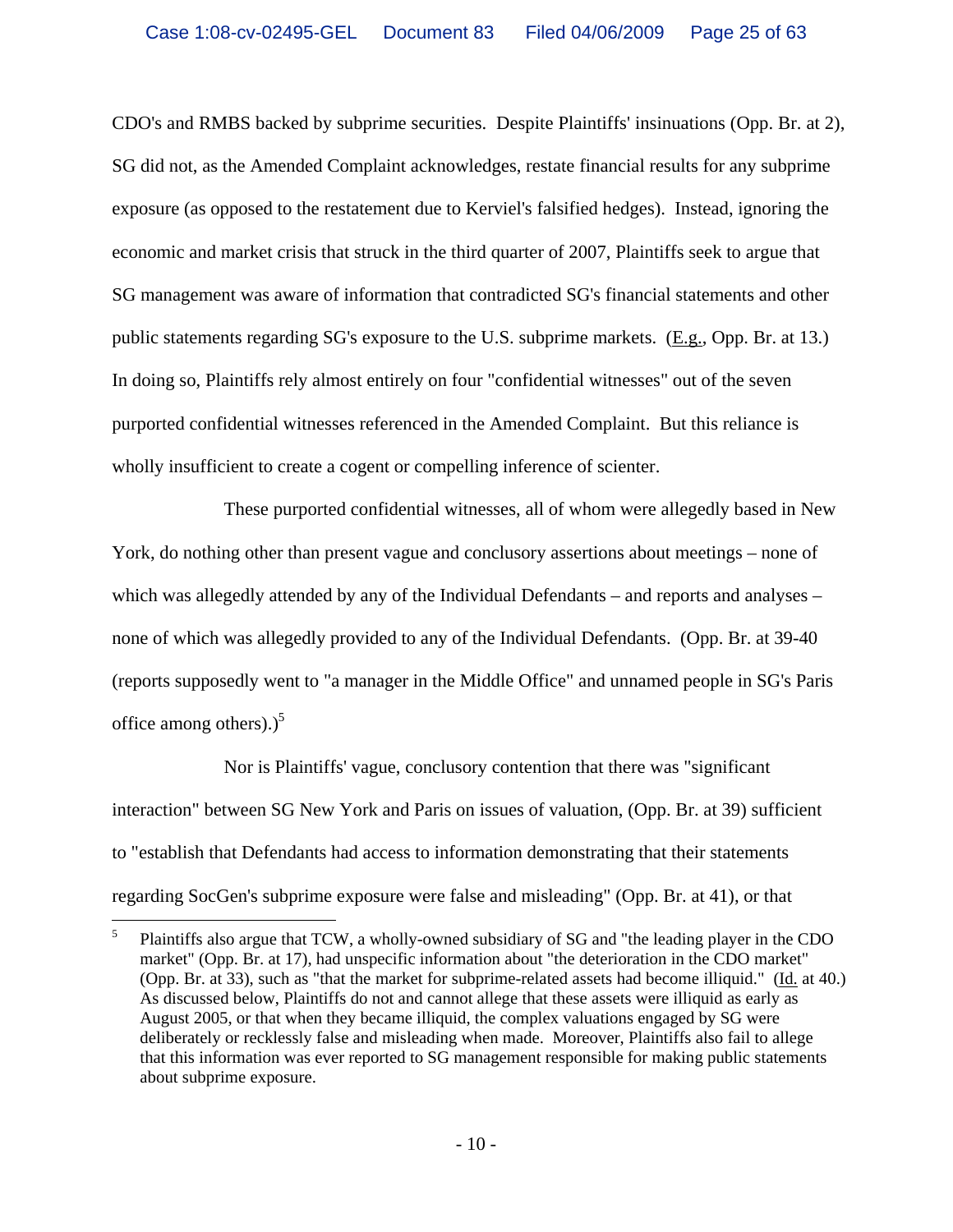CDO's and RMBS backed by subprime securities. Despite Plaintiffs' insinuations (Opp. Br. at 2), SG did not, as the Amended Complaint acknowledges, restate financial results for any subprime exposure (as opposed to the restatement due to Kerviel's falsified hedges). Instead, ignoring the economic and market crisis that struck in the third quarter of 2007, Plaintiffs seek to argue that SG management was aware of information that contradicted SG's financial statements and other public statements regarding SG's exposure to the U.S. subprime markets. (E.g., Opp. Br. at 13.) In doing so, Plaintiffs rely almost entirely on four "confidential witnesses" out of the seven purported confidential witnesses referenced in the Amended Complaint. But this reliance is wholly insufficient to create a cogent or compelling inference of scienter.

These purported confidential witnesses, all of whom were allegedly based in New York, do nothing other than present vague and conclusory assertions about meetings – none of which was allegedly attended by any of the Individual Defendants – and reports and analyses – none of which was allegedly provided to any of the Individual Defendants. (Opp. Br. at 39-40 (reports supposedly went to "a manager in the Middle Office" and unnamed people in SG's Paris office among others).) $<sup>5</sup>$ </sup>

Nor is Plaintiffs' vague, conclusory contention that there was "significant interaction" between SG New York and Paris on issues of valuation, (Opp. Br. at 39) sufficient to "establish that Defendants had access to information demonstrating that their statements regarding SocGen's subprime exposure were false and misleading" (Opp. Br. at 41), or that

 $\frac{1}{5}$  Plaintiffs also argue that TCW, a wholly-owned subsidiary of SG and "the leading player in the CDO market" (Opp. Br. at 17), had unspecific information about "the deterioration in the CDO market" (Opp. Br. at 33), such as "that the market for subprime-related assets had become illiquid." (Id. at 40.) As discussed below, Plaintiffs do not and cannot allege that these assets were illiquid as early as August 2005, or that when they became illiquid, the complex valuations engaged by SG were deliberately or recklessly false and misleading when made. Moreover, Plaintiffs also fail to allege that this information was ever reported to SG management responsible for making public statements about subprime exposure.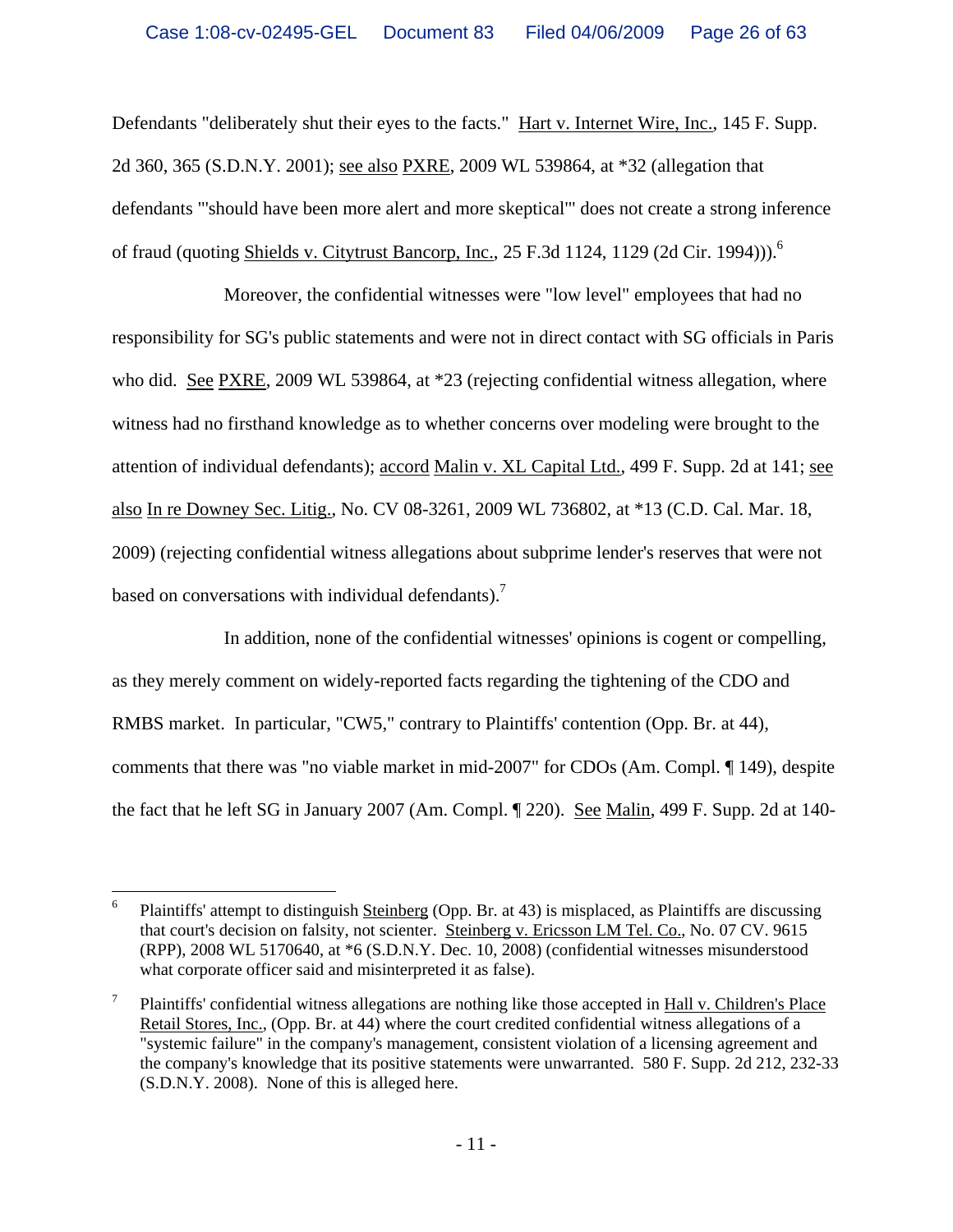Defendants "deliberately shut their eyes to the facts." Hart v. Internet Wire, Inc., 145 F. Supp. 2d 360, 365 (S.D.N.Y. 2001); see also PXRE, 2009 WL 539864, at \*32 (allegation that defendants "'should have been more alert and more skeptical'" does not create a strong inference of fraud (quoting Shields v. Citytrust Bancorp, Inc., 25 F.3d 1124, 1129 (2d Cir. 1994))).<sup>6</sup>

Moreover, the confidential witnesses were "low level" employees that had no responsibility for SG's public statements and were not in direct contact with SG officials in Paris who did. See PXRE, 2009 WL 539864, at \*23 (rejecting confidential witness allegation, where witness had no firsthand knowledge as to whether concerns over modeling were brought to the attention of individual defendants); accord Malin v. XL Capital Ltd., 499 F. Supp. 2d at 141; see also In re Downey Sec. Litig., No. CV 08-3261, 2009 WL 736802, at \*13 (C.D. Cal. Mar. 18, 2009) (rejecting confidential witness allegations about subprime lender's reserves that were not based on conversations with individual defendants).<sup>7</sup>

In addition, none of the confidential witnesses' opinions is cogent or compelling, as they merely comment on widely-reported facts regarding the tightening of the CDO and RMBS market. In particular, "CW5," contrary to Plaintiffs' contention (Opp. Br. at 44), comments that there was "no viable market in mid-2007" for CDOs (Am. Compl. ¶ 149), despite the fact that he left SG in January 2007 (Am. Compl. ¶ 220). See Malin, 499 F. Supp. 2d at 140-

 $\frac{1}{6}$  Plaintiffs' attempt to distinguish Steinberg (Opp. Br. at 43) is misplaced, as Plaintiffs are discussing that court's decision on falsity, not scienter. Steinberg v. Ericsson LM Tel. Co., No. 07 CV. 9615 (RPP), 2008 WL 5170640, at \*6 (S.D.N.Y. Dec. 10, 2008) (confidential witnesses misunderstood what corporate officer said and misinterpreted it as false).

<sup>7</sup> Plaintiffs' confidential witness allegations are nothing like those accepted in Hall v. Children's Place Retail Stores, Inc., (Opp. Br. at 44) where the court credited confidential witness allegations of a "systemic failure" in the company's management, consistent violation of a licensing agreement and the company's knowledge that its positive statements were unwarranted. 580 F. Supp. 2d 212, 232-33 (S.D.N.Y. 2008). None of this is alleged here.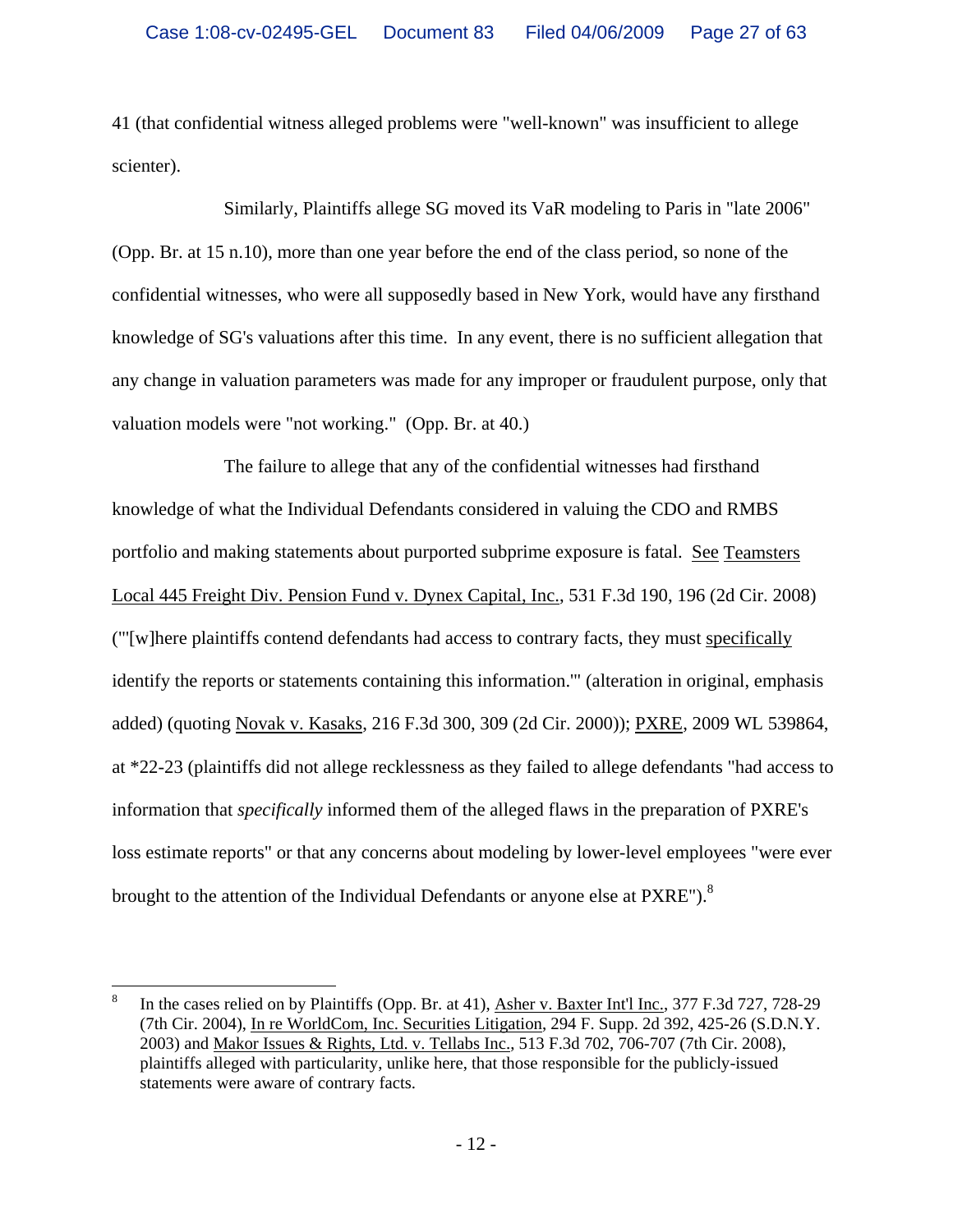41 (that confidential witness alleged problems were "well-known" was insufficient to allege scienter).

Similarly, Plaintiffs allege SG moved its VaR modeling to Paris in "late 2006" (Opp. Br. at 15 n.10), more than one year before the end of the class period, so none of the confidential witnesses, who were all supposedly based in New York, would have any firsthand knowledge of SG's valuations after this time. In any event, there is no sufficient allegation that any change in valuation parameters was made for any improper or fraudulent purpose, only that valuation models were "not working." (Opp. Br. at 40.)

The failure to allege that any of the confidential witnesses had firsthand knowledge of what the Individual Defendants considered in valuing the CDO and RMBS portfolio and making statements about purported subprime exposure is fatal. See Teamsters Local 445 Freight Div. Pension Fund v. Dynex Capital, Inc., 531 F.3d 190, 196 (2d Cir. 2008) ("'[w]here plaintiffs contend defendants had access to contrary facts, they must specifically identify the reports or statements containing this information.'" (alteration in original, emphasis added) (quoting Novak v. Kasaks, 216 F.3d 300, 309 (2d Cir. 2000)); PXRE, 2009 WL 539864, at \*22-23 (plaintiffs did not allege recklessness as they failed to allege defendants "had access to information that *specifically* informed them of the alleged flaws in the preparation of PXRE's loss estimate reports" or that any concerns about modeling by lower-level employees "were ever brought to the attention of the Individual Defendants or anyone else at PXRE").<sup>8</sup>

 $\overline{a}$ 

<sup>8</sup> In the cases relied on by Plaintiffs (Opp. Br. at 41), Asher v. Baxter Int'l Inc., 377 F.3d 727, 728-29 (7th Cir. 2004), In re WorldCom, Inc. Securities Litigation, 294 F. Supp. 2d 392, 425-26 (S.D.N.Y. 2003) and Makor Issues & Rights, Ltd. v. Tellabs Inc., 513 F.3d 702, 706-707 (7th Cir. 2008), plaintiffs alleged with particularity, unlike here, that those responsible for the publicly-issued statements were aware of contrary facts.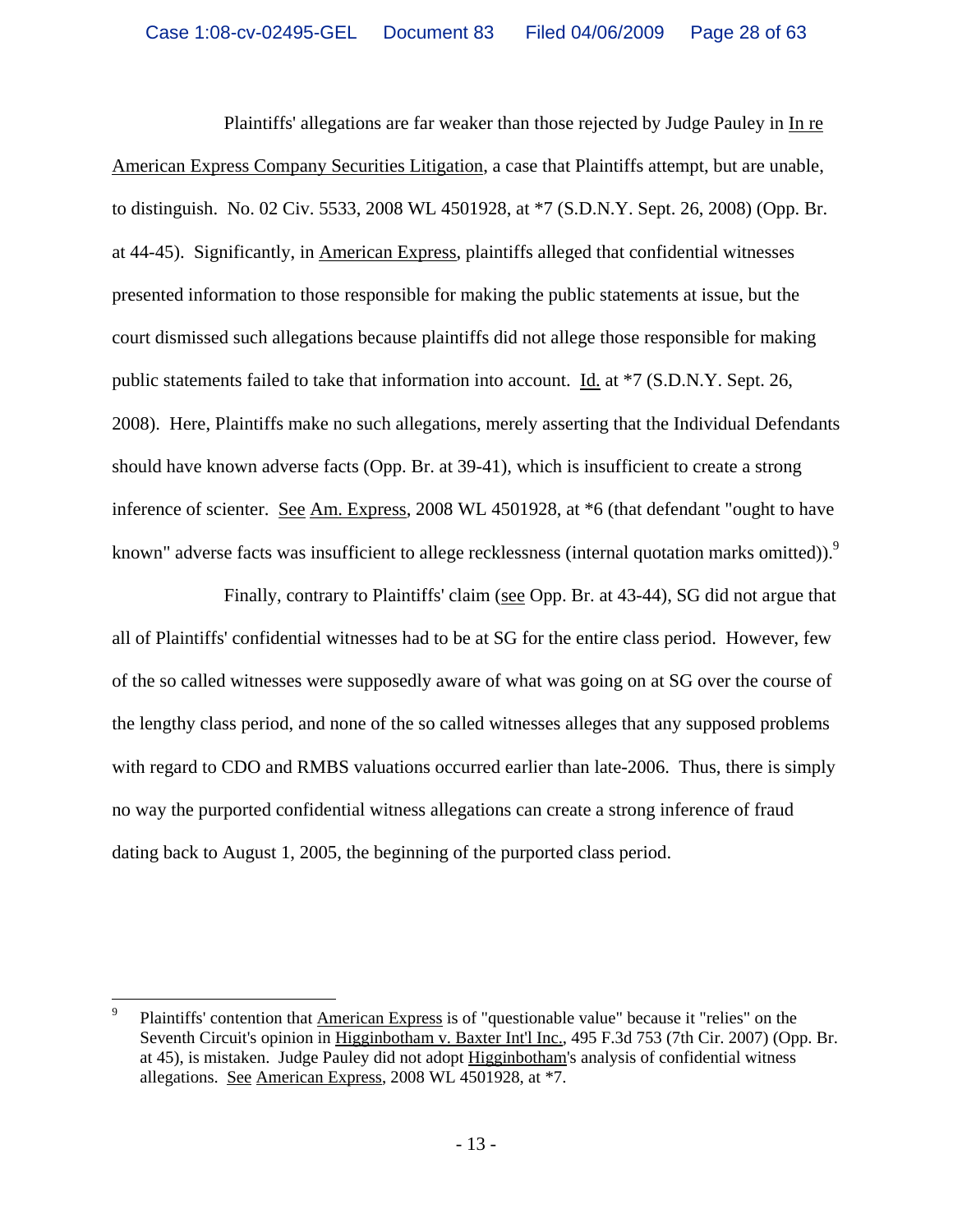Plaintiffs' allegations are far weaker than those rejected by Judge Pauley in In re American Express Company Securities Litigation, a case that Plaintiffs attempt, but are unable, to distinguish. No. 02 Civ. 5533, 2008 WL 4501928, at \*7 (S.D.N.Y. Sept. 26, 2008) (Opp. Br. at 44-45). Significantly, in American Express, plaintiffs alleged that confidential witnesses presented information to those responsible for making the public statements at issue, but the court dismissed such allegations because plaintiffs did not allege those responsible for making public statements failed to take that information into account. Id. at \*7 (S.D.N.Y. Sept. 26, 2008). Here, Plaintiffs make no such allegations, merely asserting that the Individual Defendants should have known adverse facts (Opp. Br. at 39-41), which is insufficient to create a strong inference of scienter. See Am. Express, 2008 WL 4501928, at \*6 (that defendant "ought to have known" adverse facts was insufficient to allege recklessness (internal quotation marks omitted)).<sup>9</sup>

Finally, contrary to Plaintiffs' claim (see Opp. Br. at 43-44), SG did not argue that all of Plaintiffs' confidential witnesses had to be at SG for the entire class period. However, few of the so called witnesses were supposedly aware of what was going on at SG over the course of the lengthy class period, and none of the so called witnesses alleges that any supposed problems with regard to CDO and RMBS valuations occurred earlier than late-2006. Thus, there is simply no way the purported confidential witness allegations can create a strong inference of fraud dating back to August 1, 2005, the beginning of the purported class period.

 $\overline{a}$ 

<sup>9</sup> Plaintiffs' contention that American Express is of "questionable value" because it "relies" on the Seventh Circuit's opinion in Higginbotham v. Baxter Int'l Inc., 495 F.3d 753 (7th Cir. 2007) (Opp. Br. at 45), is mistaken. Judge Pauley did not adopt Higginbotham's analysis of confidential witness allegations. See American Express, 2008 WL 4501928, at \*7.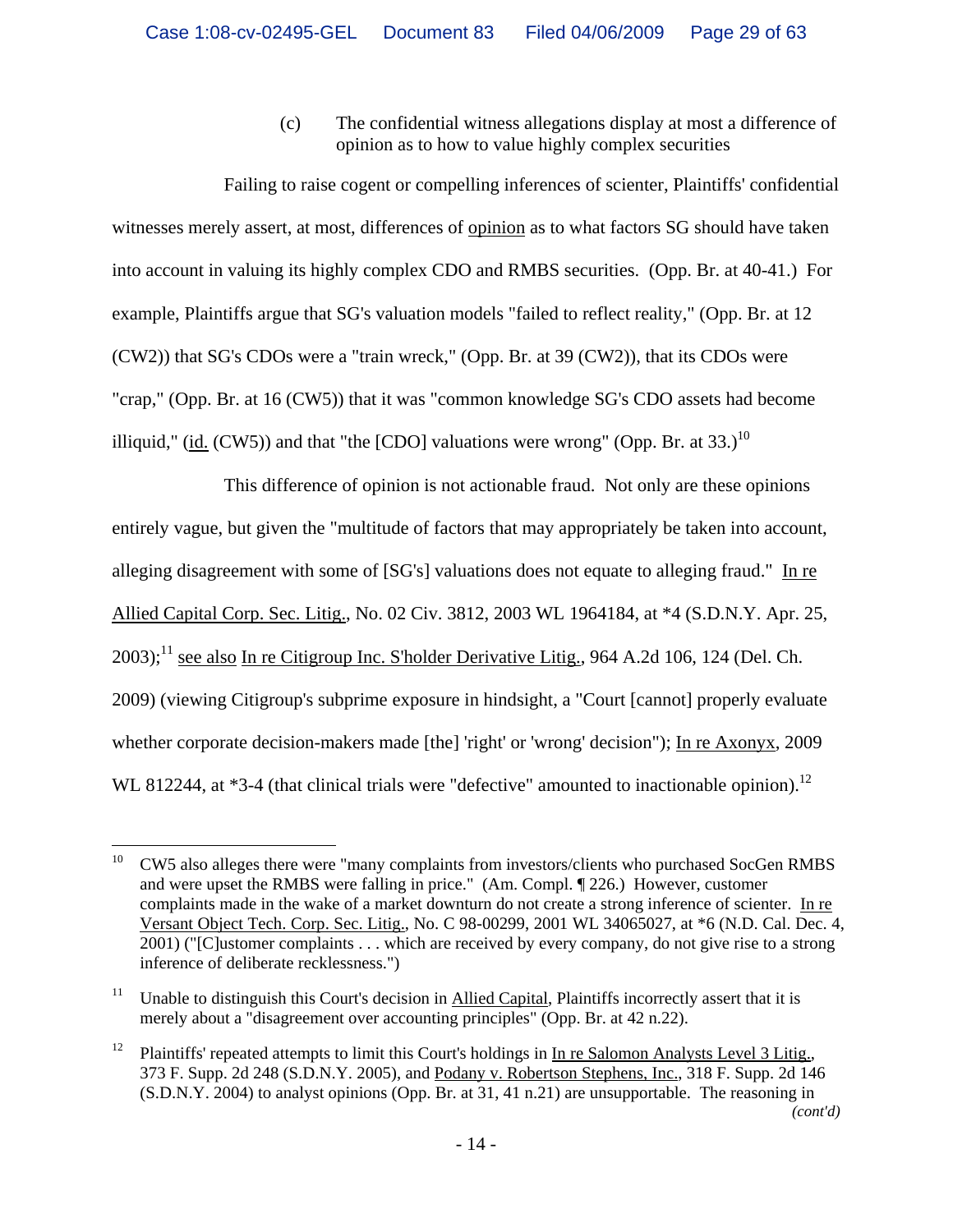(c) The confidential witness allegations display at most a difference of opinion as to how to value highly complex securities

Failing to raise cogent or compelling inferences of scienter, Plaintiffs' confidential witnesses merely assert, at most, differences of opinion as to what factors SG should have taken into account in valuing its highly complex CDO and RMBS securities. (Opp. Br. at 40-41.) For example, Plaintiffs argue that SG's valuation models "failed to reflect reality," (Opp. Br. at 12 (CW2)) that SG's CDOs were a "train wreck," (Opp. Br. at 39 (CW2)), that its CDOs were "crap," (Opp. Br. at 16 (CW5)) that it was "common knowledge SG's CDO assets had become illiquid," (id.  $(CW5)$ ) and that "the  $[CDO]$  valuations were wrong" (Opp. Br. at 33.)<sup>10</sup>

This difference of opinion is not actionable fraud. Not only are these opinions entirely vague, but given the "multitude of factors that may appropriately be taken into account, alleging disagreement with some of [SG's] valuations does not equate to alleging fraud." In re Allied Capital Corp. Sec. Litig., No. 02 Civ. 3812, 2003 WL 1964184, at \*4 (S.D.N.Y. Apr. 25,  $2003$ :<sup>11</sup> see also In re Citigroup Inc. S'holder Derivative Litig., 964 A.2d 106, 124 (Del. Ch. 2009) (viewing Citigroup's subprime exposure in hindsight, a "Court [cannot] properly evaluate whether corporate decision-makers made [the] 'right' or 'wrong' decision"); In re Axonyx, 2009 WL 812244, at \*3-4 (that clinical trials were "defective" amounted to inactionable opinion).<sup>12</sup>

<sup>10</sup> 10 CW5 also alleges there were "many complaints from investors/clients who purchased SocGen RMBS and were upset the RMBS were falling in price." (Am. Compl. ¶ 226.) However, customer complaints made in the wake of a market downturn do not create a strong inference of scienter. In re Versant Object Tech. Corp. Sec. Litig., No. C 98-00299, 2001 WL 34065027, at \*6 (N.D. Cal. Dec. 4, 2001) ("[C]ustomer complaints . . . which are received by every company, do not give rise to a strong inference of deliberate recklessness.")

<sup>&</sup>lt;sup>11</sup> Unable to distinguish this Court's decision in Allied Capital, Plaintiffs incorrectly assert that it is merely about a "disagreement over accounting principles" (Opp. Br. at 42 n.22).

<sup>&</sup>lt;sup>12</sup> Plaintiffs' repeated attempts to limit this Court's holdings in In re Salomon Analysts Level 3 Litig., 373 F. Supp. 2d 248 (S.D.N.Y. 2005), and Podany v. Robertson Stephens, Inc., 318 F. Supp. 2d 146 (S.D.N.Y. 2004) to analyst opinions (Opp. Br. at 31, 41 n.21) are unsupportable. The reasoning in *(cont'd)*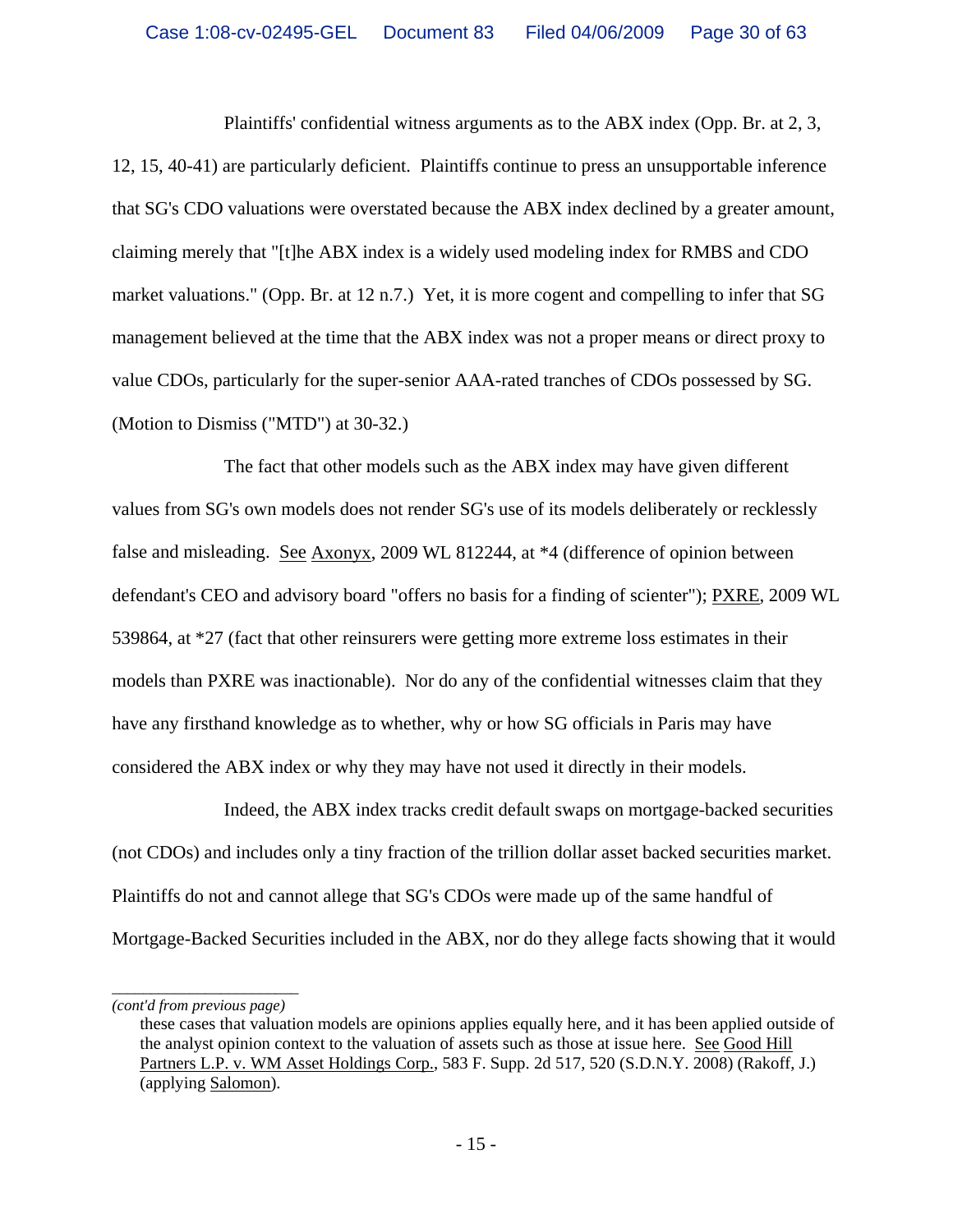Plaintiffs' confidential witness arguments as to the ABX index (Opp. Br. at 2, 3, 12, 15, 40-41) are particularly deficient. Plaintiffs continue to press an unsupportable inference that SG's CDO valuations were overstated because the ABX index declined by a greater amount, claiming merely that "[t]he ABX index is a widely used modeling index for RMBS and CDO market valuations." (Opp. Br. at 12 n.7.) Yet, it is more cogent and compelling to infer that SG management believed at the time that the ABX index was not a proper means or direct proxy to value CDOs, particularly for the super-senior AAA-rated tranches of CDOs possessed by SG. (Motion to Dismiss ("MTD") at 30-32.)

The fact that other models such as the ABX index may have given different values from SG's own models does not render SG's use of its models deliberately or recklessly false and misleading. See Axonyx, 2009 WL 812244, at \*4 (difference of opinion between defendant's CEO and advisory board "offers no basis for a finding of scienter"); PXRE, 2009 WL 539864, at \*27 (fact that other reinsurers were getting more extreme loss estimates in their models than PXRE was inactionable). Nor do any of the confidential witnesses claim that they have any firsthand knowledge as to whether, why or how SG officials in Paris may have considered the ABX index or why they may have not used it directly in their models.

Indeed, the ABX index tracks credit default swaps on mortgage-backed securities (not CDOs) and includes only a tiny fraction of the trillion dollar asset backed securities market. Plaintiffs do not and cannot allege that SG's CDOs were made up of the same handful of Mortgage-Backed Securities included in the ABX, nor do they allege facts showing that it would

*\_\_\_\_\_\_\_\_\_\_\_\_\_\_\_\_\_\_\_\_\_\_\_\_ (cont'd from previous page)*

these cases that valuation models are opinions applies equally here, and it has been applied outside of the analyst opinion context to the valuation of assets such as those at issue here. See Good Hill Partners L.P. v. WM Asset Holdings Corp., 583 F. Supp. 2d 517, 520 (S.D.N.Y. 2008) (Rakoff, J.) (applying Salomon).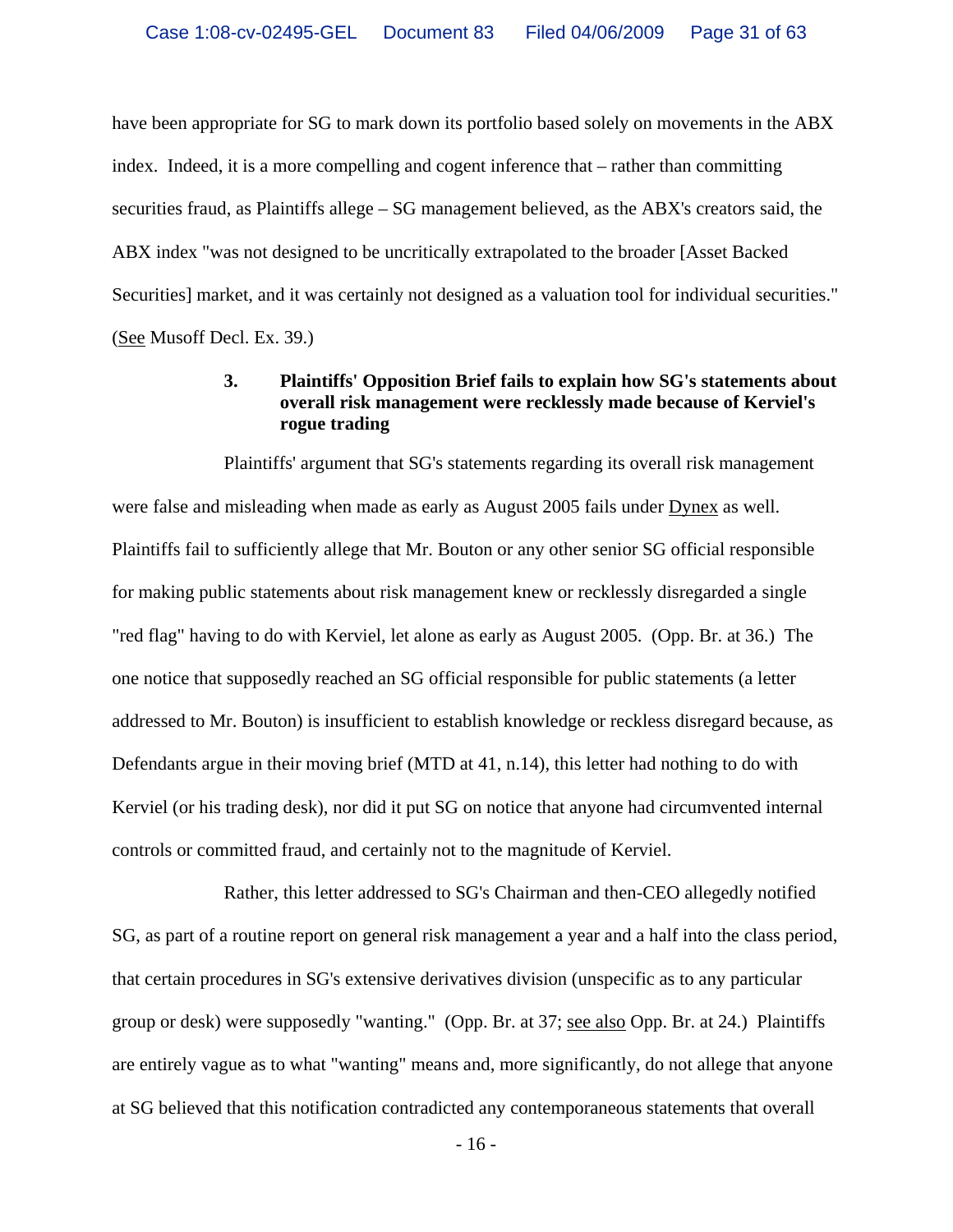have been appropriate for SG to mark down its portfolio based solely on movements in the ABX index. Indeed, it is a more compelling and cogent inference that – rather than committing securities fraud, as Plaintiffs allege – SG management believed, as the ABX's creators said, the ABX index "was not designed to be uncritically extrapolated to the broader [Asset Backed Securities] market, and it was certainly not designed as a valuation tool for individual securities." (See Musoff Decl. Ex. 39.)

### **3. Plaintiffs' Opposition Brief fails to explain how SG's statements about overall risk management were recklessly made because of Kerviel's rogue trading**

Plaintiffs' argument that SG's statements regarding its overall risk management were false and misleading when made as early as August 2005 fails under Dynex as well. Plaintiffs fail to sufficiently allege that Mr. Bouton or any other senior SG official responsible for making public statements about risk management knew or recklessly disregarded a single "red flag" having to do with Kerviel, let alone as early as August 2005. (Opp. Br. at 36.) The one notice that supposedly reached an SG official responsible for public statements (a letter addressed to Mr. Bouton) is insufficient to establish knowledge or reckless disregard because, as Defendants argue in their moving brief (MTD at 41, n.14), this letter had nothing to do with Kerviel (or his trading desk), nor did it put SG on notice that anyone had circumvented internal controls or committed fraud, and certainly not to the magnitude of Kerviel.

Rather, this letter addressed to SG's Chairman and then-CEO allegedly notified SG, as part of a routine report on general risk management a year and a half into the class period, that certain procedures in SG's extensive derivatives division (unspecific as to any particular group or desk) were supposedly "wanting." (Opp. Br. at 37; see also Opp. Br. at 24.) Plaintiffs are entirely vague as to what "wanting" means and, more significantly, do not allege that anyone at SG believed that this notification contradicted any contemporaneous statements that overall

 $-16-$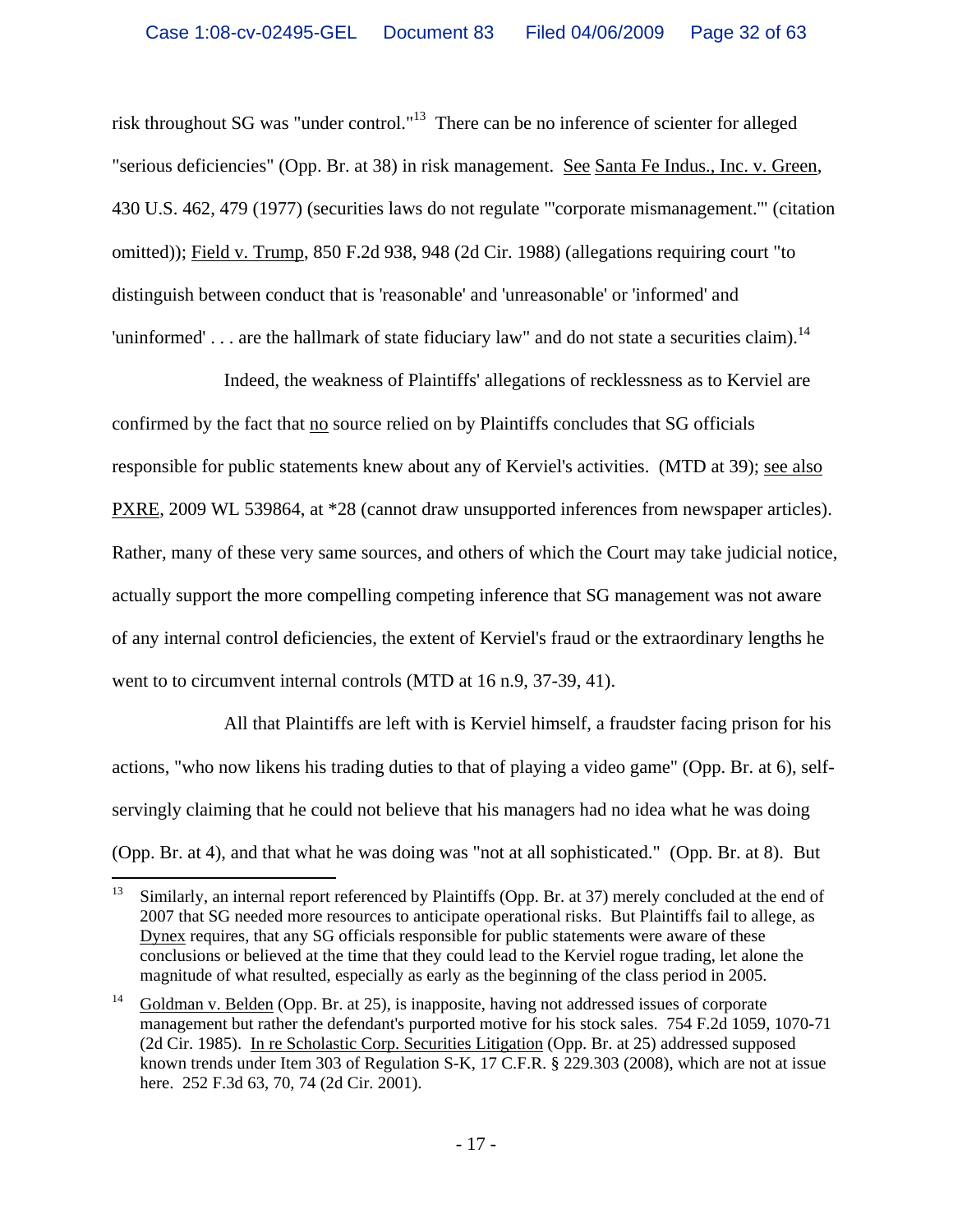risk throughout SG was "under control."13 There can be no inference of scienter for alleged "serious deficiencies" (Opp. Br. at 38) in risk management. See Santa Fe Indus., Inc. v. Green, 430 U.S. 462, 479 (1977) (securities laws do not regulate "'corporate mismanagement.'" (citation omitted)); Field v. Trump, 850 F.2d 938, 948 (2d Cir. 1988) (allegations requiring court "to distinguish between conduct that is 'reasonable' and 'unreasonable' or 'informed' and 'uninformed' . . . are the hallmark of state fiduciary law" and do not state a securities claim).<sup>14</sup>

Indeed, the weakness of Plaintiffs' allegations of recklessness as to Kerviel are confirmed by the fact that no source relied on by Plaintiffs concludes that SG officials responsible for public statements knew about any of Kerviel's activities. (MTD at 39); see also PXRE, 2009 WL 539864, at \*28 (cannot draw unsupported inferences from newspaper articles). Rather, many of these very same sources, and others of which the Court may take judicial notice, actually support the more compelling competing inference that SG management was not aware of any internal control deficiencies, the extent of Kerviel's fraud or the extraordinary lengths he went to to circumvent internal controls (MTD at 16 n.9, 37-39, 41).

All that Plaintiffs are left with is Kerviel himself, a fraudster facing prison for his actions, "who now likens his trading duties to that of playing a video game" (Opp. Br. at 6), selfservingly claiming that he could not believe that his managers had no idea what he was doing (Opp. Br. at 4), and that what he was doing was "not at all sophisticated." (Opp. Br. at 8). But

<sup>13</sup> 13 Similarly, an internal report referenced by Plaintiffs (Opp. Br. at 37) merely concluded at the end of 2007 that SG needed more resources to anticipate operational risks. But Plaintiffs fail to allege, as Dynex requires, that any SG officials responsible for public statements were aware of these conclusions or believed at the time that they could lead to the Kerviel rogue trading, let alone the magnitude of what resulted, especially as early as the beginning of the class period in 2005.

<sup>&</sup>lt;sup>14</sup> Goldman v. Belden (Opp. Br. at 25), is inapposite, having not addressed issues of corporate management but rather the defendant's purported motive for his stock sales. 754 F.2d 1059, 1070-71 (2d Cir. 1985). In re Scholastic Corp. Securities Litigation (Opp. Br. at 25) addressed supposed known trends under Item 303 of Regulation S-K, 17 C.F.R. § 229.303 (2008), which are not at issue here. 252 F.3d 63, 70, 74 (2d Cir. 2001).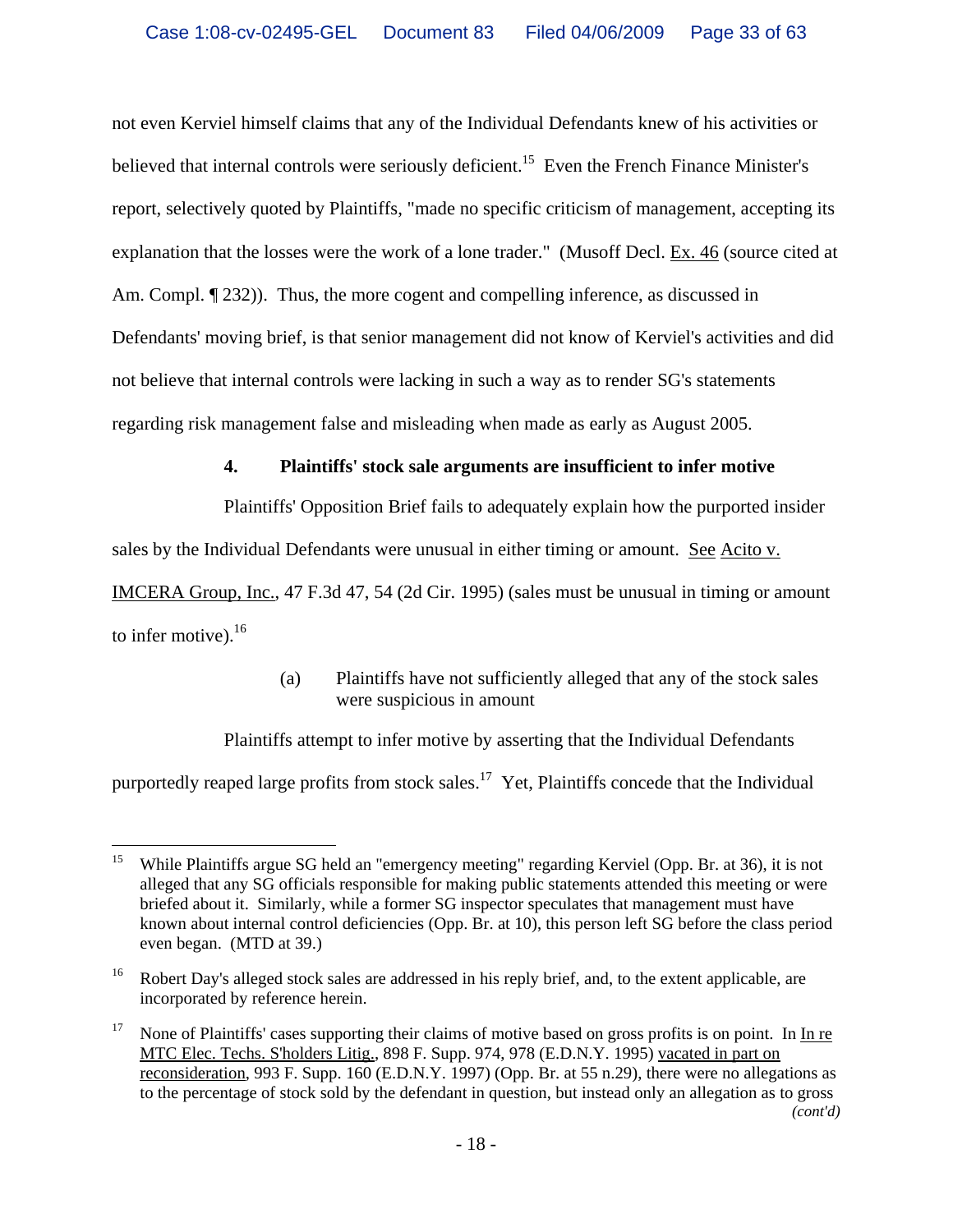not even Kerviel himself claims that any of the Individual Defendants knew of his activities or believed that internal controls were seriously deficient.<sup>15</sup> Even the French Finance Minister's report, selectively quoted by Plaintiffs, "made no specific criticism of management, accepting its explanation that the losses were the work of a lone trader." (Musoff Decl. Ex. 46 (source cited at Am. Compl.  $\lceil 232 \rceil$ ). Thus, the more cogent and compelling inference, as discussed in Defendants' moving brief, is that senior management did not know of Kerviel's activities and did not believe that internal controls were lacking in such a way as to render SG's statements regarding risk management false and misleading when made as early as August 2005.

# **4. Plaintiffs' stock sale arguments are insufficient to infer motive**

Plaintiffs' Opposition Brief fails to adequately explain how the purported insider

sales by the Individual Defendants were unusual in either timing or amount. See Acito v.

IMCERA Group, Inc., 47 F.3d 47, 54 (2d Cir. 1995) (sales must be unusual in timing or amount to infer motive). $16$ 

# (a) Plaintiffs have not sufficiently alleged that any of the stock sales were suspicious in amount

Plaintiffs attempt to infer motive by asserting that the Individual Defendants

purportedly reaped large profits from stock sales.<sup>17</sup> Yet, Plaintiffs concede that the Individual

<sup>15</sup> 15 While Plaintiffs argue SG held an "emergency meeting" regarding Kerviel (Opp. Br. at 36), it is not alleged that any SG officials responsible for making public statements attended this meeting or were briefed about it. Similarly, while a former SG inspector speculates that management must have known about internal control deficiencies (Opp. Br. at 10), this person left SG before the class period even began. (MTD at 39.)

<sup>&</sup>lt;sup>16</sup> Robert Day's alleged stock sales are addressed in his reply brief, and, to the extent applicable, are incorporated by reference herein.

<sup>&</sup>lt;sup>17</sup> None of Plaintiffs' cases supporting their claims of motive based on gross profits is on point. In In re MTC Elec. Techs. S'holders Litig., 898 F. Supp. 974, 978 (E.D.N.Y. 1995) vacated in part on reconsideration, 993 F. Supp. 160 (E.D.N.Y. 1997) (Opp. Br. at 55 n.29), there were no allegations as to the percentage of stock sold by the defendant in question, but instead only an allegation as to gross *(cont'd)*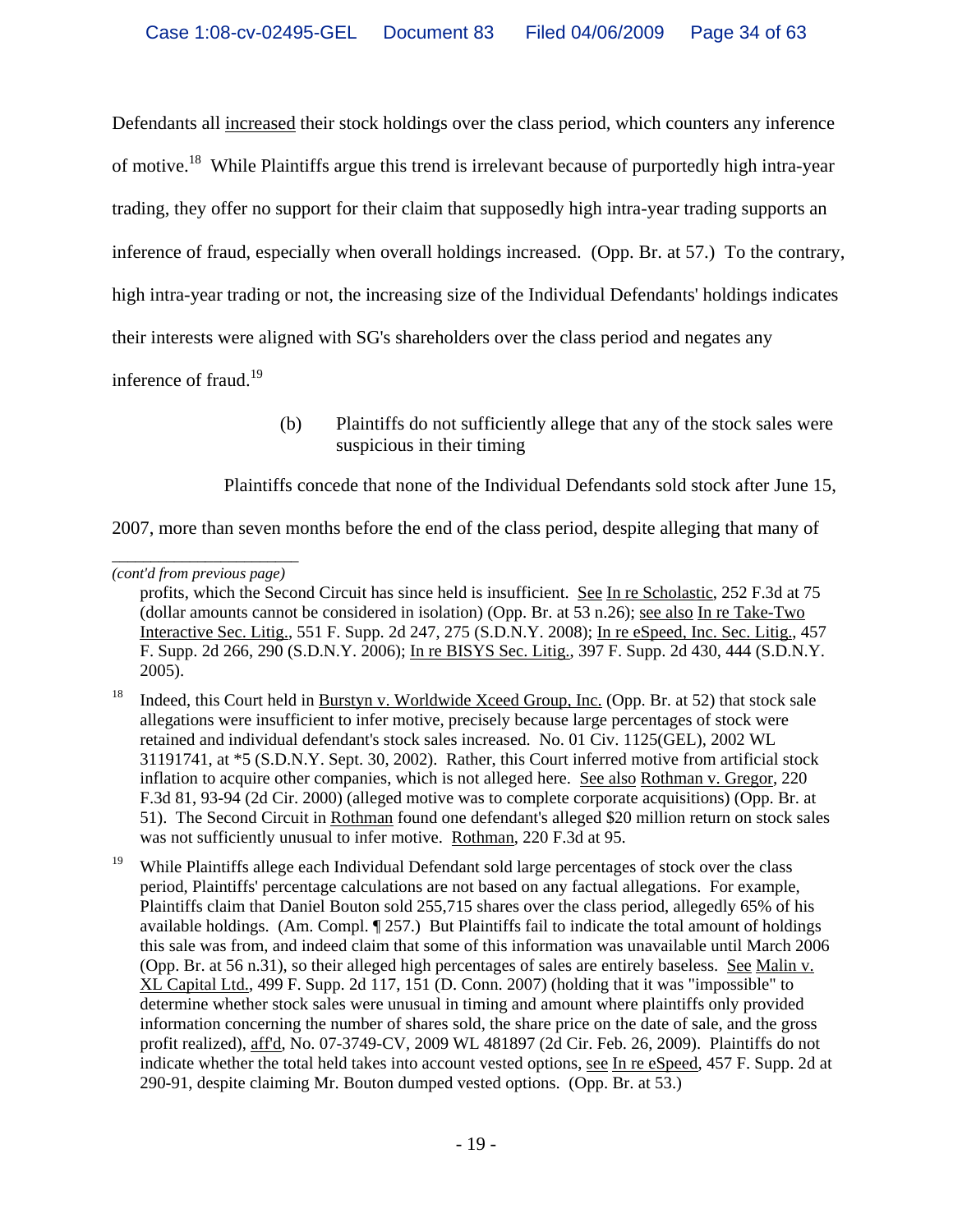Defendants all increased their stock holdings over the class period, which counters any inference of motive.18 While Plaintiffs argue this trend is irrelevant because of purportedly high intra-year trading, they offer no support for their claim that supposedly high intra-year trading supports an inference of fraud, especially when overall holdings increased. (Opp. Br. at 57.) To the contrary, high intra-year trading or not, the increasing size of the Individual Defendants' holdings indicates their interests were aligned with SG's shareholders over the class period and negates any inference of fraud.<sup>19</sup>

> (b) Plaintiffs do not sufficiently allege that any of the stock sales were suspicious in their timing

Plaintiffs concede that none of the Individual Defendants sold stock after June 15,

2007, more than seven months before the end of the class period, despite alleging that many of

*\_\_\_\_\_\_\_\_\_\_\_\_\_\_\_\_\_\_\_\_\_\_\_\_ (cont'd from previous page)*

profits, which the Second Circuit has since held is insufficient. See In re Scholastic, 252 F.3d at 75 (dollar amounts cannot be considered in isolation) (Opp. Br. at 53 n.26); see also In re Take-Two Interactive Sec. Litig., 551 F. Supp. 2d 247, 275 (S.D.N.Y. 2008); In re eSpeed, Inc. Sec. Litig., 457 F. Supp. 2d 266, 290 (S.D.N.Y. 2006); In re BISYS Sec. Litig., 397 F. Supp. 2d 430, 444 (S.D.N.Y. 2005).

<sup>&</sup>lt;sup>18</sup> Indeed, this Court held in Burstyn v. Worldwide Xceed Group, Inc. (Opp. Br. at 52) that stock sale allegations were insufficient to infer motive, precisely because large percentages of stock were retained and individual defendant's stock sales increased. No. 01 Civ. 1125(GEL), 2002 WL 31191741, at \*5 (S.D.N.Y. Sept. 30, 2002). Rather, this Court inferred motive from artificial stock inflation to acquire other companies, which is not alleged here. See also Rothman v. Gregor, 220 F.3d 81, 93-94 (2d Cir. 2000) (alleged motive was to complete corporate acquisitions) (Opp. Br. at 51). The Second Circuit in Rothman found one defendant's alleged \$20 million return on stock sales was not sufficiently unusual to infer motive. Rothman, 220 F.3d at 95.

<sup>&</sup>lt;sup>19</sup> While Plaintiffs allege each Individual Defendant sold large percentages of stock over the class period, Plaintiffs' percentage calculations are not based on any factual allegations. For example, Plaintiffs claim that Daniel Bouton sold 255,715 shares over the class period, allegedly 65% of his available holdings. (Am. Compl. ¶ 257.) But Plaintiffs fail to indicate the total amount of holdings this sale was from, and indeed claim that some of this information was unavailable until March 2006 (Opp. Br. at 56 n.31), so their alleged high percentages of sales are entirely baseless. See Malin v. XL Capital Ltd., 499 F. Supp. 2d 117, 151 (D. Conn. 2007) (holding that it was "impossible" to determine whether stock sales were unusual in timing and amount where plaintiffs only provided information concerning the number of shares sold, the share price on the date of sale, and the gross profit realized), aff'd, No. 07-3749-CV, 2009 WL 481897 (2d Cir. Feb. 26, 2009). Plaintiffs do not indicate whether the total held takes into account vested options, see In re eSpeed, 457 F. Supp. 2d at 290-91, despite claiming Mr. Bouton dumped vested options. (Opp. Br. at 53.)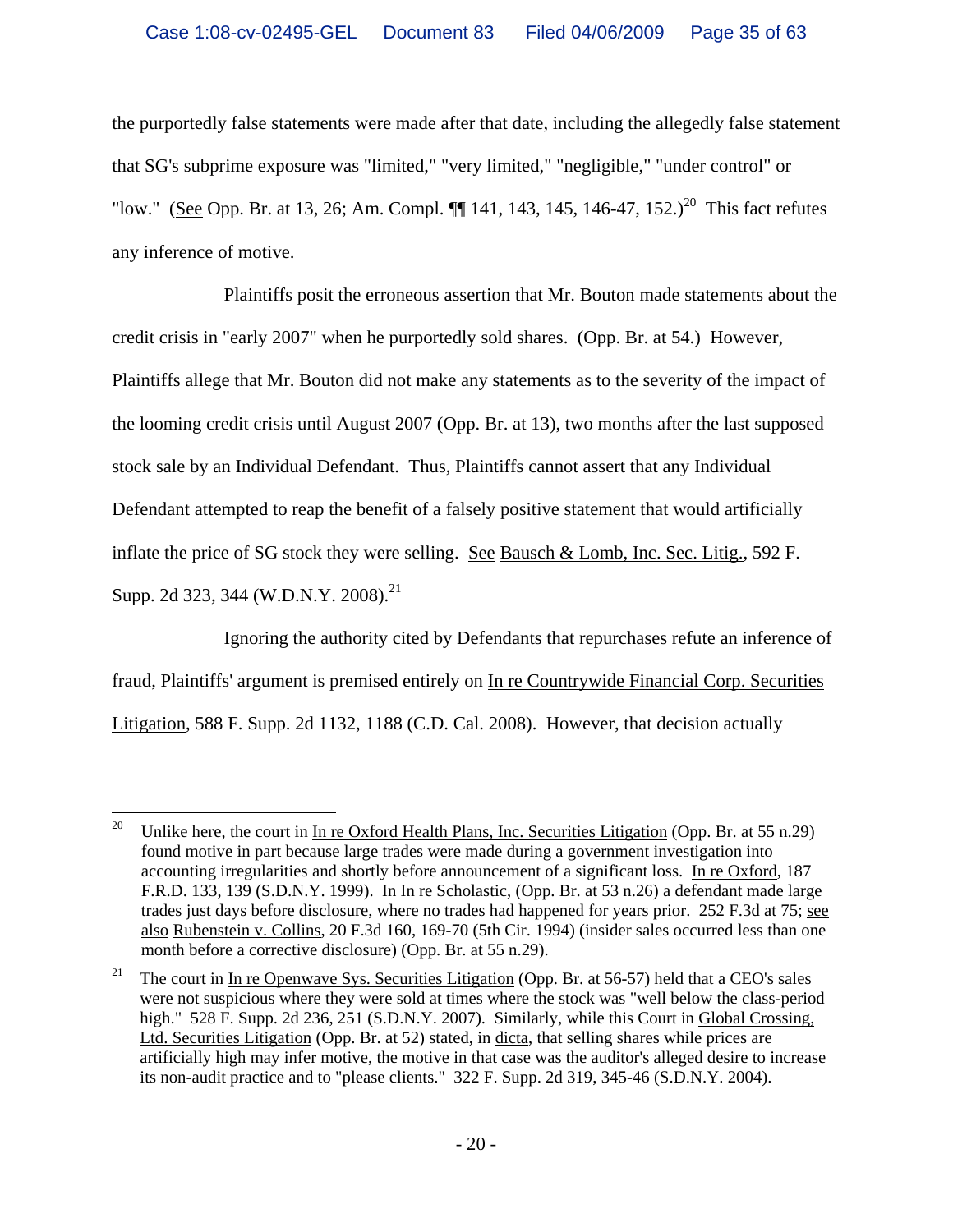the purportedly false statements were made after that date, including the allegedly false statement that SG's subprime exposure was "limited," "very limited," "negligible," "under control" or "low." (See Opp. Br. at 13, 26; Am. Compl.  $\P\P$  141, 143, 145, 146-47, 152.)<sup>20</sup> This fact refutes any inference of motive.

Plaintiffs posit the erroneous assertion that Mr. Bouton made statements about the credit crisis in "early 2007" when he purportedly sold shares. (Opp. Br. at 54.) However, Plaintiffs allege that Mr. Bouton did not make any statements as to the severity of the impact of the looming credit crisis until August 2007 (Opp. Br. at 13), two months after the last supposed stock sale by an Individual Defendant. Thus, Plaintiffs cannot assert that any Individual Defendant attempted to reap the benefit of a falsely positive statement that would artificially inflate the price of SG stock they were selling. See Bausch & Lomb, Inc. Sec. Litig., 592 F. Supp. 2d 323, 344 (W.D.N.Y. 2008).<sup>21</sup>

Ignoring the authority cited by Defendants that repurchases refute an inference of fraud, Plaintiffs' argument is premised entirely on In re Countrywide Financial Corp. Securities Litigation, 588 F. Supp. 2d 1132, 1188 (C.D. Cal. 2008). However, that decision actually

 $\overline{a}$ 

<sup>&</sup>lt;sup>20</sup> Unlike here, the court in In re Oxford Health Plans, Inc. Securities Litigation (Opp. Br. at 55 n.29) found motive in part because large trades were made during a government investigation into accounting irregularities and shortly before announcement of a significant loss. In re Oxford, 187 F.R.D. 133, 139 (S.D.N.Y. 1999). In In re Scholastic, (Opp. Br. at 53 n.26) a defendant made large trades just days before disclosure, where no trades had happened for years prior. 252 F.3d at 75; see also Rubenstein v. Collins, 20 F.3d 160, 169-70 (5th Cir. 1994) (insider sales occurred less than one month before a corrective disclosure) (Opp. Br. at 55 n.29).

<sup>&</sup>lt;sup>21</sup> The court in In re Openwave Sys. Securities Litigation (Opp. Br. at 56-57) held that a CEO's sales were not suspicious where they were sold at times where the stock was "well below the class-period high." 528 F. Supp. 2d 236, 251 (S.D.N.Y. 2007). Similarly, while this Court in Global Crossing, Ltd. Securities Litigation (Opp. Br. at 52) stated, in dicta, that selling shares while prices are artificially high may infer motive, the motive in that case was the auditor's alleged desire to increase its non-audit practice and to "please clients." 322 F. Supp. 2d 319, 345-46 (S.D.N.Y. 2004).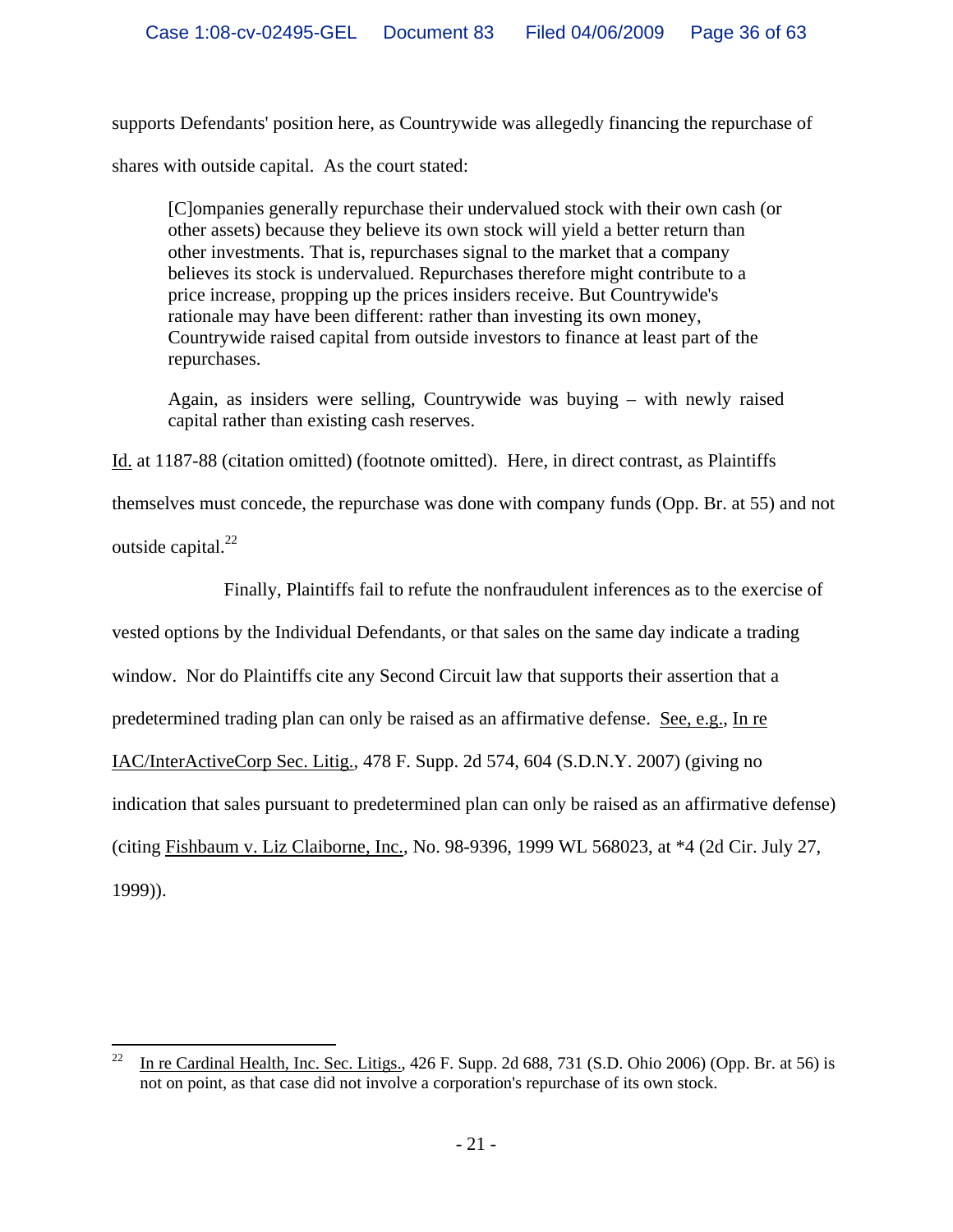supports Defendants' position here, as Countrywide was allegedly financing the repurchase of shares with outside capital. As the court stated:

[C]ompanies generally repurchase their undervalued stock with their own cash (or other assets) because they believe its own stock will yield a better return than other investments. That is, repurchases signal to the market that a company believes its stock is undervalued. Repurchases therefore might contribute to a price increase, propping up the prices insiders receive. But Countrywide's rationale may have been different: rather than investing its own money, Countrywide raised capital from outside investors to finance at least part of the repurchases.

Again, as insiders were selling, Countrywide was buying – with newly raised capital rather than existing cash reserves.

Id. at 1187-88 (citation omitted) (footnote omitted). Here, in direct contrast, as Plaintiffs

themselves must concede, the repurchase was done with company funds (Opp. Br. at 55) and not

outside capital. $^{22}$ 

Finally, Plaintiffs fail to refute the nonfraudulent inferences as to the exercise of

vested options by the Individual Defendants, or that sales on the same day indicate a trading

window. Nor do Plaintiffs cite any Second Circuit law that supports their assertion that a

predetermined trading plan can only be raised as an affirmative defense. See, e.g., In re

IAC/InterActiveCorp Sec. Litig., 478 F. Supp. 2d 574, 604 (S.D.N.Y. 2007) (giving no

indication that sales pursuant to predetermined plan can only be raised as an affirmative defense)

(citing Fishbaum v. Liz Claiborne, Inc., No. 98-9396, 1999 WL 568023, at \*4 (2d Cir. July 27,

1999)).

<sup>22</sup> 22 In re Cardinal Health, Inc. Sec. Litigs., 426 F. Supp. 2d 688, 731 (S.D. Ohio 2006) (Opp. Br. at 56) is not on point, as that case did not involve a corporation's repurchase of its own stock.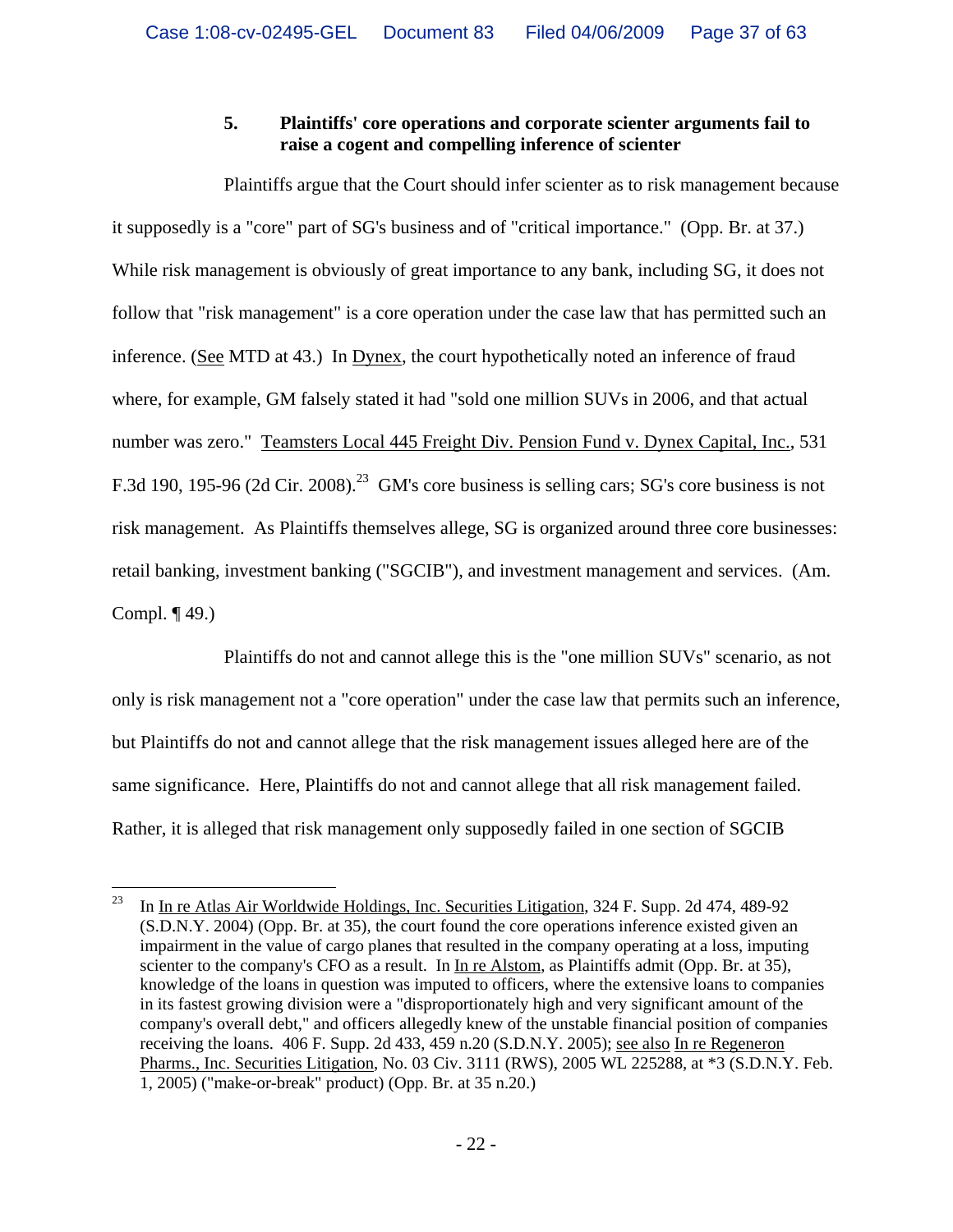# **5. Plaintiffs' core operations and corporate scienter arguments fail to raise a cogent and compelling inference of scienter**

Plaintiffs argue that the Court should infer scienter as to risk management because it supposedly is a "core" part of SG's business and of "critical importance." (Opp. Br. at 37.) While risk management is obviously of great importance to any bank, including SG, it does not follow that "risk management" is a core operation under the case law that has permitted such an inference. (See MTD at 43.) In Dynex, the court hypothetically noted an inference of fraud where, for example, GM falsely stated it had "sold one million SUVs in 2006, and that actual number was zero." Teamsters Local 445 Freight Div. Pension Fund v. Dynex Capital, Inc., 531 F.3d 190, 195-96 (2d Cir. 2008).<sup>23</sup> GM's core business is selling cars; SG's core business is not risk management. As Plaintiffs themselves allege, SG is organized around three core businesses: retail banking, investment banking ("SGCIB"), and investment management and services. (Am. Compl. ¶ 49.)

Plaintiffs do not and cannot allege this is the "one million SUVs" scenario, as not only is risk management not a "core operation" under the case law that permits such an inference, but Plaintiffs do not and cannot allege that the risk management issues alleged here are of the same significance. Here, Plaintiffs do not and cannot allege that all risk management failed. Rather, it is alleged that risk management only supposedly failed in one section of SGCIB

<sup>23</sup> 23 In In re Atlas Air Worldwide Holdings, Inc. Securities Litigation, 324 F. Supp. 2d 474, 489-92 (S.D.N.Y. 2004) (Opp. Br. at 35), the court found the core operations inference existed given an impairment in the value of cargo planes that resulted in the company operating at a loss, imputing scienter to the company's CFO as a result. In In re Alstom, as Plaintiffs admit (Opp. Br. at 35), knowledge of the loans in question was imputed to officers, where the extensive loans to companies in its fastest growing division were a "disproportionately high and very significant amount of the company's overall debt," and officers allegedly knew of the unstable financial position of companies receiving the loans. 406 F. Supp. 2d 433, 459 n.20 (S.D.N.Y. 2005); see also In re Regeneron Pharms., Inc. Securities Litigation, No. 03 Civ. 3111 (RWS), 2005 WL 225288, at \*3 (S.D.N.Y. Feb. 1, 2005) ("make-or-break" product) (Opp. Br. at 35 n.20.)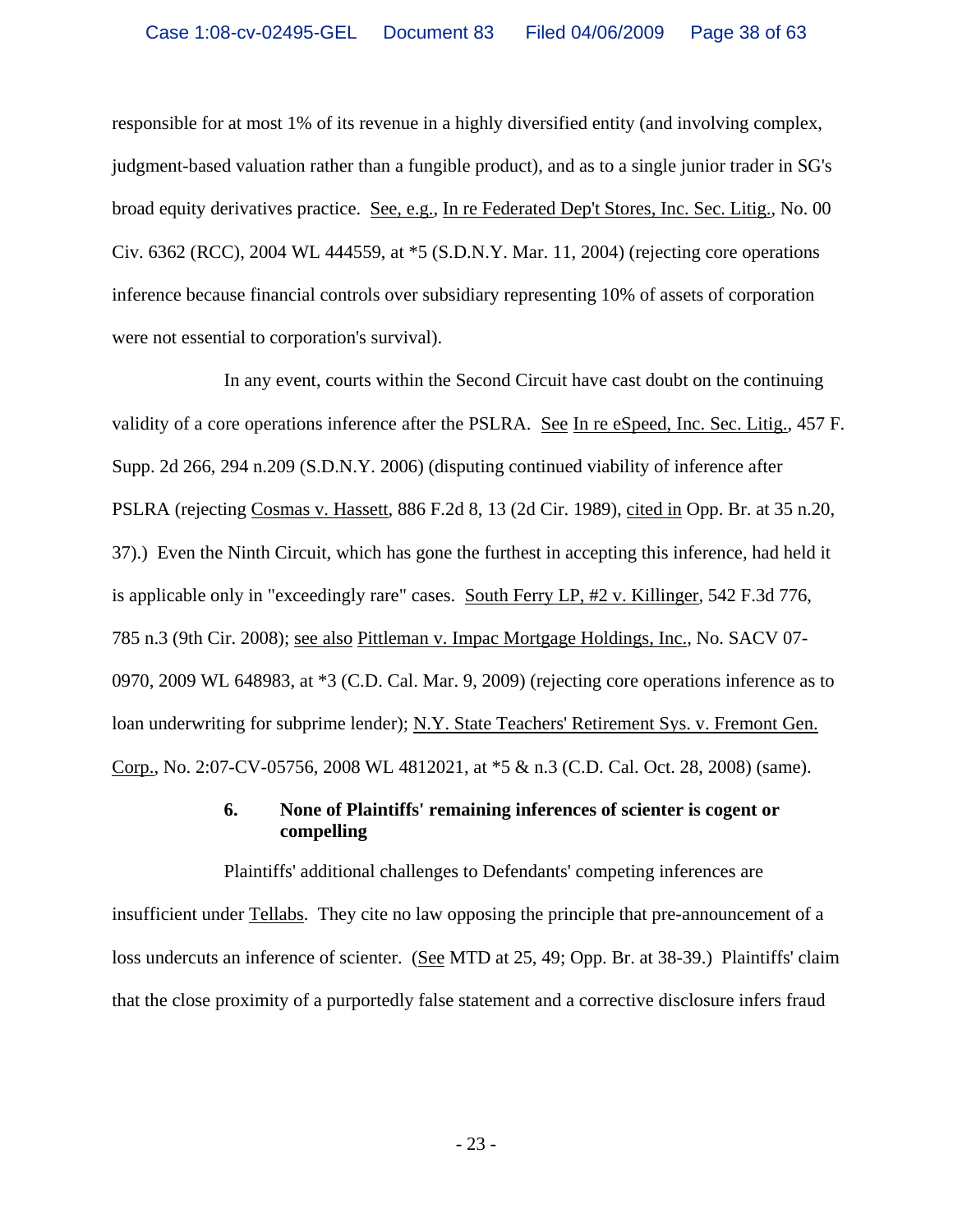responsible for at most 1% of its revenue in a highly diversified entity (and involving complex, judgment-based valuation rather than a fungible product), and as to a single junior trader in SG's broad equity derivatives practice. See, e.g., In re Federated Dep't Stores, Inc. Sec. Litig., No. 00 Civ. 6362 (RCC), 2004 WL 444559, at \*5 (S.D.N.Y. Mar. 11, 2004) (rejecting core operations inference because financial controls over subsidiary representing 10% of assets of corporation were not essential to corporation's survival).

In any event, courts within the Second Circuit have cast doubt on the continuing validity of a core operations inference after the PSLRA. See In re eSpeed, Inc. Sec. Litig., 457 F. Supp. 2d 266, 294 n.209 (S.D.N.Y. 2006) (disputing continued viability of inference after PSLRA (rejecting Cosmas v. Hassett, 886 F.2d 8, 13 (2d Cir. 1989), cited in Opp. Br. at 35 n.20, 37).) Even the Ninth Circuit, which has gone the furthest in accepting this inference, had held it is applicable only in "exceedingly rare" cases. South Ferry LP, #2 v. Killinger, 542 F.3d 776, 785 n.3 (9th Cir. 2008); see also Pittleman v. Impac Mortgage Holdings, Inc., No. SACV 07- 0970, 2009 WL 648983, at \*3 (C.D. Cal. Mar. 9, 2009) (rejecting core operations inference as to loan underwriting for subprime lender); N.Y. State Teachers' Retirement Sys. v. Fremont Gen. Corp., No. 2:07-CV-05756, 2008 WL 4812021, at \*5 & n.3 (C.D. Cal. Oct. 28, 2008) (same).

#### **6. None of Plaintiffs' remaining inferences of scienter is cogent or compelling**

Plaintiffs' additional challenges to Defendants' competing inferences are insufficient under Tellabs. They cite no law opposing the principle that pre-announcement of a loss undercuts an inference of scienter. (See MTD at 25, 49; Opp. Br. at 38-39.) Plaintiffs' claim that the close proximity of a purportedly false statement and a corrective disclosure infers fraud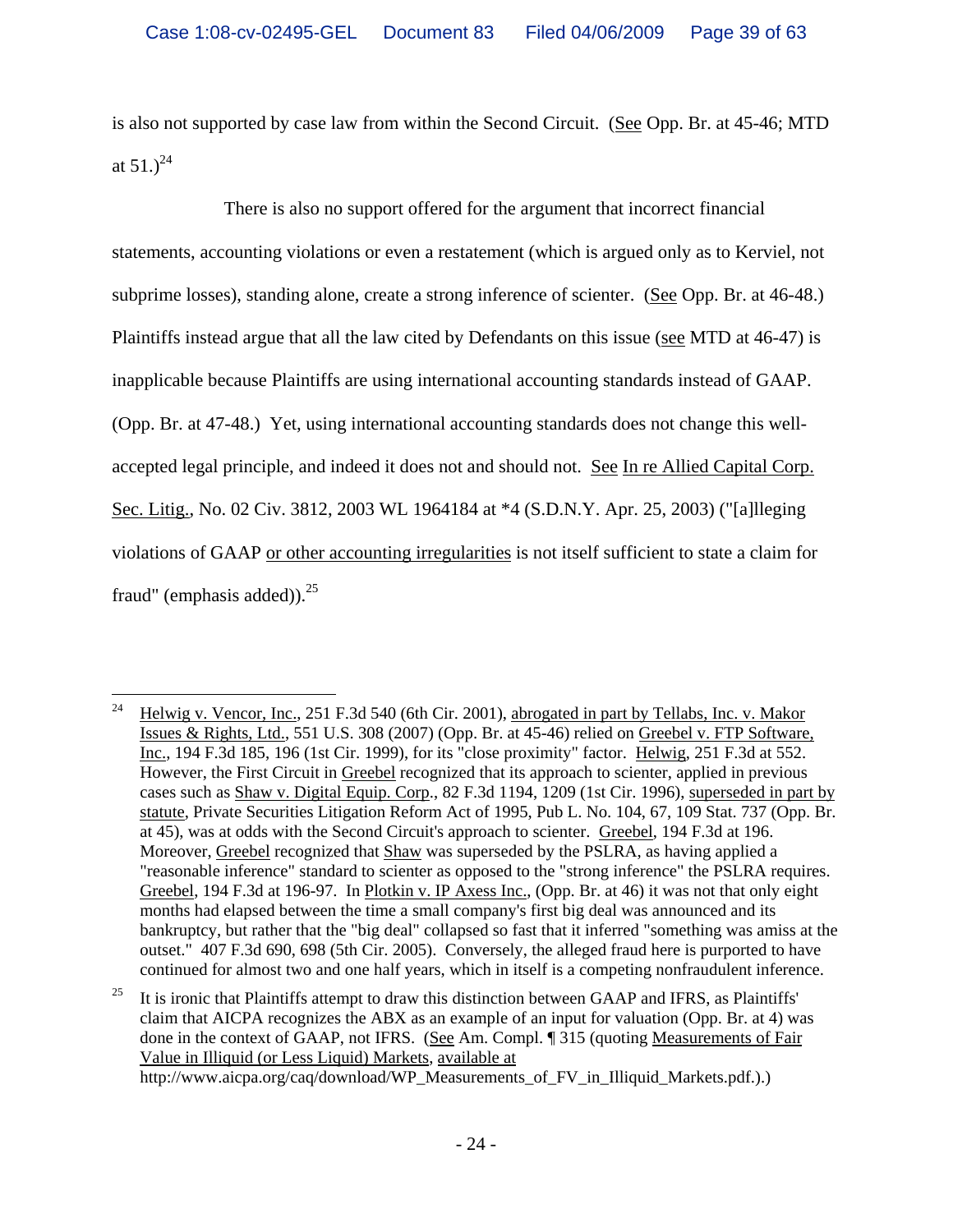is also not supported by case law from within the Second Circuit. (See Opp. Br. at 45-46; MTD at  $51.2^{24}$ 

There is also no support offered for the argument that incorrect financial statements, accounting violations or even a restatement (which is argued only as to Kerviel, not subprime losses), standing alone, create a strong inference of scienter. (See Opp. Br. at 46-48.) Plaintiffs instead argue that all the law cited by Defendants on this issue (see MTD at 46-47) is inapplicable because Plaintiffs are using international accounting standards instead of GAAP. (Opp. Br. at 47-48.) Yet, using international accounting standards does not change this wellaccepted legal principle, and indeed it does not and should not. See In re Allied Capital Corp. Sec. Litig., No. 02 Civ. 3812, 2003 WL 1964184 at \*4 (S.D.N.Y. Apr. 25, 2003) ("[a]lleging violations of GAAP or other accounting irregularities is not itself sufficient to state a claim for fraud" (emphasis added)). $^{25}$ 

<sup>25</sup> It is ironic that Plaintiffs attempt to draw this distinction between GAAP and IFRS, as Plaintiffs' claim that AICPA recognizes the ABX as an example of an input for valuation (Opp. Br. at 4) was done in the context of GAAP, not IFRS. (See Am. Compl. ¶ 315 (quoting Measurements of Fair Value in Illiquid (or Less Liquid) Markets, available at

http://www.aicpa.org/caq/download/WP\_Measurements\_of\_FV\_in\_Illiquid\_Markets.pdf.).)

<sup>24</sup> 24 Helwig v. Vencor, Inc., 251 F.3d 540 (6th Cir. 2001), abrogated in part by Tellabs, Inc. v. Makor Issues & Rights, Ltd., 551 U.S. 308 (2007) (Opp. Br. at 45-46) relied on Greebel v. FTP Software, Inc., 194 F.3d 185, 196 (1st Cir. 1999), for its "close proximity" factor. Helwig, 251 F.3d at 552. However, the First Circuit in Greebel recognized that its approach to scienter, applied in previous cases such as Shaw v. Digital Equip. Corp., 82 F.3d 1194, 1209 (1st Cir. 1996), superseded in part by statute, Private Securities Litigation Reform Act of 1995, Pub L. No. 104, 67, 109 Stat. 737 (Opp. Br. at 45), was at odds with the Second Circuit's approach to scienter. Greebel, 194 F.3d at 196. Moreover, Greebel recognized that Shaw was superseded by the PSLRA, as having applied a "reasonable inference" standard to scienter as opposed to the "strong inference" the PSLRA requires. Greebel, 194 F.3d at 196-97. In Plotkin v. IP Axess Inc., (Opp. Br. at 46) it was not that only eight months had elapsed between the time a small company's first big deal was announced and its bankruptcy, but rather that the "big deal" collapsed so fast that it inferred "something was amiss at the outset." 407 F.3d 690, 698 (5th Cir. 2005). Conversely, the alleged fraud here is purported to have continued for almost two and one half years, which in itself is a competing nonfraudulent inference.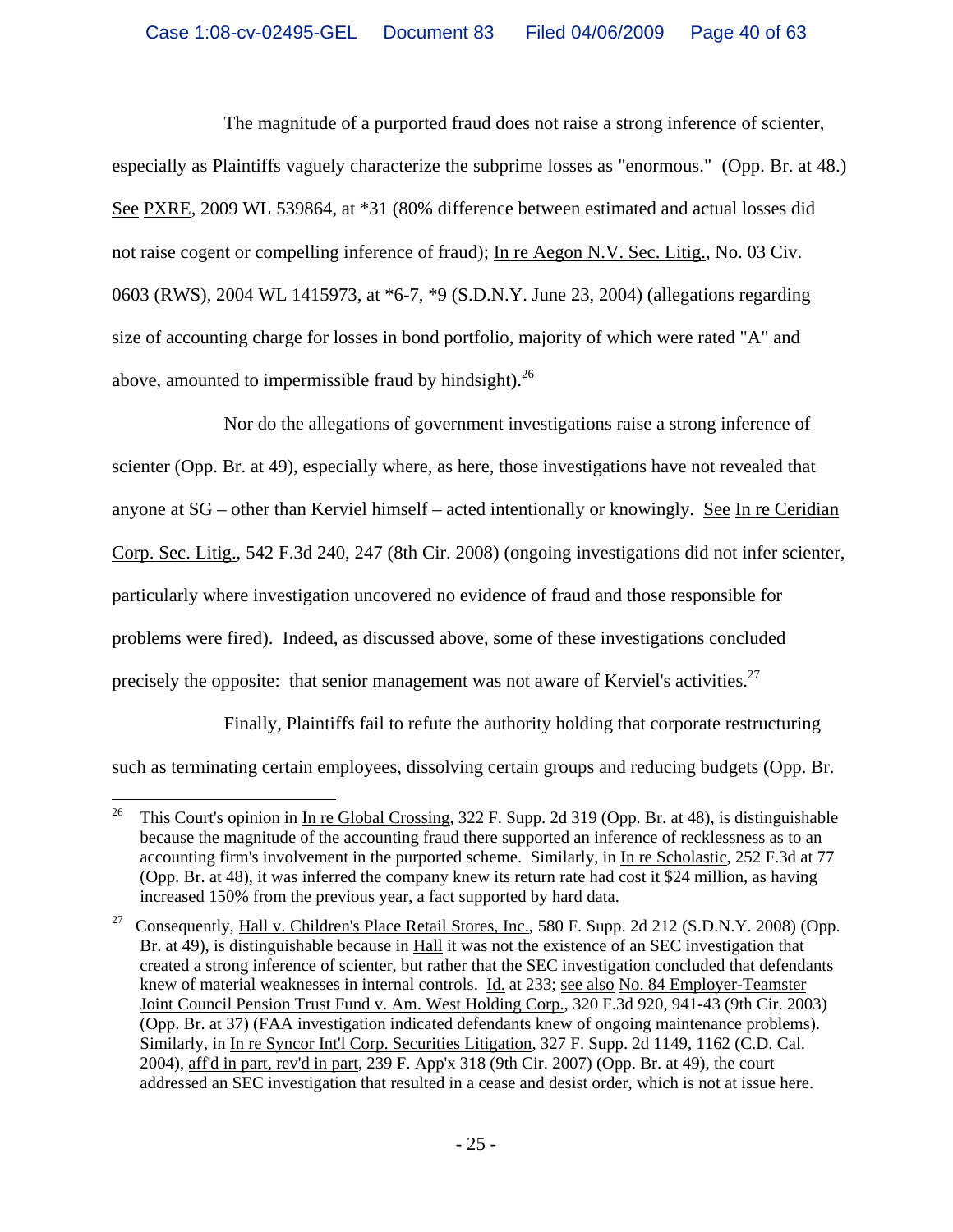The magnitude of a purported fraud does not raise a strong inference of scienter, especially as Plaintiffs vaguely characterize the subprime losses as "enormous." (Opp. Br. at 48.) See PXRE, 2009 WL 539864, at \*31 (80% difference between estimated and actual losses did not raise cogent or compelling inference of fraud); In re Aegon N.V. Sec. Litig., No. 03 Civ. 0603 (RWS), 2004 WL 1415973, at \*6-7, \*9 (S.D.N.Y. June 23, 2004) (allegations regarding size of accounting charge for losses in bond portfolio, majority of which were rated "A" and above, amounted to impermissible fraud by hindsight).  $^{26}$ 

Nor do the allegations of government investigations raise a strong inference of scienter (Opp. Br. at 49), especially where, as here, those investigations have not revealed that anyone at SG – other than Kerviel himself – acted intentionally or knowingly. See In re Ceridian Corp. Sec. Litig., 542 F.3d 240, 247 (8th Cir. 2008) (ongoing investigations did not infer scienter, particularly where investigation uncovered no evidence of fraud and those responsible for problems were fired). Indeed, as discussed above, some of these investigations concluded precisely the opposite: that senior management was not aware of Kerviel's activities.<sup>27</sup>

Finally, Plaintiffs fail to refute the authority holding that corporate restructuring such as terminating certain employees, dissolving certain groups and reducing budgets (Opp. Br.

 $26\,$ 26 This Court's opinion in In re Global Crossing, 322 F. Supp. 2d 319 (Opp. Br. at 48), is distinguishable because the magnitude of the accounting fraud there supported an inference of recklessness as to an accounting firm's involvement in the purported scheme. Similarly, in In re Scholastic, 252 F.3d at 77 (Opp. Br. at 48), it was inferred the company knew its return rate had cost it \$24 million, as having increased 150% from the previous year, a fact supported by hard data.

<sup>&</sup>lt;sup>27</sup> Consequently, Hall v. Children's Place Retail Stores, Inc., 580 F. Supp. 2d 212 (S.D.N.Y. 2008) (Opp. Br. at 49), is distinguishable because in Hall it was not the existence of an SEC investigation that created a strong inference of scienter, but rather that the SEC investigation concluded that defendants knew of material weaknesses in internal controls. Id. at 233; see also No. 84 Employer-Teamster Joint Council Pension Trust Fund v. Am. West Holding Corp., 320 F.3d 920, 941-43 (9th Cir. 2003) (Opp. Br. at 37) (FAA investigation indicated defendants knew of ongoing maintenance problems). Similarly, in In re Syncor Int'l Corp. Securities Litigation, 327 F. Supp. 2d 1149, 1162 (C.D. Cal. 2004), aff'd in part, rev'd in part, 239 F. App'x 318 (9th Cir. 2007) (Opp. Br. at 49), the court addressed an SEC investigation that resulted in a cease and desist order, which is not at issue here.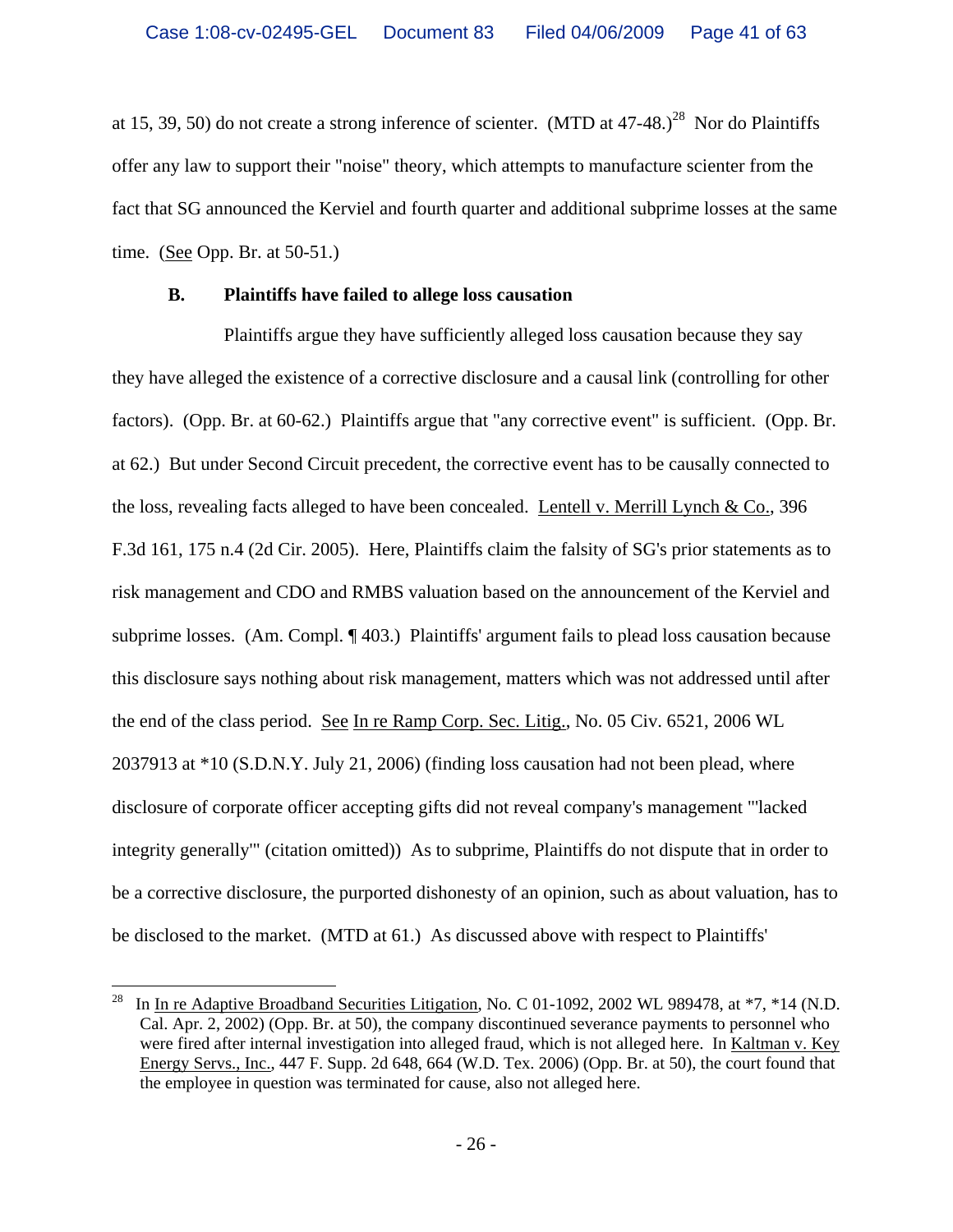at 15, 39, 50) do not create a strong inference of scienter. (MTD at  $47-48$ .)<sup>28</sup> Nor do Plaintiffs offer any law to support their "noise" theory, which attempts to manufacture scienter from the fact that SG announced the Kerviel and fourth quarter and additional subprime losses at the same time. (See Opp. Br. at 50-51.)

#### **B. Plaintiffs have failed to allege loss causation**

Plaintiffs argue they have sufficiently alleged loss causation because they say they have alleged the existence of a corrective disclosure and a causal link (controlling for other factors). (Opp. Br. at 60-62.) Plaintiffs argue that "any corrective event" is sufficient. (Opp. Br. at 62.) But under Second Circuit precedent, the corrective event has to be causally connected to the loss, revealing facts alleged to have been concealed. Lentell v. Merrill Lynch & Co., 396 F.3d 161, 175 n.4 (2d Cir. 2005). Here, Plaintiffs claim the falsity of SG's prior statements as to risk management and CDO and RMBS valuation based on the announcement of the Kerviel and subprime losses. (Am. Compl. ¶ 403.) Plaintiffs' argument fails to plead loss causation because this disclosure says nothing about risk management, matters which was not addressed until after the end of the class period. See In re Ramp Corp. Sec. Litig., No. 05 Civ. 6521, 2006 WL 2037913 at \*10 (S.D.N.Y. July 21, 2006) (finding loss causation had not been plead, where disclosure of corporate officer accepting gifts did not reveal company's management "'lacked integrity generally'" (citation omitted)) As to subprime, Plaintiffs do not dispute that in order to be a corrective disclosure, the purported dishonesty of an opinion, such as about valuation, has to be disclosed to the market. (MTD at 61.) As discussed above with respect to Plaintiffs'

 $28\,$ In In re Adaptive Broadband Securities Litigation, No. C 01-1092, 2002 WL 989478, at  $*7, *14$  (N.D. Cal. Apr. 2, 2002) (Opp. Br. at 50), the company discontinued severance payments to personnel who were fired after internal investigation into alleged fraud, which is not alleged here. In Kaltman v. Key Energy Servs., Inc., 447 F. Supp. 2d 648, 664 (W.D. Tex. 2006) (Opp. Br. at 50), the court found that the employee in question was terminated for cause, also not alleged here.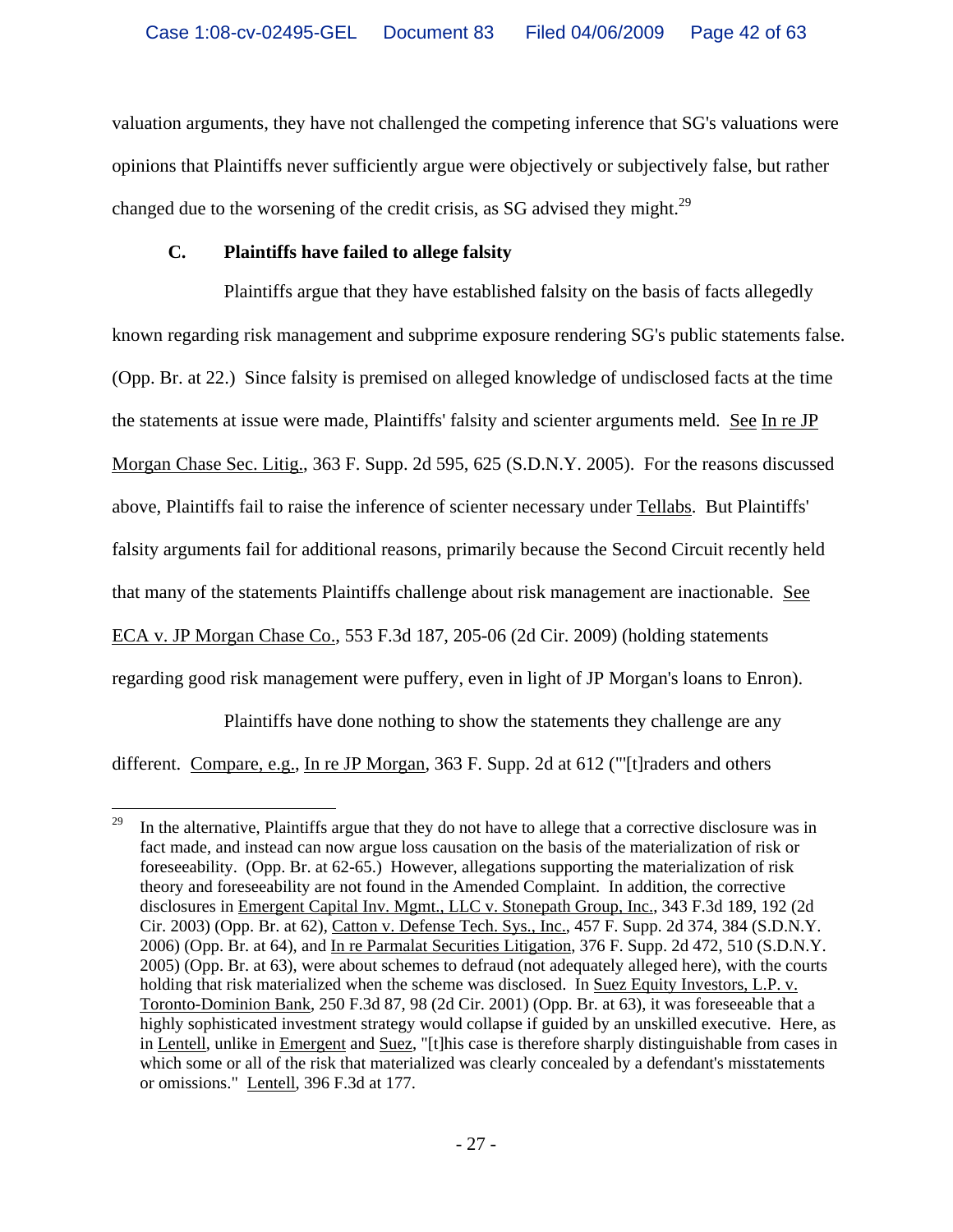valuation arguments, they have not challenged the competing inference that SG's valuations were opinions that Plaintiffs never sufficiently argue were objectively or subjectively false, but rather changed due to the worsening of the credit crisis, as SG advised they might.<sup>29</sup>

### **C. Plaintiffs have failed to allege falsity**

Plaintiffs argue that they have established falsity on the basis of facts allegedly known regarding risk management and subprime exposure rendering SG's public statements false. (Opp. Br. at 22.) Since falsity is premised on alleged knowledge of undisclosed facts at the time the statements at issue were made, Plaintiffs' falsity and scienter arguments meld. See In re JP Morgan Chase Sec. Litig., 363 F. Supp. 2d 595, 625 (S.D.N.Y. 2005). For the reasons discussed above, Plaintiffs fail to raise the inference of scienter necessary under Tellabs. But Plaintiffs' falsity arguments fail for additional reasons, primarily because the Second Circuit recently held that many of the statements Plaintiffs challenge about risk management are inactionable. See ECA v. JP Morgan Chase Co., 553 F.3d 187, 205-06 (2d Cir. 2009) (holding statements regarding good risk management were puffery, even in light of JP Morgan's loans to Enron).

Plaintiffs have done nothing to show the statements they challenge are any

different. Compare, e.g., In re JP Morgan, 363 F. Supp. 2d at 612 ("'[t]raders and others

 $29\,$ 29 In the alternative, Plaintiffs argue that they do not have to allege that a corrective disclosure was in fact made, and instead can now argue loss causation on the basis of the materialization of risk or foreseeability. (Opp. Br. at 62-65.) However, allegations supporting the materialization of risk theory and foreseeability are not found in the Amended Complaint. In addition, the corrective disclosures in Emergent Capital Inv. Mgmt., LLC v. Stonepath Group, Inc., 343 F.3d 189, 192 (2d Cir. 2003) (Opp. Br. at 62), Catton v. Defense Tech. Sys., Inc., 457 F. Supp. 2d 374, 384 (S.D.N.Y. 2006) (Opp. Br. at 64), and In re Parmalat Securities Litigation, 376 F. Supp. 2d 472, 510 (S.D.N.Y. 2005) (Opp. Br. at 63), were about schemes to defraud (not adequately alleged here), with the courts holding that risk materialized when the scheme was disclosed. In Suez Equity Investors, L.P. v. Toronto-Dominion Bank, 250 F.3d 87, 98 (2d Cir. 2001) (Opp. Br. at 63), it was foreseeable that a highly sophisticated investment strategy would collapse if guided by an unskilled executive. Here, as in Lentell, unlike in Emergent and Suez, "[t]his case is therefore sharply distinguishable from cases in which some or all of the risk that materialized was clearly concealed by a defendant's misstatements or omissions." Lentell, 396 F.3d at 177.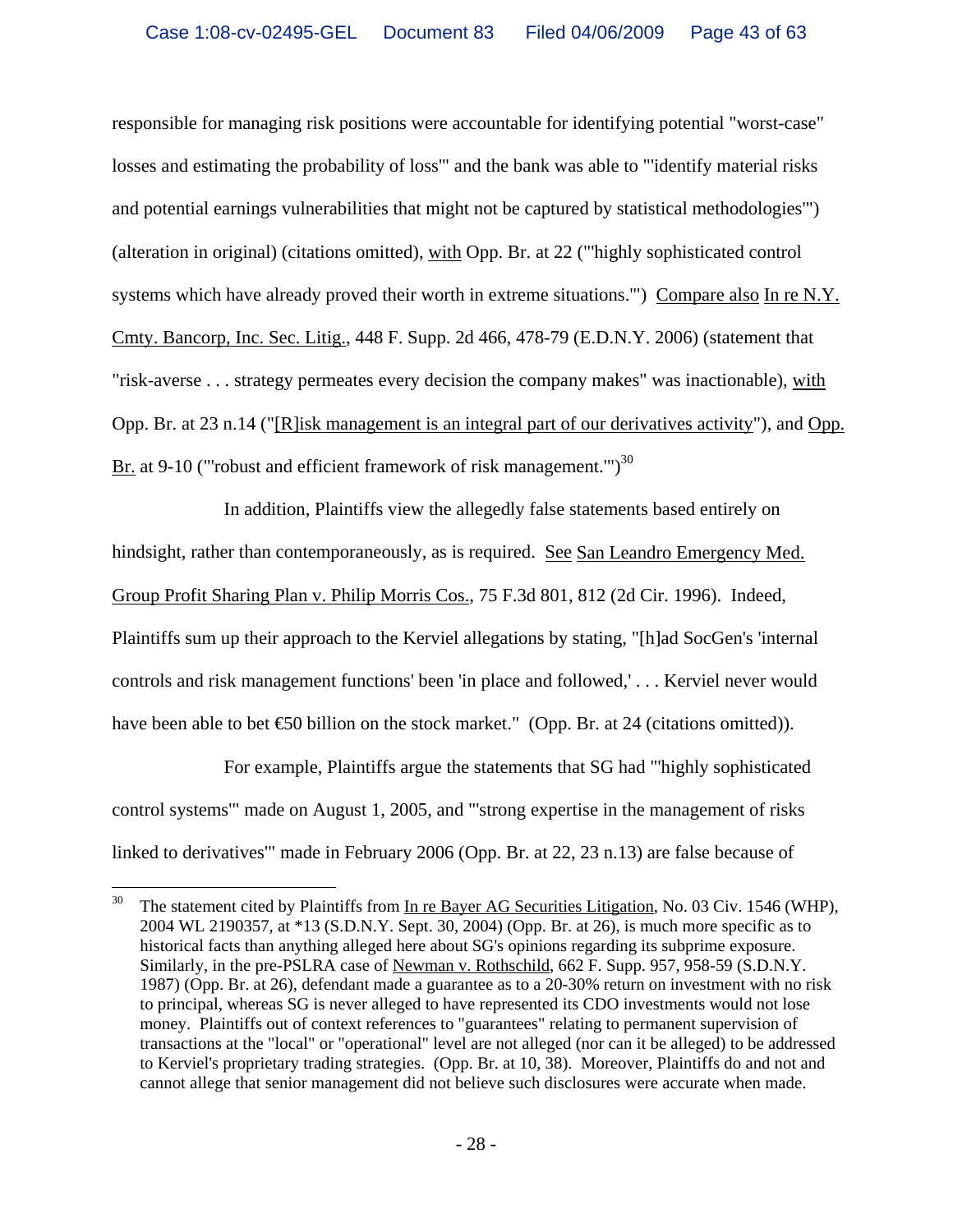responsible for managing risk positions were accountable for identifying potential "worst-case" losses and estimating the probability of loss'" and the bank was able to "'identify material risks and potential earnings vulnerabilities that might not be captured by statistical methodologies'") (alteration in original) (citations omitted), with Opp. Br. at 22 ("'highly sophisticated control systems which have already proved their worth in extreme situations.'") Compare also In re N.Y. Cmty. Bancorp, Inc. Sec. Litig., 448 F. Supp. 2d 466, 478-79 (E.D.N.Y. 2006) (statement that "risk-averse . . . strategy permeates every decision the company makes" was inactionable), with Opp. Br. at 23 n.14 ("[R]isk management is an integral part of our derivatives activity"), and Opp. Br. at 9-10 ("robust and efficient framework of risk management.")<sup>30</sup>

In addition, Plaintiffs view the allegedly false statements based entirely on hindsight, rather than contemporaneously, as is required. See San Leandro Emergency Med. Group Profit Sharing Plan v. Philip Morris Cos., 75 F.3d 801, 812 (2d Cir. 1996). Indeed, Plaintiffs sum up their approach to the Kerviel allegations by stating, "[h]ad SocGen's 'internal controls and risk management functions' been 'in place and followed,' . . . Kerviel never would have been able to bet €0 billion on the stock market." (Opp. Br. at 24 (citations omitted)).

For example, Plaintiffs argue the statements that SG had "'highly sophisticated control systems'" made on August 1, 2005, and "'strong expertise in the management of risks linked to derivatives'" made in February 2006 (Opp. Br. at 22, 23 n.13) are false because of

 $30\,$ 30 The statement cited by Plaintiffs from In re Bayer AG Securities Litigation, No. 03 Civ. 1546 (WHP), 2004 WL 2190357, at \*13 (S.D.N.Y. Sept. 30, 2004) (Opp. Br. at 26), is much more specific as to historical facts than anything alleged here about SG's opinions regarding its subprime exposure. Similarly, in the pre-PSLRA case of Newman v. Rothschild, 662 F. Supp. 957, 958-59 (S.D.N.Y. 1987) (Opp. Br. at 26), defendant made a guarantee as to a 20-30% return on investment with no risk to principal, whereas SG is never alleged to have represented its CDO investments would not lose money. Plaintiffs out of context references to "guarantees" relating to permanent supervision of transactions at the "local" or "operational" level are not alleged (nor can it be alleged) to be addressed to Kerviel's proprietary trading strategies. (Opp. Br. at 10, 38). Moreover, Plaintiffs do and not and cannot allege that senior management did not believe such disclosures were accurate when made.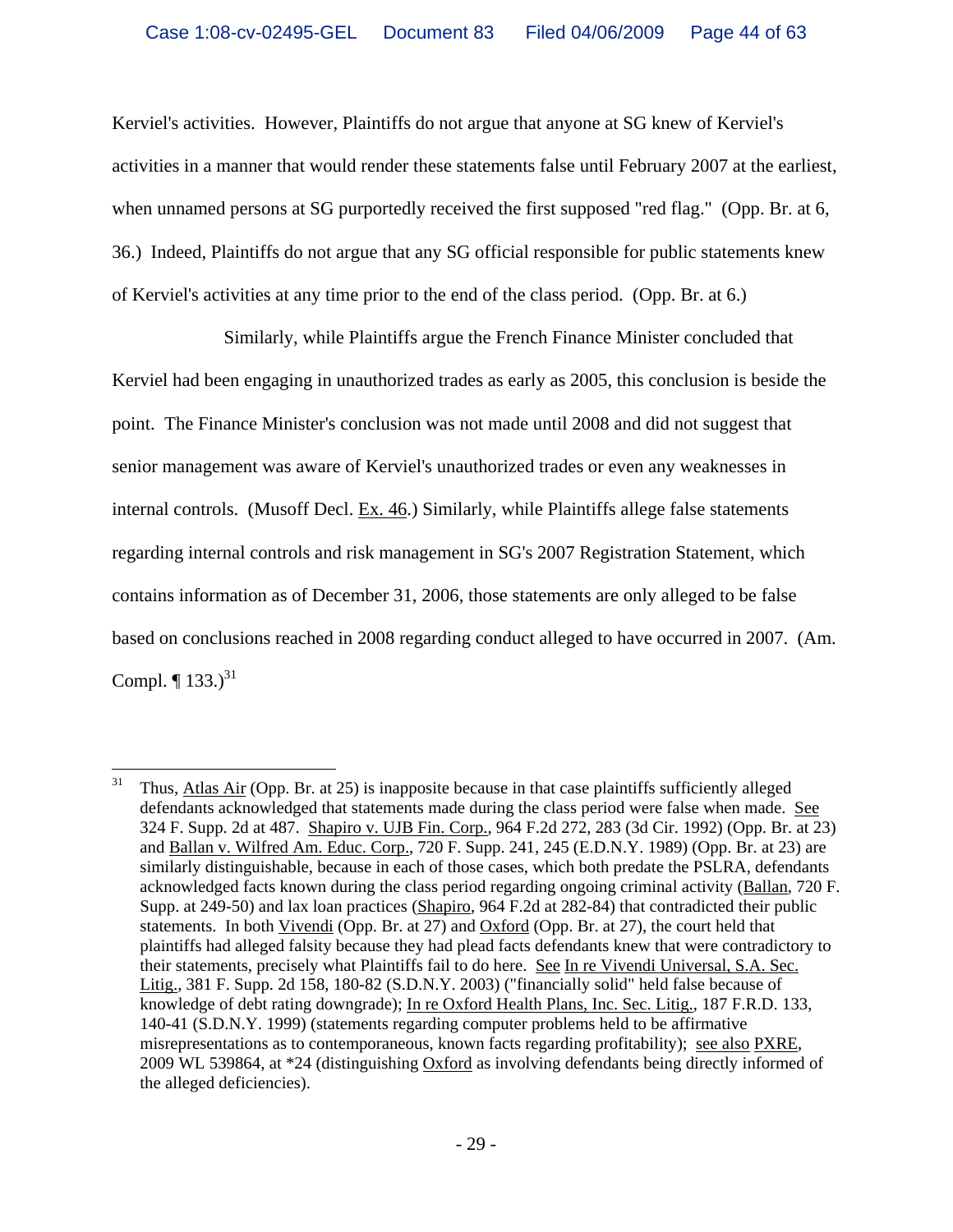Kerviel's activities. However, Plaintiffs do not argue that anyone at SG knew of Kerviel's activities in a manner that would render these statements false until February 2007 at the earliest, when unnamed persons at SG purportedly received the first supposed "red flag." (Opp. Br. at 6, 36.) Indeed, Plaintiffs do not argue that any SG official responsible for public statements knew of Kerviel's activities at any time prior to the end of the class period. (Opp. Br. at 6.)

Similarly, while Plaintiffs argue the French Finance Minister concluded that Kerviel had been engaging in unauthorized trades as early as 2005, this conclusion is beside the point. The Finance Minister's conclusion was not made until 2008 and did not suggest that senior management was aware of Kerviel's unauthorized trades or even any weaknesses in internal controls. (Musoff Decl.  $Ex. 46$ .) Similarly, while Plaintiffs allege false statements regarding internal controls and risk management in SG's 2007 Registration Statement, which contains information as of December 31, 2006, those statements are only alleged to be false based on conclusions reached in 2008 regarding conduct alleged to have occurred in 2007. (Am. Compl.  $\P$  133.)<sup>31</sup>

 $\overline{a}$ 

 $31$  Thus, Atlas Air (Opp. Br. at 25) is inapposite because in that case plaintiffs sufficiently alleged defendants acknowledged that statements made during the class period were false when made. See 324 F. Supp. 2d at 487. Shapiro v. UJB Fin. Corp., 964 F.2d 272, 283 (3d Cir. 1992) (Opp. Br. at 23) and Ballan v. Wilfred Am. Educ. Corp., 720 F. Supp. 241, 245 (E.D.N.Y. 1989) (Opp. Br. at 23) are similarly distinguishable, because in each of those cases, which both predate the PSLRA, defendants acknowledged facts known during the class period regarding ongoing criminal activity (Ballan, 720 F. Supp. at 249-50) and lax loan practices (Shapiro, 964 F.2d at 282-84) that contradicted their public statements. In both Vivendi (Opp. Br. at 27) and Oxford (Opp. Br. at 27), the court held that plaintiffs had alleged falsity because they had plead facts defendants knew that were contradictory to their statements, precisely what Plaintiffs fail to do here. See In re Vivendi Universal, S.A. Sec. Litig., 381 F. Supp. 2d 158, 180-82 (S.D.N.Y. 2003) ("financially solid" held false because of knowledge of debt rating downgrade); In re Oxford Health Plans, Inc. Sec. Litig., 187 F.R.D. 133, 140-41 (S.D.N.Y. 1999) (statements regarding computer problems held to be affirmative misrepresentations as to contemporaneous, known facts regarding profitability); see also PXRE, 2009 WL 539864, at \*24 (distinguishing Oxford as involving defendants being directly informed of the alleged deficiencies).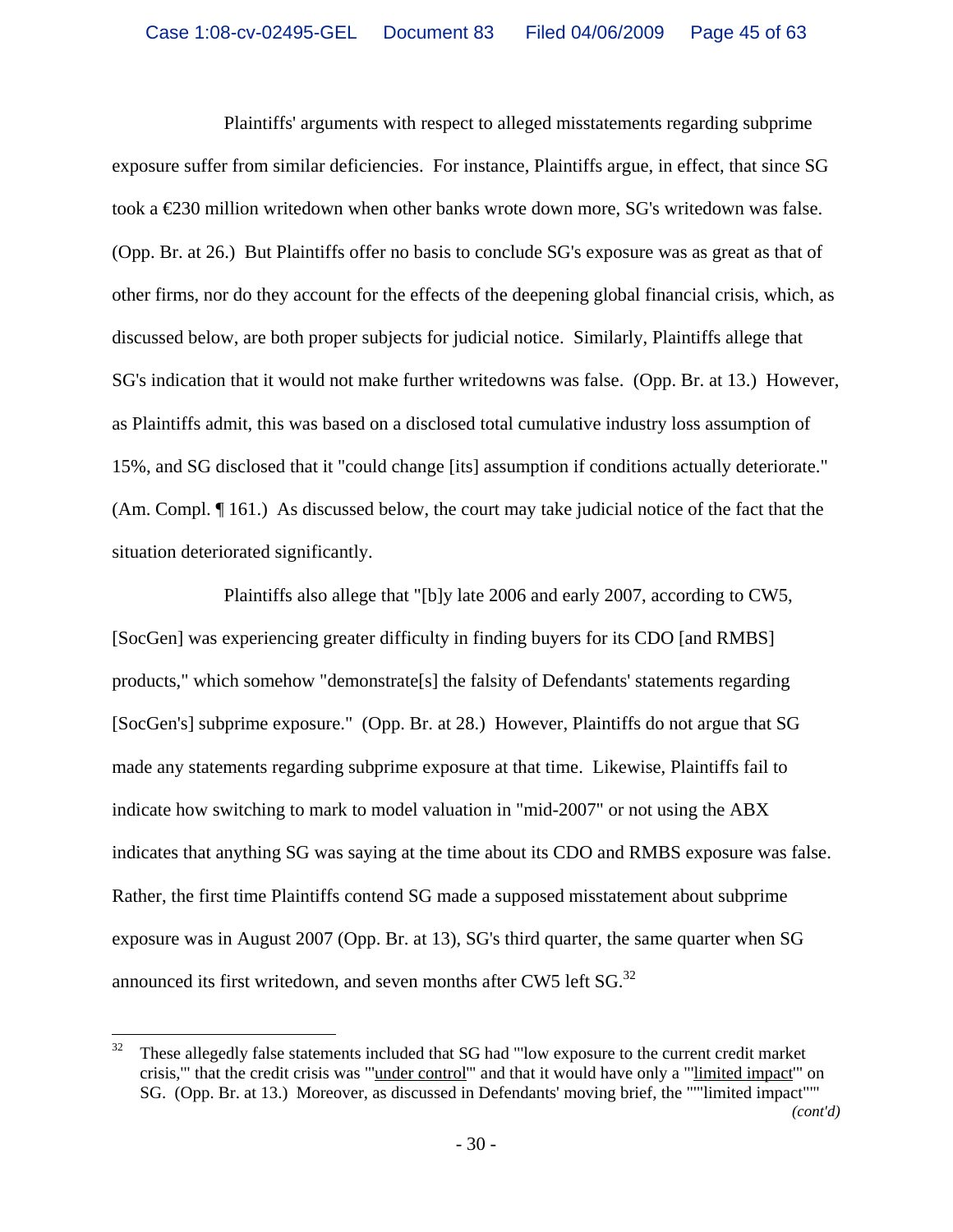Plaintiffs' arguments with respect to alleged misstatements regarding subprime exposure suffer from similar deficiencies. For instance, Plaintiffs argue, in effect, that since SG took a €230 million writedown when other banks wrote down more, SG's writedown was false. (Opp. Br. at 26.) But Plaintiffs offer no basis to conclude SG's exposure was as great as that of other firms, nor do they account for the effects of the deepening global financial crisis, which, as discussed below, are both proper subjects for judicial notice. Similarly, Plaintiffs allege that SG's indication that it would not make further writedowns was false. (Opp. Br. at 13.) However, as Plaintiffs admit, this was based on a disclosed total cumulative industry loss assumption of 15%, and SG disclosed that it "could change [its] assumption if conditions actually deteriorate." (Am. Compl. ¶ 161.) As discussed below, the court may take judicial notice of the fact that the situation deteriorated significantly.

Plaintiffs also allege that "[b]y late 2006 and early 2007, according to CW5, [SocGen] was experiencing greater difficulty in finding buyers for its CDO [and RMBS] products," which somehow "demonstrate[s] the falsity of Defendants' statements regarding [SocGen's] subprime exposure." (Opp. Br. at 28.) However, Plaintiffs do not argue that SG made any statements regarding subprime exposure at that time. Likewise, Plaintiffs fail to indicate how switching to mark to model valuation in "mid-2007" or not using the ABX indicates that anything SG was saying at the time about its CDO and RMBS exposure was false. Rather, the first time Plaintiffs contend SG made a supposed misstatement about subprime exposure was in August 2007 (Opp. Br. at 13), SG's third quarter, the same quarter when SG announced its first writedown, and seven months after CW5 left  $SG<sup>32</sup>$ .

 $\overline{a}$ 

 $32$  These allegedly false statements included that SG had "low exposure to the current credit market crisis,'" that the credit crisis was "'under control'" and that it would have only a "'limited impact'" on SG. (Opp. Br. at 13.) Moreover, as discussed in Defendants' moving brief, the "'"limited impact"'" *(cont'd)*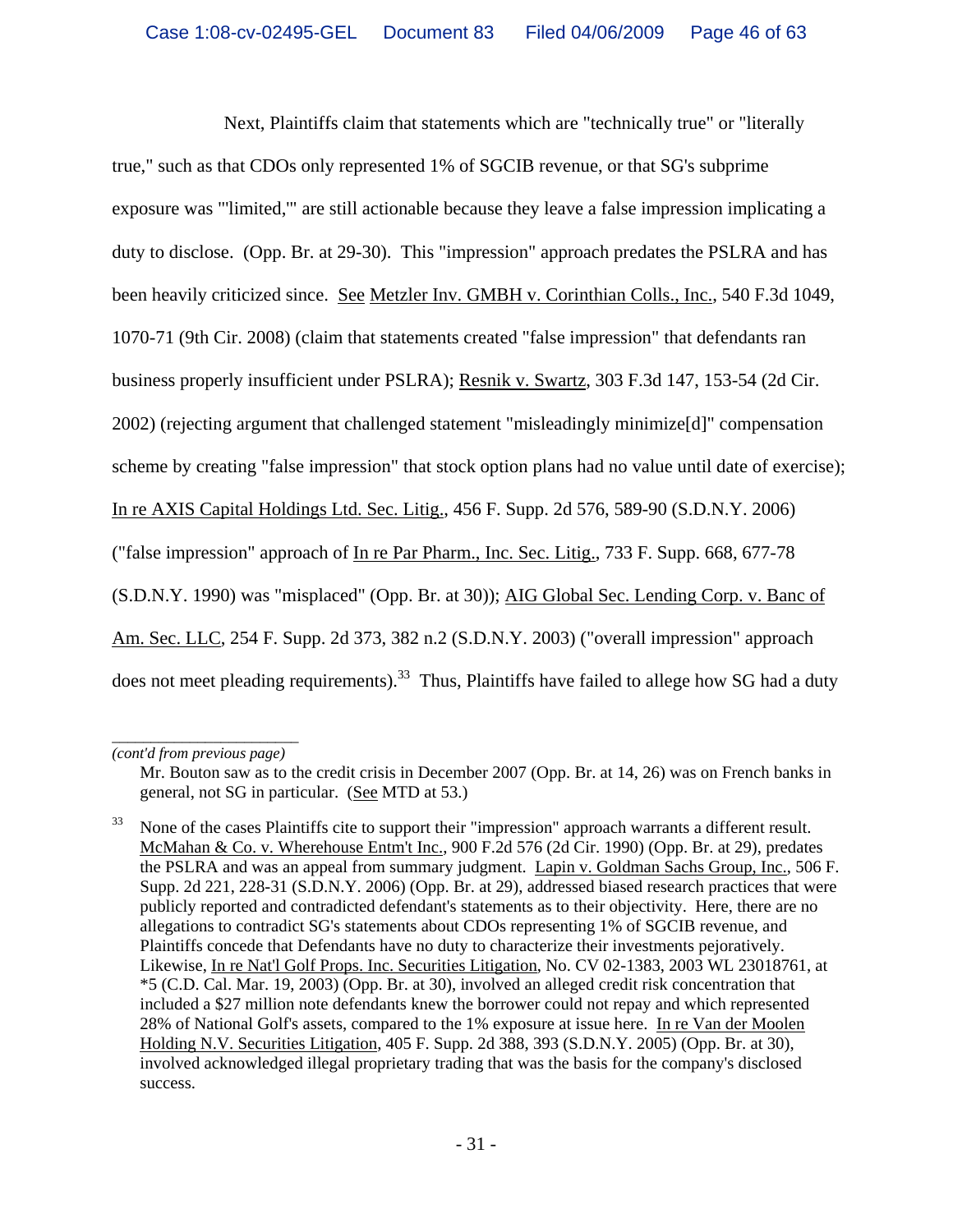Next, Plaintiffs claim that statements which are "technically true" or "literally

true," such as that CDOs only represented 1% of SGCIB revenue, or that SG's subprime exposure was "'limited,'" are still actionable because they leave a false impression implicating a duty to disclose. (Opp. Br. at 29-30). This "impression" approach predates the PSLRA and has been heavily criticized since. See Metzler Inv. GMBH v. Corinthian Colls., Inc., 540 F.3d 1049, 1070-71 (9th Cir. 2008) (claim that statements created "false impression" that defendants ran business properly insufficient under PSLRA); Resnik v. Swartz, 303 F.3d 147, 153-54 (2d Cir. 2002) (rejecting argument that challenged statement "misleadingly minimize[d]" compensation scheme by creating "false impression" that stock option plans had no value until date of exercise); In re AXIS Capital Holdings Ltd. Sec. Litig., 456 F. Supp. 2d 576, 589-90 (S.D.N.Y. 2006) ("false impression" approach of In re Par Pharm., Inc. Sec. Litig., 733 F. Supp. 668, 677-78 (S.D.N.Y. 1990) was "misplaced" (Opp. Br. at 30)); AIG Global Sec. Lending Corp. v. Banc of Am. Sec. LLC, 254 F. Supp. 2d 373, 382 n.2 (S.D.N.Y. 2003) ("overall impression" approach does not meet pleading requirements).<sup>33</sup> Thus, Plaintiffs have failed to allege how SG had a duty

*\_\_\_\_\_\_\_\_\_\_\_\_\_\_\_\_\_\_\_\_\_\_\_\_ (cont'd from previous page)*

Mr. Bouton saw as to the credit crisis in December 2007 (Opp. Br. at 14, 26) was on French banks in general, not SG in particular. (See MTD at 53.)

<sup>33</sup> None of the cases Plaintiffs cite to support their "impression" approach warrants a different result. McMahan & Co. v. Wherehouse Entm't Inc., 900 F.2d 576 (2d Cir. 1990) (Opp. Br. at 29), predates the PSLRA and was an appeal from summary judgment. Lapin v. Goldman Sachs Group, Inc., 506 F. Supp. 2d 221, 228-31 (S.D.N.Y. 2006) (Opp. Br. at 29), addressed biased research practices that were publicly reported and contradicted defendant's statements as to their objectivity. Here, there are no allegations to contradict SG's statements about CDOs representing 1% of SGCIB revenue, and Plaintiffs concede that Defendants have no duty to characterize their investments pejoratively. Likewise, In re Nat'l Golf Props. Inc. Securities Litigation, No. CV 02-1383, 2003 WL 23018761, at \*5 (C.D. Cal. Mar. 19, 2003) (Opp. Br. at 30), involved an alleged credit risk concentration that included a \$27 million note defendants knew the borrower could not repay and which represented 28% of National Golf's assets, compared to the 1% exposure at issue here. In re Van der Moolen Holding N.V. Securities Litigation, 405 F. Supp. 2d 388, 393 (S.D.N.Y. 2005) (Opp. Br. at 30), involved acknowledged illegal proprietary trading that was the basis for the company's disclosed success.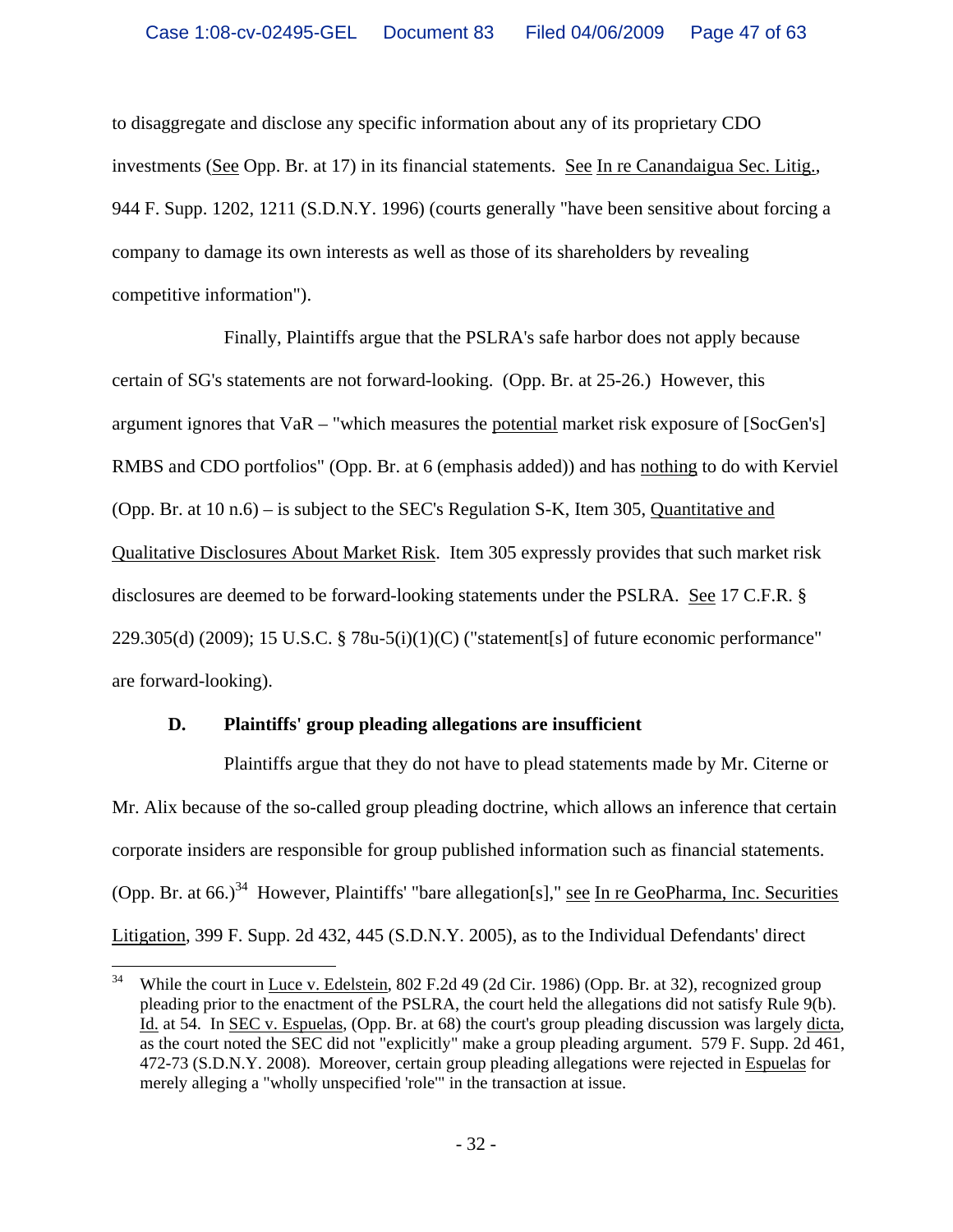to disaggregate and disclose any specific information about any of its proprietary CDO investments (See Opp. Br. at 17) in its financial statements. See In re Canandaigua Sec. Litig., 944 F. Supp. 1202, 1211 (S.D.N.Y. 1996) (courts generally "have been sensitive about forcing a company to damage its own interests as well as those of its shareholders by revealing competitive information").

Finally, Plaintiffs argue that the PSLRA's safe harbor does not apply because certain of SG's statements are not forward-looking. (Opp. Br. at 25-26.) However, this argument ignores that VaR – "which measures the potential market risk exposure of [SocGen's] RMBS and CDO portfolios" (Opp. Br. at 6 (emphasis added)) and has nothing to do with Kerviel (Opp. Br. at 10 n.6) – is subject to the SEC's Regulation S-K, Item 305, Quantitative and Qualitative Disclosures About Market Risk. Item 305 expressly provides that such market risk disclosures are deemed to be forward-looking statements under the PSLRA. See 17 C.F.R. § 229.305(d) (2009); 15 U.S.C.  $\S$  78u-5(i)(1)(C) ("statement[s] of future economic performance" are forward-looking).

# **D. Plaintiffs' group pleading allegations are insufficient**

Plaintiffs argue that they do not have to plead statements made by Mr. Citerne or Mr. Alix because of the so-called group pleading doctrine, which allows an inference that certain corporate insiders are responsible for group published information such as financial statements. (Opp. Br. at  $66.$ )<sup>34</sup> However, Plaintiffs' "bare allegation[s]," see In re GeoPharma, Inc. Securities Litigation, 399 F. Supp. 2d 432, 445 (S.D.N.Y. 2005), as to the Individual Defendants' direct

<sup>34</sup> 34 While the court in Luce v. Edelstein, 802 F.2d 49 (2d Cir. 1986) (Opp. Br. at 32), recognized group pleading prior to the enactment of the PSLRA, the court held the allegations did not satisfy Rule 9(b). Id. at 54. In SEC v. Espuelas, (Opp. Br. at 68) the court's group pleading discussion was largely dicta, as the court noted the SEC did not "explicitly" make a group pleading argument. 579 F. Supp. 2d 461, 472-73 (S.D.N.Y. 2008). Moreover, certain group pleading allegations were rejected in Espuelas for merely alleging a "wholly unspecified 'role'" in the transaction at issue.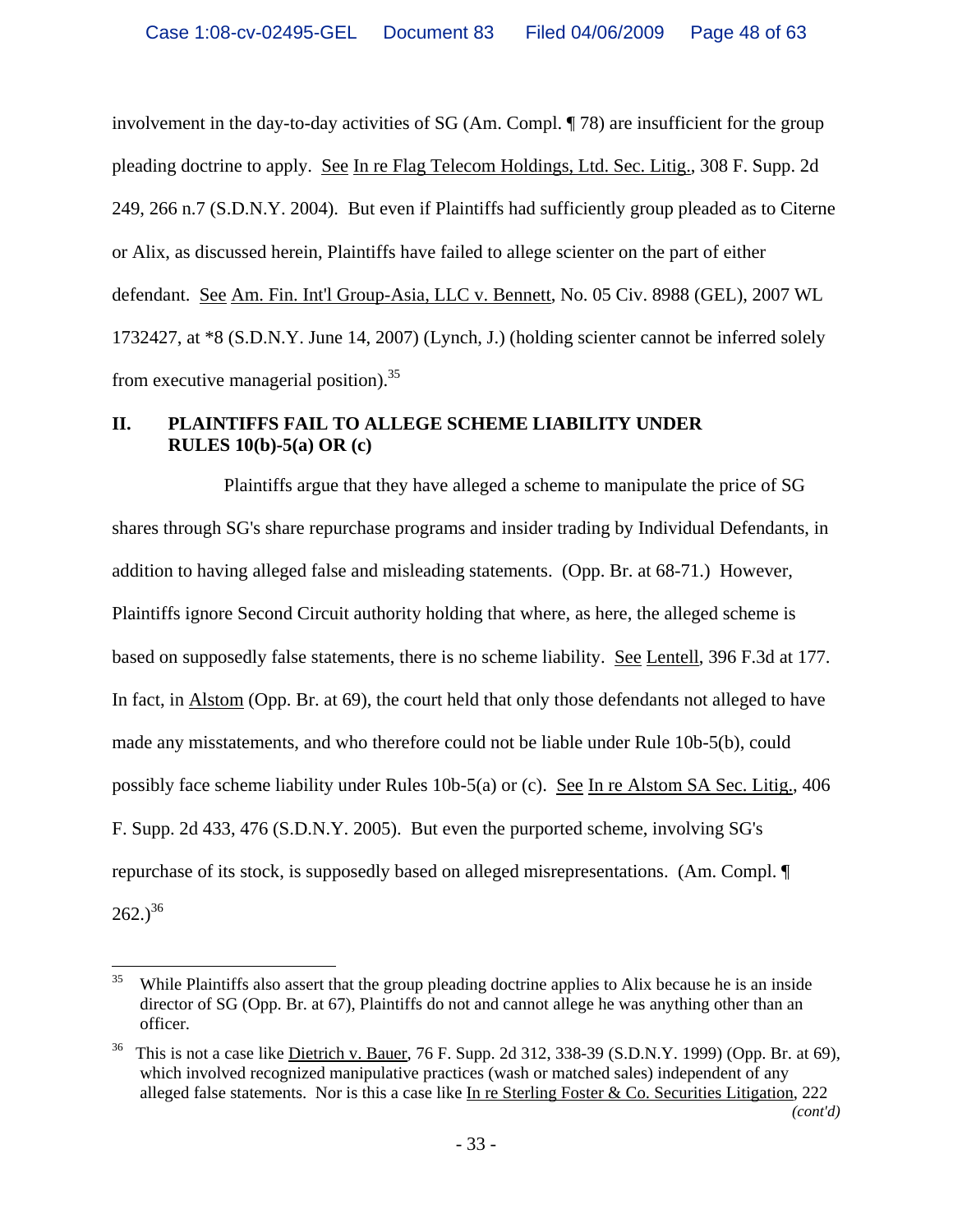involvement in the day-to-day activities of SG (Am. Compl. ¶ 78) are insufficient for the group pleading doctrine to apply. See In re Flag Telecom Holdings, Ltd. Sec. Litig., 308 F. Supp. 2d 249, 266 n.7 (S.D.N.Y. 2004). But even if Plaintiffs had sufficiently group pleaded as to Citerne or Alix, as discussed herein, Plaintiffs have failed to allege scienter on the part of either defendant. See Am. Fin. Int'l Group-Asia, LLC v. Bennett, No. 05 Civ. 8988 (GEL), 2007 WL 1732427, at \*8 (S.D.N.Y. June 14, 2007) (Lynch, J.) (holding scienter cannot be inferred solely from executive managerial position).35

# **II. PLAINTIFFS FAIL TO ALLEGE SCHEME LIABILITY UNDER RULES 10(b)-5(a) OR (c)**

Plaintiffs argue that they have alleged a scheme to manipulate the price of SG shares through SG's share repurchase programs and insider trading by Individual Defendants, in addition to having alleged false and misleading statements. (Opp. Br. at 68-71.) However, Plaintiffs ignore Second Circuit authority holding that where, as here, the alleged scheme is based on supposedly false statements, there is no scheme liability. See Lentell, 396 F.3d at 177. In fact, in Alstom (Opp. Br. at 69), the court held that only those defendants not alleged to have made any misstatements, and who therefore could not be liable under Rule 10b-5(b), could possibly face scheme liability under Rules 10b-5(a) or (c). See In re Alstom SA Sec. Litig., 406 F. Supp. 2d 433, 476 (S.D.N.Y. 2005). But even the purported scheme, involving SG's repurchase of its stock, is supposedly based on alleged misrepresentations. (Am. Compl. ¶  $262.$ <sup>36</sup>

 $\overline{a}$ 

 $35$  While Plaintiffs also assert that the group pleading doctrine applies to Alix because he is an inside director of SG (Opp. Br. at 67), Plaintiffs do not and cannot allege he was anything other than an officer.

 $36$  This is not a case like Dietrich v. Bauer, 76 F. Supp. 2d 312, 338-39 (S.D.N.Y. 1999) (Opp. Br. at 69), which involved recognized manipulative practices (wash or matched sales) independent of any alleged false statements. Nor is this a case like In re Sterling Foster & Co. Securities Litigation, 222 *(cont'd)*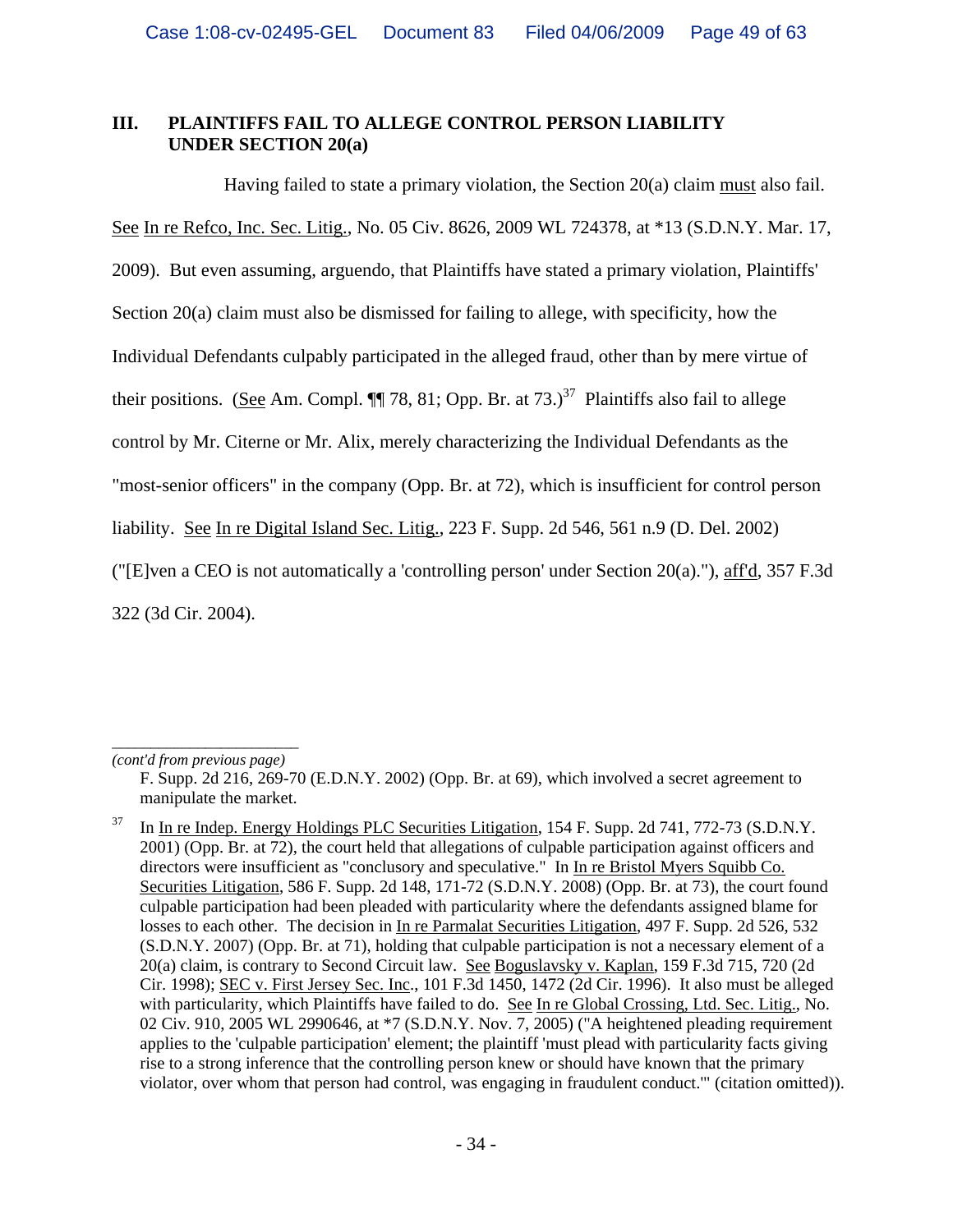# **III. PLAINTIFFS FAIL TO ALLEGE CONTROL PERSON LIABILITY UNDER SECTION 20(a)**

Having failed to state a primary violation, the Section 20(a) claim must also fail. See In re Refco, Inc. Sec. Litig., No. 05 Civ. 8626, 2009 WL 724378, at \*13 (S.D.N.Y. Mar. 17, 2009). But even assuming, arguendo, that Plaintiffs have stated a primary violation, Plaintiffs' Section 20(a) claim must also be dismissed for failing to allege, with specificity, how the Individual Defendants culpably participated in the alleged fraud, other than by mere virtue of their positions. (See Am. Compl.  $\P$  78, 81; Opp. Br. at 73.)<sup>37</sup> Plaintiffs also fail to allege control by Mr. Citerne or Mr. Alix, merely characterizing the Individual Defendants as the "most-senior officers" in the company (Opp. Br. at 72), which is insufficient for control person liability. See In re Digital Island Sec. Litig., 223 F. Supp. 2d 546, 561 n.9 (D. Del. 2002) ("[E]ven a CEO is not automatically a 'controlling person' under Section 20(a)."), aff'd, 357 F.3d 322 (3d Cir. 2004).

*\_\_\_\_\_\_\_\_\_\_\_\_\_\_\_\_\_\_\_\_\_\_\_\_ (cont'd from previous page)*

F. Supp. 2d 216, 269-70 (E.D.N.Y. 2002) (Opp. Br. at 69), which involved a secret agreement to manipulate the market.

<sup>&</sup>lt;sup>37</sup> In In re Indep. Energy Holdings PLC Securities Litigation, 154 F. Supp. 2d 741, 772-73 (S.D.N.Y. 2001) (Opp. Br. at 72), the court held that allegations of culpable participation against officers and directors were insufficient as "conclusory and speculative." In In re Bristol Myers Squibb Co. Securities Litigation, 586 F. Supp. 2d 148, 171-72 (S.D.N.Y. 2008) (Opp. Br. at 73), the court found culpable participation had been pleaded with particularity where the defendants assigned blame for losses to each other. The decision in In re Parmalat Securities Litigation, 497 F. Supp. 2d 526, 532 (S.D.N.Y. 2007) (Opp. Br. at 71), holding that culpable participation is not a necessary element of a 20(a) claim, is contrary to Second Circuit law. See Boguslavsky v. Kaplan, 159 F.3d 715, 720 (2d Cir. 1998); SEC v. First Jersey Sec. Inc., 101 F.3d 1450, 1472 (2d Cir. 1996). It also must be alleged with particularity, which Plaintiffs have failed to do. See In re Global Crossing, Ltd. Sec. Litig., No. 02 Civ. 910, 2005 WL 2990646, at \*7 (S.D.N.Y. Nov. 7, 2005) ("A heightened pleading requirement applies to the 'culpable participation' element; the plaintiff 'must plead with particularity facts giving rise to a strong inference that the controlling person knew or should have known that the primary violator, over whom that person had control, was engaging in fraudulent conduct.'" (citation omitted)).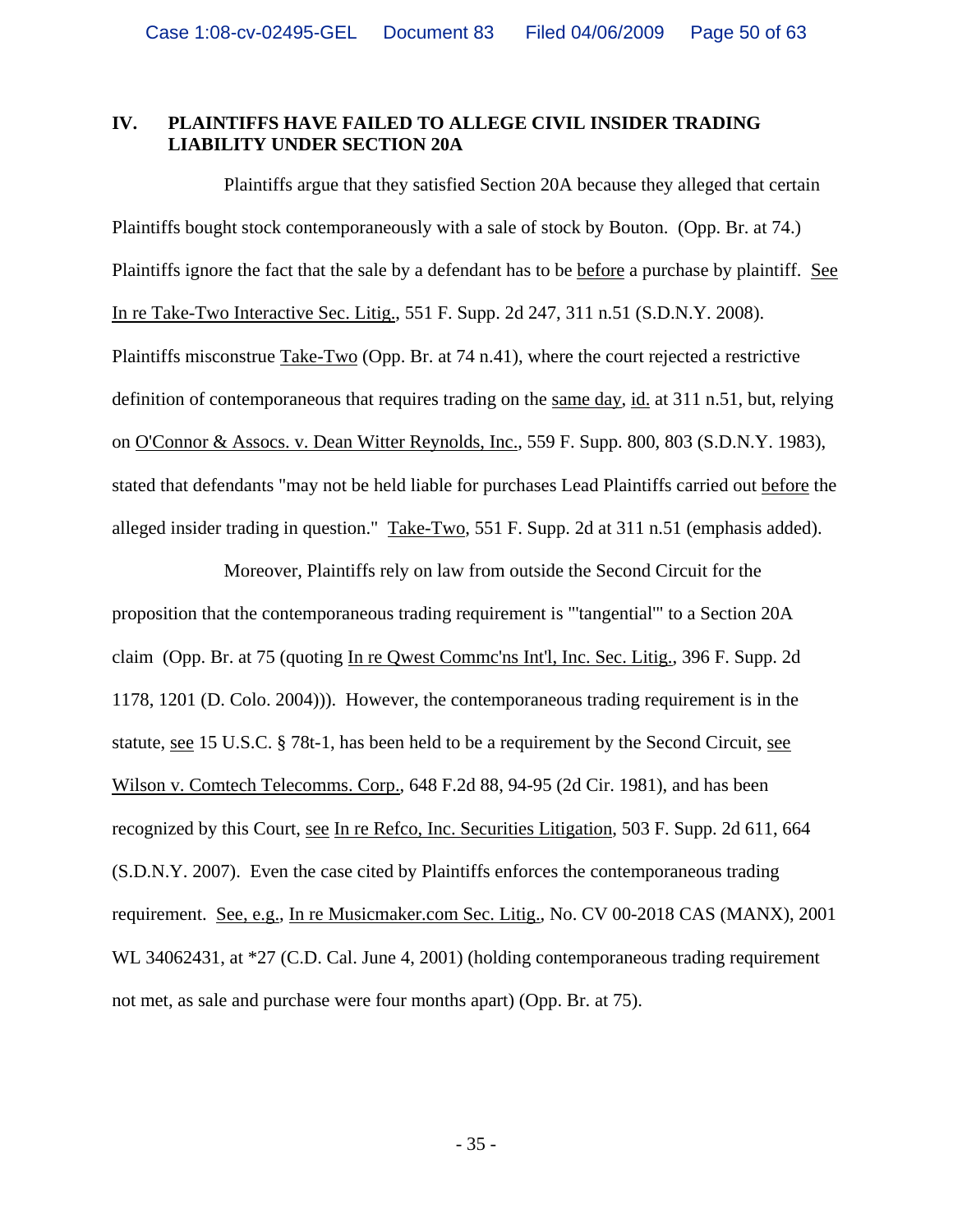#### **IV. PLAINTIFFS HAVE FAILED TO ALLEGE CIVIL INSIDER TRADING LIABILITY UNDER SECTION 20A**

Plaintiffs argue that they satisfied Section 20A because they alleged that certain Plaintiffs bought stock contemporaneously with a sale of stock by Bouton. (Opp. Br. at 74.) Plaintiffs ignore the fact that the sale by a defendant has to be before a purchase by plaintiff. See In re Take-Two Interactive Sec. Litig., 551 F. Supp. 2d 247, 311 n.51 (S.D.N.Y. 2008). Plaintiffs misconstrue Take-Two (Opp. Br. at 74 n.41), where the court rejected a restrictive definition of contemporaneous that requires trading on the same day, id. at 311 n.51, but, relying on O'Connor & Assocs. v. Dean Witter Reynolds, Inc., 559 F. Supp. 800, 803 (S.D.N.Y. 1983), stated that defendants "may not be held liable for purchases Lead Plaintiffs carried out before the alleged insider trading in question." Take-Two, 551 F. Supp. 2d at 311 n.51 (emphasis added).

Moreover, Plaintiffs rely on law from outside the Second Circuit for the proposition that the contemporaneous trading requirement is "'tangential'" to a Section 20A claim (Opp. Br. at 75 (quoting In re Qwest Commc'ns Int'l, Inc. Sec. Litig., 396 F. Supp. 2d 1178, 1201 (D. Colo. 2004))). However, the contemporaneous trading requirement is in the statute, see 15 U.S.C. § 78t-1, has been held to be a requirement by the Second Circuit, see Wilson v. Comtech Telecomms. Corp., 648 F.2d 88, 94-95 (2d Cir. 1981), and has been recognized by this Court, see In re Refco, Inc. Securities Litigation, 503 F. Supp. 2d 611, 664 (S.D.N.Y. 2007). Even the case cited by Plaintiffs enforces the contemporaneous trading requirement. See, e.g., In re Musicmaker.com Sec. Litig., No. CV 00-2018 CAS (MANX), 2001 WL 34062431, at \*27 (C.D. Cal. June 4, 2001) (holding contemporaneous trading requirement not met, as sale and purchase were four months apart) (Opp. Br. at 75).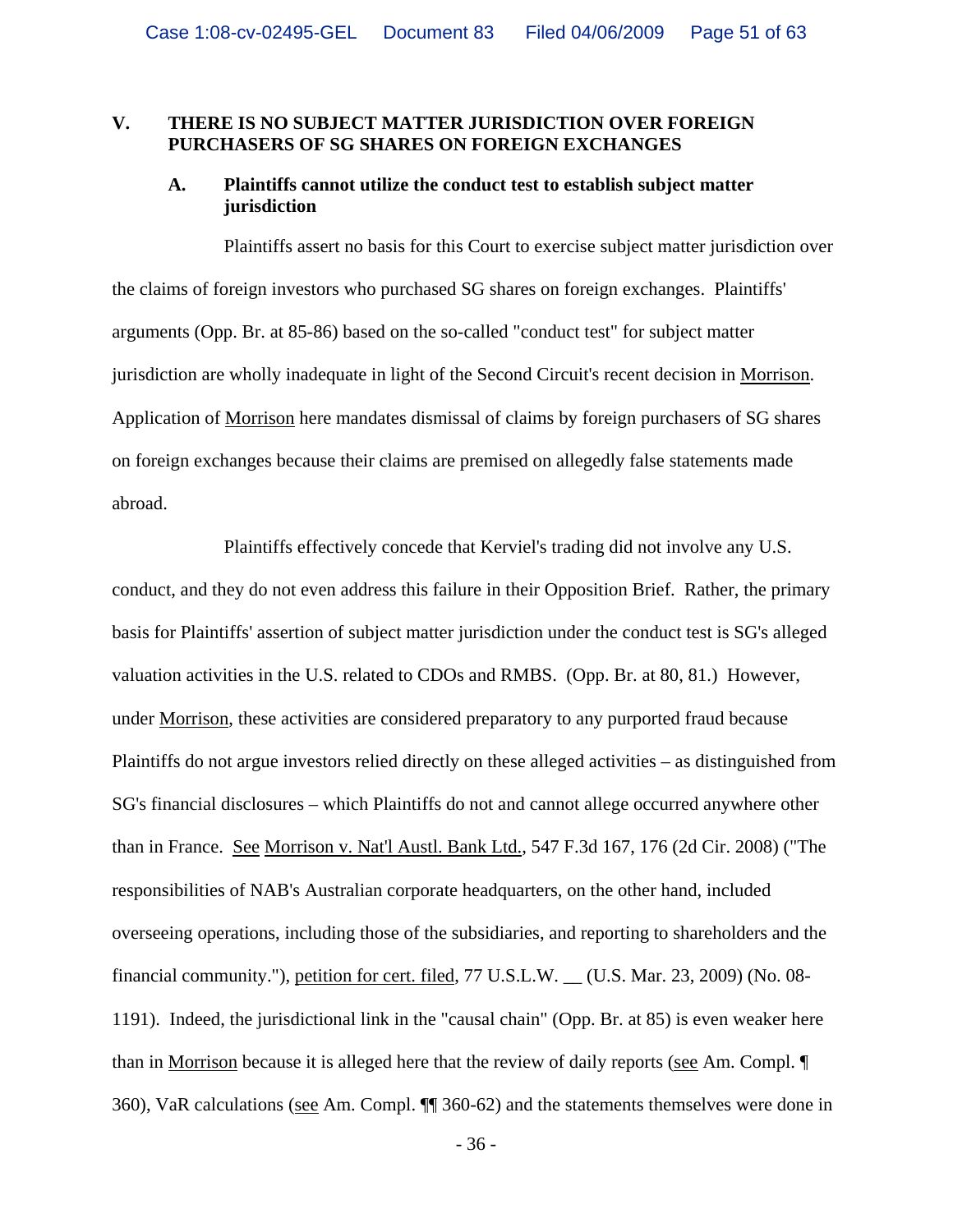#### **V. THERE IS NO SUBJECT MATTER JURISDICTION OVER FOREIGN PURCHASERS OF SG SHARES ON FOREIGN EXCHANGES**

#### **A. Plaintiffs cannot utilize the conduct test to establish subject matter jurisdiction**

Plaintiffs assert no basis for this Court to exercise subject matter jurisdiction over the claims of foreign investors who purchased SG shares on foreign exchanges. Plaintiffs' arguments (Opp. Br. at 85-86) based on the so-called "conduct test" for subject matter jurisdiction are wholly inadequate in light of the Second Circuit's recent decision in Morrison. Application of Morrison here mandates dismissal of claims by foreign purchasers of SG shares on foreign exchanges because their claims are premised on allegedly false statements made abroad.

Plaintiffs effectively concede that Kerviel's trading did not involve any U.S. conduct, and they do not even address this failure in their Opposition Brief. Rather, the primary basis for Plaintiffs' assertion of subject matter jurisdiction under the conduct test is SG's alleged valuation activities in the U.S. related to CDOs and RMBS. (Opp. Br. at 80, 81.) However, under Morrison, these activities are considered preparatory to any purported fraud because Plaintiffs do not argue investors relied directly on these alleged activities – as distinguished from SG's financial disclosures – which Plaintiffs do not and cannot allege occurred anywhere other than in France. See Morrison v. Nat'l Austl. Bank Ltd., 547 F.3d 167, 176 (2d Cir. 2008) ("The responsibilities of NAB's Australian corporate headquarters, on the other hand, included overseeing operations, including those of the subsidiaries, and reporting to shareholders and the financial community."), petition for cert. filed, 77 U.S.L.W. \_\_ (U.S. Mar. 23, 2009) (No. 08- 1191). Indeed, the jurisdictional link in the "causal chain" (Opp. Br. at 85) is even weaker here than in Morrison because it is alleged here that the review of daily reports (see Am. Compl. ¶ 360), VaR calculations (see Am. Compl. ¶¶ 360-62) and the statements themselves were done in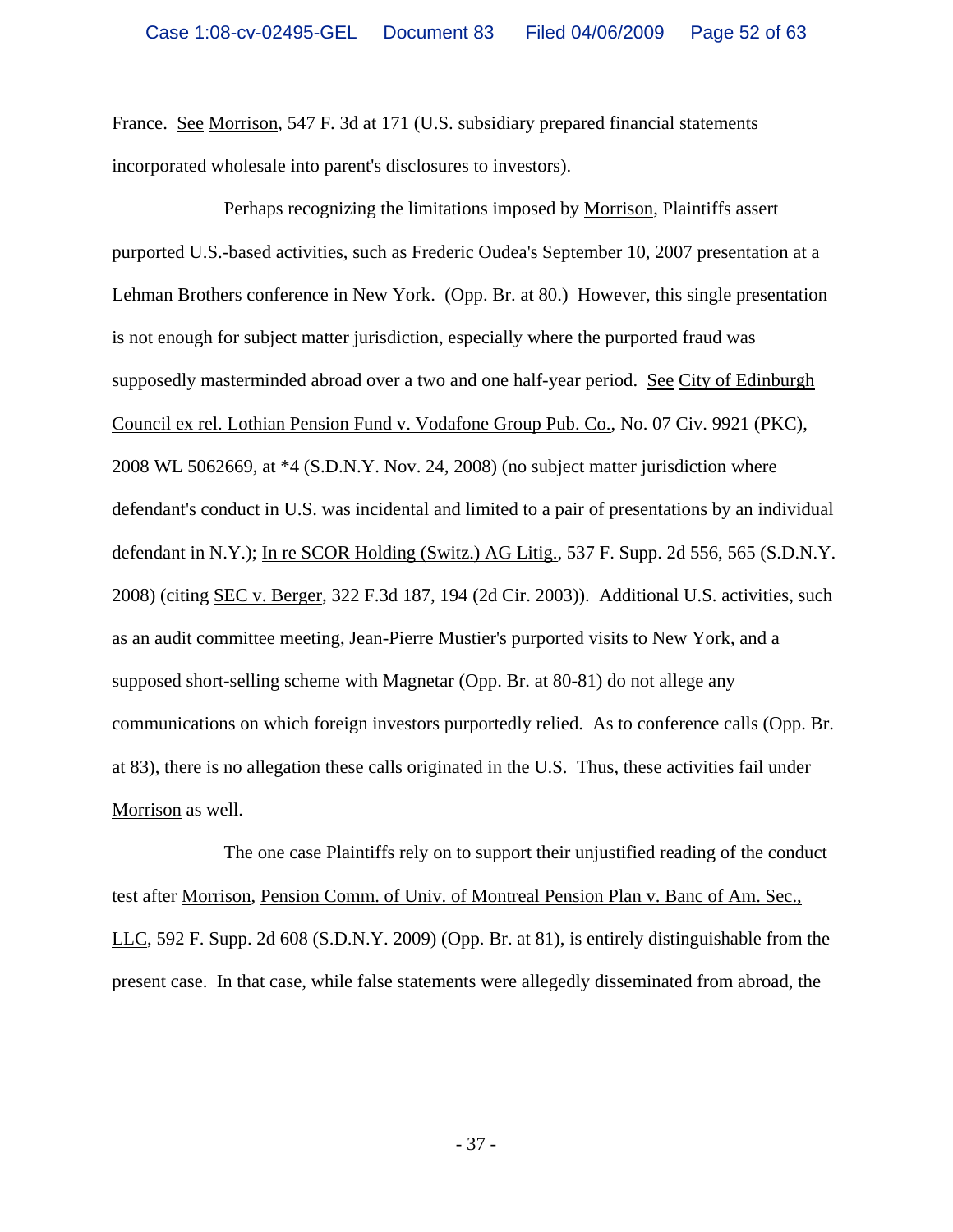France. See Morrison, 547 F. 3d at 171 (U.S. subsidiary prepared financial statements incorporated wholesale into parent's disclosures to investors).

Perhaps recognizing the limitations imposed by Morrison, Plaintiffs assert purported U.S.-based activities, such as Frederic Oudea's September 10, 2007 presentation at a Lehman Brothers conference in New York. (Opp. Br. at 80.) However, this single presentation is not enough for subject matter jurisdiction, especially where the purported fraud was supposedly masterminded abroad over a two and one half-year period. See City of Edinburgh Council ex rel. Lothian Pension Fund v. Vodafone Group Pub. Co., No. 07 Civ. 9921 (PKC), 2008 WL 5062669, at \*4 (S.D.N.Y. Nov. 24, 2008) (no subject matter jurisdiction where defendant's conduct in U.S. was incidental and limited to a pair of presentations by an individual defendant in N.Y.); In re SCOR Holding (Switz.) AG Litig., 537 F. Supp. 2d 556, 565 (S.D.N.Y. 2008) (citing SEC v. Berger, 322 F.3d 187, 194 (2d Cir. 2003)). Additional U.S. activities, such as an audit committee meeting, Jean-Pierre Mustier's purported visits to New York, and a supposed short-selling scheme with Magnetar (Opp. Br. at 80-81) do not allege any communications on which foreign investors purportedly relied. As to conference calls (Opp. Br. at 83), there is no allegation these calls originated in the U.S. Thus, these activities fail under Morrison as well.

The one case Plaintiffs rely on to support their unjustified reading of the conduct test after Morrison, Pension Comm. of Univ. of Montreal Pension Plan v. Banc of Am. Sec., LLC, 592 F. Supp. 2d 608 (S.D.N.Y. 2009) (Opp. Br. at 81), is entirely distinguishable from the present case. In that case, while false statements were allegedly disseminated from abroad, the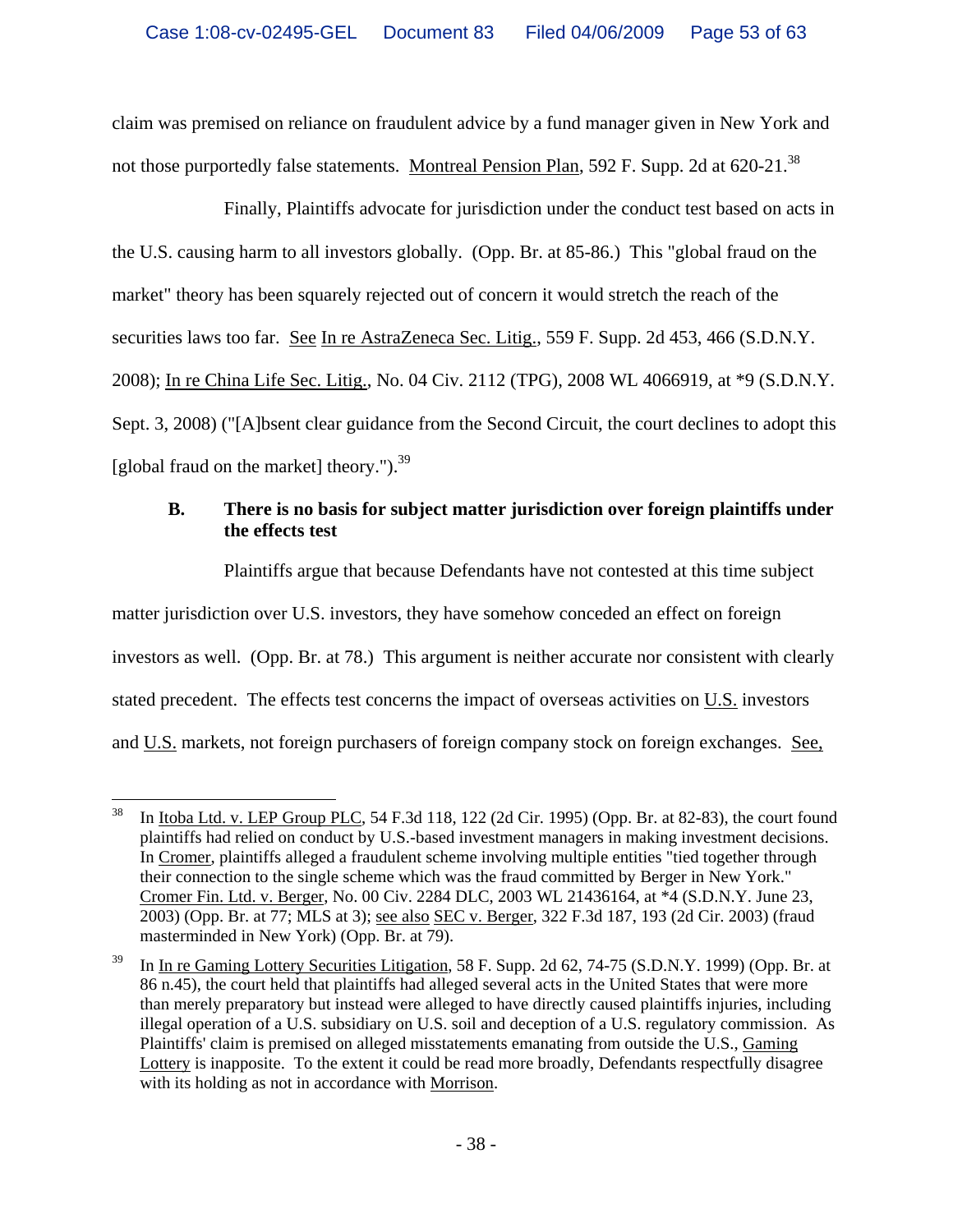claim was premised on reliance on fraudulent advice by a fund manager given in New York and not those purportedly false statements. Montreal Pension Plan, 592 F. Supp. 2d at 620-21.<sup>38</sup>

Finally, Plaintiffs advocate for jurisdiction under the conduct test based on acts in the U.S. causing harm to all investors globally. (Opp. Br. at 85-86.) This "global fraud on the market" theory has been squarely rejected out of concern it would stretch the reach of the securities laws too far. See In re AstraZeneca Sec. Litig., 559 F. Supp. 2d 453, 466 (S.D.N.Y. 2008); In re China Life Sec. Litig., No. 04 Civ. 2112 (TPG), 2008 WL 4066919, at \*9 (S.D.N.Y. Sept. 3, 2008) ("[A]bsent clear guidance from the Second Circuit, the court declines to adopt this [global fraud on the market] theory." $b^{39}$ 

# **B. There is no basis for subject matter jurisdiction over foreign plaintiffs under the effects test**

Plaintiffs argue that because Defendants have not contested at this time subject matter jurisdiction over U.S. investors, they have somehow conceded an effect on foreign investors as well. (Opp. Br. at 78.) This argument is neither accurate nor consistent with clearly stated precedent. The effects test concerns the impact of overseas activities on U.S. investors and U.S. markets, not foreign purchasers of foreign company stock on foreign exchanges. See,

<sup>38</sup> 38 In Itoba Ltd. v. LEP Group PLC, 54 F.3d 118, 122 (2d Cir. 1995) (Opp. Br. at 82-83), the court found plaintiffs had relied on conduct by U.S.-based investment managers in making investment decisions. In Cromer, plaintiffs alleged a fraudulent scheme involving multiple entities "tied together through their connection to the single scheme which was the fraud committed by Berger in New York." Cromer Fin. Ltd. v. Berger, No. 00 Civ. 2284 DLC, 2003 WL 21436164, at \*4 (S.D.N.Y. June 23, 2003) (Opp. Br. at 77; MLS at 3); see also SEC v. Berger, 322 F.3d 187, 193 (2d Cir. 2003) (fraud masterminded in New York) (Opp. Br. at 79).

<sup>39</sup> In In re Gaming Lottery Securities Litigation, 58 F. Supp. 2d 62, 74-75 (S.D.N.Y. 1999) (Opp. Br. at 86 n.45), the court held that plaintiffs had alleged several acts in the United States that were more than merely preparatory but instead were alleged to have directly caused plaintiffs injuries, including illegal operation of a U.S. subsidiary on U.S. soil and deception of a U.S. regulatory commission. As Plaintiffs' claim is premised on alleged misstatements emanating from outside the U.S., Gaming Lottery is inapposite. To the extent it could be read more broadly, Defendants respectfully disagree with its holding as not in accordance with Morrison.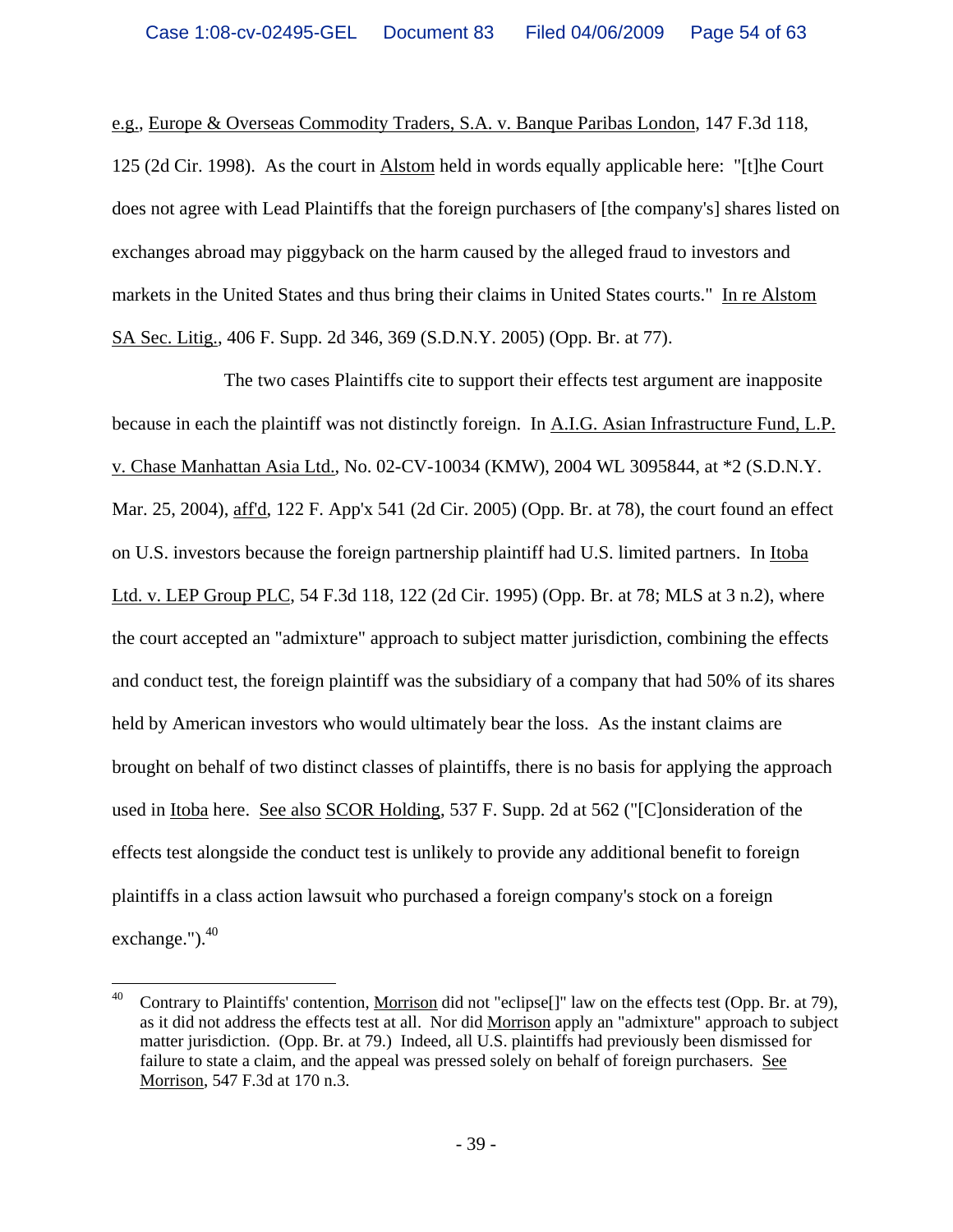e.g., Europe & Overseas Commodity Traders, S.A. v. Banque Paribas London, 147 F.3d 118, 125 (2d Cir. 1998). As the court in Alstom held in words equally applicable here: "[t]he Court does not agree with Lead Plaintiffs that the foreign purchasers of [the company's] shares listed on exchanges abroad may piggyback on the harm caused by the alleged fraud to investors and markets in the United States and thus bring their claims in United States courts." In re Alstom SA Sec. Litig., 406 F. Supp. 2d 346, 369 (S.D.N.Y. 2005) (Opp. Br. at 77).

The two cases Plaintiffs cite to support their effects test argument are inapposite because in each the plaintiff was not distinctly foreign. In A.I.G. Asian Infrastructure Fund, L.P. v. Chase Manhattan Asia Ltd., No. 02-CV-10034 (KMW), 2004 WL 3095844, at \*2 (S.D.N.Y. Mar. 25, 2004), aff'd, 122 F. App'x 541 (2d Cir. 2005) (Opp. Br. at 78), the court found an effect on U.S. investors because the foreign partnership plaintiff had U.S. limited partners. In Itoba Ltd. v. LEP Group PLC, 54 F.3d 118, 122 (2d Cir. 1995) (Opp. Br. at 78; MLS at 3 n.2), where the court accepted an "admixture" approach to subject matter jurisdiction, combining the effects and conduct test, the foreign plaintiff was the subsidiary of a company that had 50% of its shares held by American investors who would ultimately bear the loss. As the instant claims are brought on behalf of two distinct classes of plaintiffs, there is no basis for applying the approach used in Itoba here. See also SCOR Holding, 537 F. Supp. 2d at 562 ("[C]onsideration of the effects test alongside the conduct test is unlikely to provide any additional benefit to foreign plaintiffs in a class action lawsuit who purchased a foreign company's stock on a foreign exchange.").<sup>40</sup>

<sup>40</sup> 40 Contrary to Plaintiffs' contention, Morrison did not "eclipse[]" law on the effects test (Opp. Br. at 79), as it did not address the effects test at all. Nor did Morrison apply an "admixture" approach to subject matter jurisdiction. (Opp. Br. at 79.) Indeed, all U.S. plaintiffs had previously been dismissed for failure to state a claim, and the appeal was pressed solely on behalf of foreign purchasers. See Morrison, 547 F.3d at 170 n.3.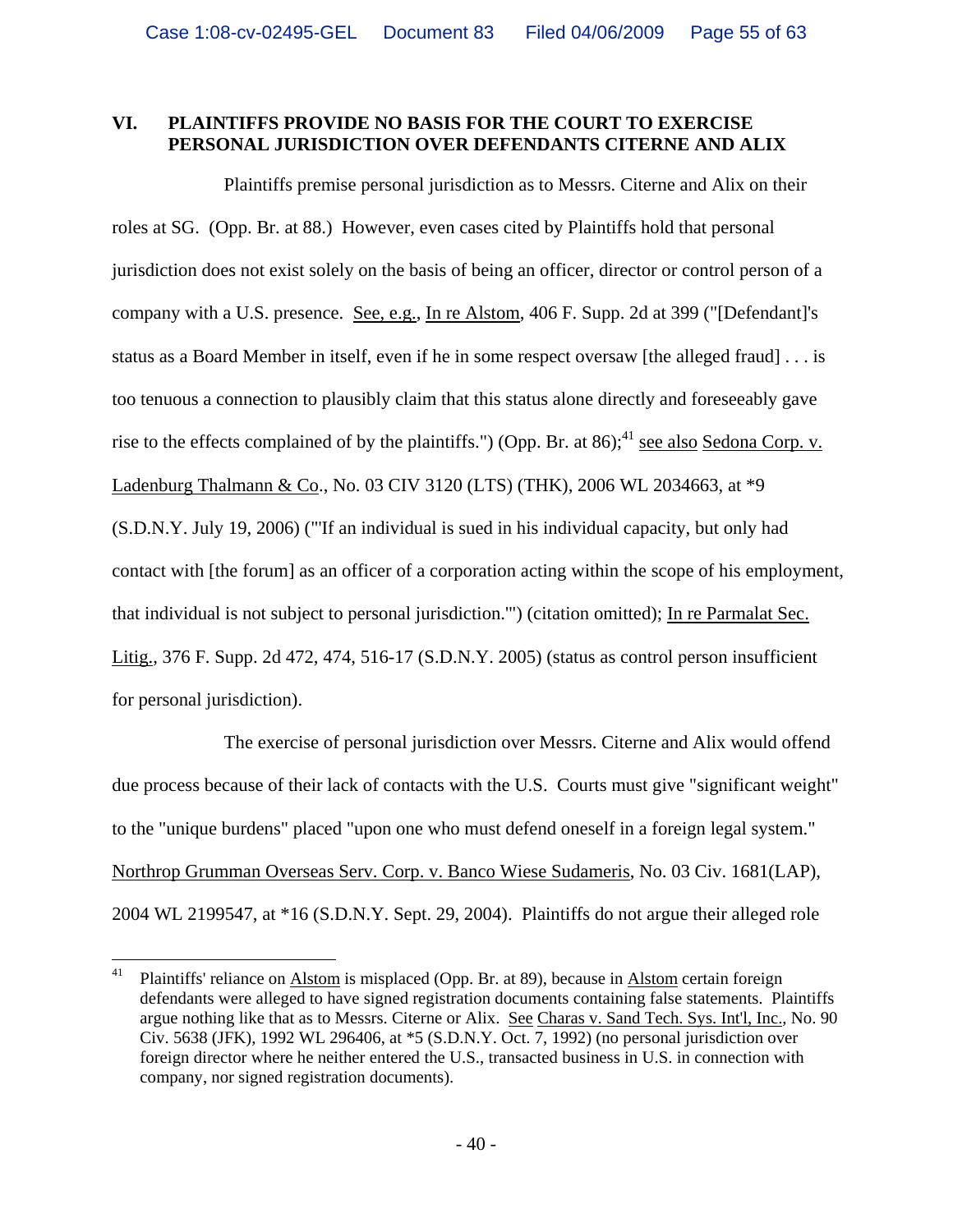# **VI. PLAINTIFFS PROVIDE NO BASIS FOR THE COURT TO EXERCISE PERSONAL JURISDICTION OVER DEFENDANTS CITERNE AND ALIX**

Plaintiffs premise personal jurisdiction as to Messrs. Citerne and Alix on their roles at SG. (Opp. Br. at 88.) However, even cases cited by Plaintiffs hold that personal jurisdiction does not exist solely on the basis of being an officer, director or control person of a company with a U.S. presence. See, e.g., In re Alstom, 406 F. Supp. 2d at 399 ("[Defendant]'s status as a Board Member in itself, even if he in some respect oversaw [the alleged fraud] . . . is too tenuous a connection to plausibly claim that this status alone directly and foreseeably gave rise to the effects complained of by the plaintiffs.") (Opp. Br. at  $86$ );<sup>41</sup> see also Sedona Corp. v. Ladenburg Thalmann & Co., No. 03 CIV 3120 (LTS) (THK), 2006 WL 2034663, at \*9 (S.D.N.Y. July 19, 2006) ("'If an individual is sued in his individual capacity, but only had contact with [the forum] as an officer of a corporation acting within the scope of his employment, that individual is not subject to personal jurisdiction.'") (citation omitted); In re Parmalat Sec. Litig., 376 F. Supp. 2d 472, 474, 516-17 (S.D.N.Y. 2005) (status as control person insufficient for personal jurisdiction).

The exercise of personal jurisdiction over Messrs. Citerne and Alix would offend due process because of their lack of contacts with the U.S. Courts must give "significant weight" to the "unique burdens" placed "upon one who must defend oneself in a foreign legal system." Northrop Grumman Overseas Serv. Corp. v. Banco Wiese Sudameris, No. 03 Civ. 1681(LAP), 2004 WL 2199547, at \*16 (S.D.N.Y. Sept. 29, 2004). Plaintiffs do not argue their alleged role

<sup>41</sup> 41 Plaintiffs' reliance on Alstom is misplaced (Opp. Br. at 89), because in Alstom certain foreign defendants were alleged to have signed registration documents containing false statements. Plaintiffs argue nothing like that as to Messrs. Citerne or Alix. See Charas v. Sand Tech. Sys. Int'l, Inc., No. 90 Civ. 5638 (JFK), 1992 WL 296406, at \*5 (S.D.N.Y. Oct. 7, 1992) (no personal jurisdiction over foreign director where he neither entered the U.S., transacted business in U.S. in connection with company, nor signed registration documents).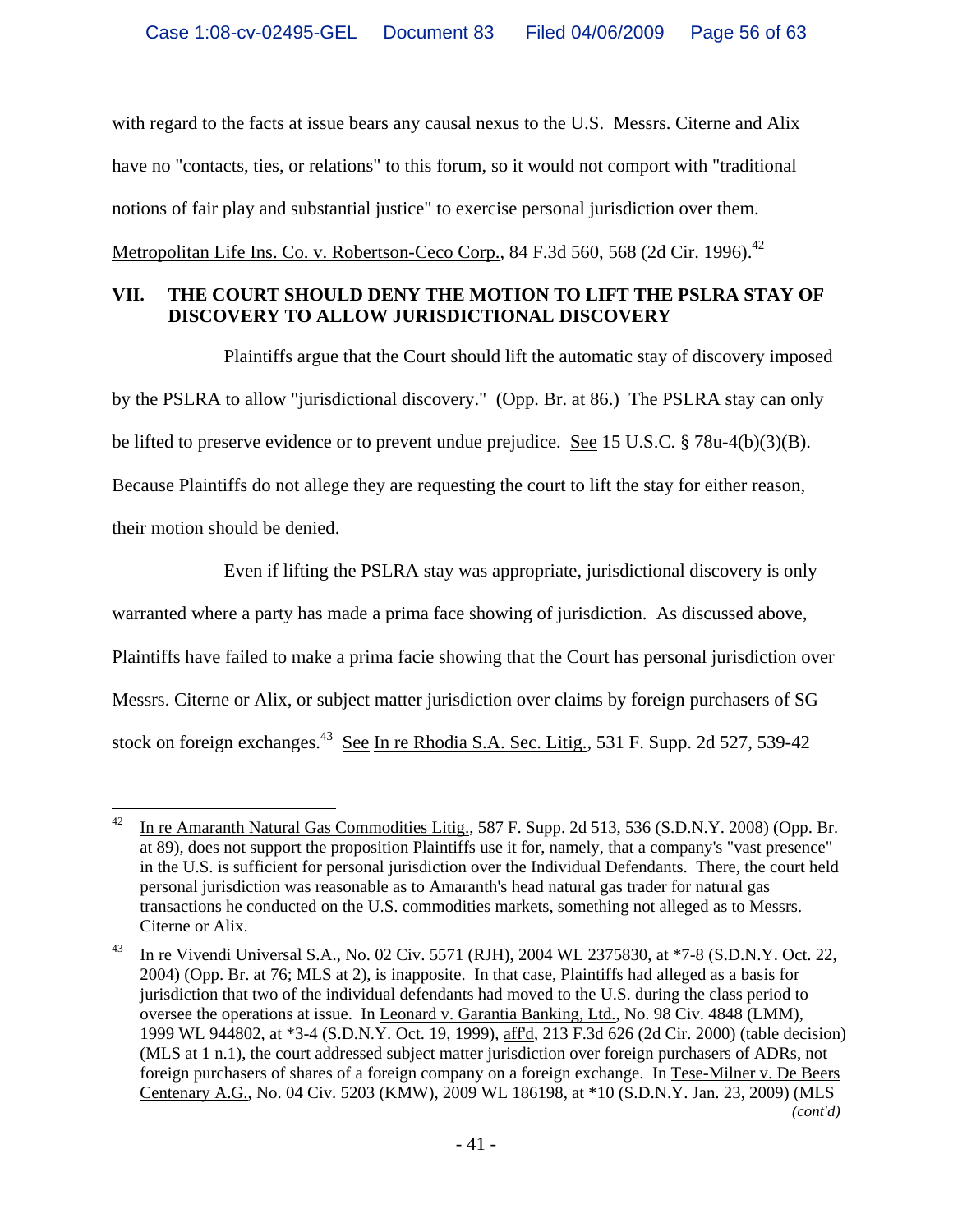with regard to the facts at issue bears any causal nexus to the U.S. Messrs. Citerne and Alix have no "contacts, ties, or relations" to this forum, so it would not comport with "traditional notions of fair play and substantial justice" to exercise personal jurisdiction over them. Metropolitan Life Ins. Co. v. Robertson-Ceco Corp., 84 F.3d 560, 568 (2d Cir. 1996).<sup>42</sup>

# **VII. THE COURT SHOULD DENY THE MOTION TO LIFT THE PSLRA STAY OF DISCOVERY TO ALLOW JURISDICTIONAL DISCOVERY**

Plaintiffs argue that the Court should lift the automatic stay of discovery imposed by the PSLRA to allow "jurisdictional discovery." (Opp. Br. at 86.) The PSLRA stay can only be lifted to preserve evidence or to prevent undue prejudice. See 15 U.S.C. § 78u-4(b)(3)(B). Because Plaintiffs do not allege they are requesting the court to lift the stay for either reason, their motion should be denied.

Even if lifting the PSLRA stay was appropriate, jurisdictional discovery is only warranted where a party has made a prima face showing of jurisdiction. As discussed above, Plaintiffs have failed to make a prima facie showing that the Court has personal jurisdiction over Messrs. Citerne or Alix, or subject matter jurisdiction over claims by foreign purchasers of SG stock on foreign exchanges.<sup>43</sup> See In re Rhodia S.A. Sec. Litig., 531 F. Supp. 2d 527, 539-42

 $42\,$ In re Amaranth Natural Gas Commodities Litig., 587 F. Supp. 2d 513, 536 (S.D.N.Y. 2008) (Opp. Br. at 89), does not support the proposition Plaintiffs use it for, namely, that a company's "vast presence" in the U.S. is sufficient for personal jurisdiction over the Individual Defendants. There, the court held personal jurisdiction was reasonable as to Amaranth's head natural gas trader for natural gas transactions he conducted on the U.S. commodities markets, something not alleged as to Messrs. Citerne or Alix.

<sup>&</sup>lt;sup>43</sup> In re Vivendi Universal S.A., No. 02 Civ. 5571 (RJH), 2004 WL 2375830, at \*7-8 (S.D.N.Y. Oct. 22, 2004) (Opp. Br. at 76; MLS at 2), is inapposite. In that case, Plaintiffs had alleged as a basis for jurisdiction that two of the individual defendants had moved to the U.S. during the class period to oversee the operations at issue. In Leonard v. Garantia Banking, Ltd., No. 98 Civ. 4848 (LMM), 1999 WL 944802, at \*3-4 (S.D.N.Y. Oct. 19, 1999), aff'd, 213 F.3d 626 (2d Cir. 2000) (table decision) (MLS at 1 n.1), the court addressed subject matter jurisdiction over foreign purchasers of ADRs, not foreign purchasers of shares of a foreign company on a foreign exchange. In Tese-Milner v. De Beers Centenary A.G., No. 04 Civ. 5203 (KMW), 2009 WL 186198, at \*10 (S.D.N.Y. Jan. 23, 2009) (MLS *(cont'd)*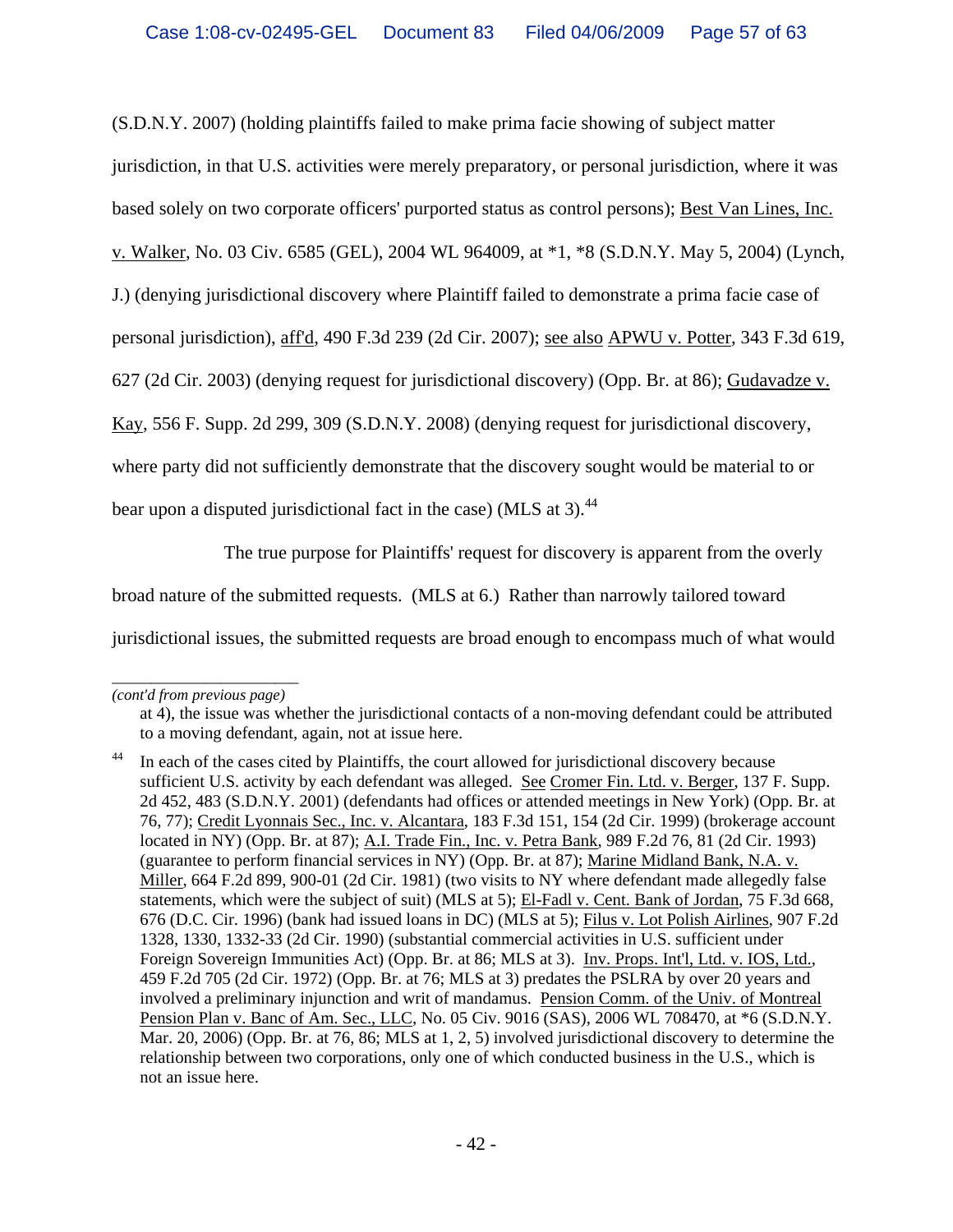(S.D.N.Y. 2007) (holding plaintiffs failed to make prima facie showing of subject matter

jurisdiction, in that U.S. activities were merely preparatory, or personal jurisdiction, where it was

based solely on two corporate officers' purported status as control persons); Best Van Lines, Inc.

v. Walker, No. 03 Civ. 6585 (GEL), 2004 WL 964009, at \*1, \*8 (S.D.N.Y. May 5, 2004) (Lynch,

J.) (denying jurisdictional discovery where Plaintiff failed to demonstrate a prima facie case of

personal jurisdiction), aff'd, 490 F.3d 239 (2d Cir. 2007); see also APWU v. Potter, 343 F.3d 619,

627 (2d Cir. 2003) (denying request for jurisdictional discovery) (Opp. Br. at 86); Gudavadze v.

Kay, 556 F. Supp. 2d 299, 309 (S.D.N.Y. 2008) (denying request for jurisdictional discovery,

where party did not sufficiently demonstrate that the discovery sought would be material to or

bear upon a disputed jurisdictional fact in the case) (MLS at 3).<sup>44</sup>

The true purpose for Plaintiffs' request for discovery is apparent from the overly

broad nature of the submitted requests. (MLS at 6.) Rather than narrowly tailored toward

jurisdictional issues, the submitted requests are broad enough to encompass much of what would

*\_\_\_\_\_\_\_\_\_\_\_\_\_\_\_\_\_\_\_\_\_\_\_\_ (cont'd from previous page)*

at 4), the issue was whether the jurisdictional contacts of a non-moving defendant could be attributed to a moving defendant, again, not at issue here.

<sup>&</sup>lt;sup>44</sup> In each of the cases cited by Plaintiffs, the court allowed for jurisdictional discovery because sufficient U.S. activity by each defendant was alleged. See Cromer Fin. Ltd. v. Berger, 137 F. Supp. 2d 452, 483 (S.D.N.Y. 2001) (defendants had offices or attended meetings in New York) (Opp. Br. at 76, 77); Credit Lyonnais Sec., Inc. v. Alcantara, 183 F.3d 151, 154 (2d Cir. 1999) (brokerage account located in NY) (Opp. Br. at 87); A.I. Trade Fin., Inc. v. Petra Bank, 989 F.2d 76, 81 (2d Cir. 1993) (guarantee to perform financial services in NY) (Opp. Br. at 87); Marine Midland Bank, N.A. v. Miller, 664 F.2d 899, 900-01 (2d Cir. 1981) (two visits to NY where defendant made allegedly false statements, which were the subject of suit) (MLS at 5); El-Fadl v. Cent. Bank of Jordan, 75 F.3d 668, 676 (D.C. Cir. 1996) (bank had issued loans in DC) (MLS at 5); Filus v. Lot Polish Airlines, 907 F.2d 1328, 1330, 1332-33 (2d Cir. 1990) (substantial commercial activities in U.S. sufficient under Foreign Sovereign Immunities Act) (Opp. Br. at 86; MLS at 3). Inv. Props. Int'l, Ltd. v. IOS, Ltd., 459 F.2d 705 (2d Cir. 1972) (Opp. Br. at 76; MLS at 3) predates the PSLRA by over 20 years and involved a preliminary injunction and writ of mandamus. Pension Comm. of the Univ. of Montreal Pension Plan v. Banc of Am. Sec., LLC, No. 05 Civ. 9016 (SAS), 2006 WL 708470, at \*6 (S.D.N.Y. Mar. 20, 2006) (Opp. Br. at 76, 86; MLS at 1, 2, 5) involved jurisdictional discovery to determine the relationship between two corporations, only one of which conducted business in the U.S., which is not an issue here.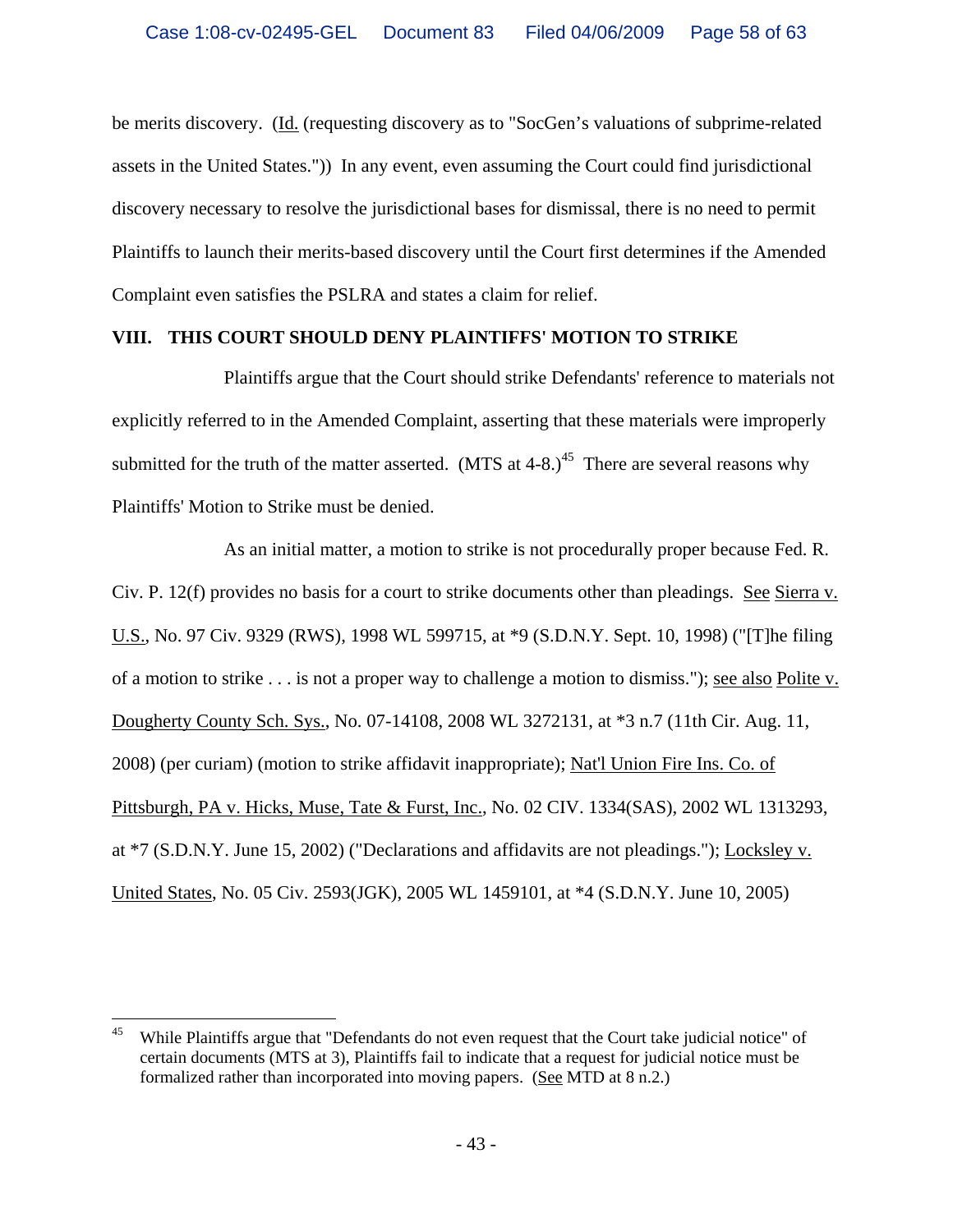be merits discovery. (Id. (requesting discovery as to "SocGen's valuations of subprime-related assets in the United States.")) In any event, even assuming the Court could find jurisdictional discovery necessary to resolve the jurisdictional bases for dismissal, there is no need to permit Plaintiffs to launch their merits-based discovery until the Court first determines if the Amended Complaint even satisfies the PSLRA and states a claim for relief.

#### **VIII. THIS COURT SHOULD DENY PLAINTIFFS' MOTION TO STRIKE**

Plaintiffs argue that the Court should strike Defendants' reference to materials not explicitly referred to in the Amended Complaint, asserting that these materials were improperly submitted for the truth of the matter asserted. (MTS at  $4-8$ .)<sup>45</sup> There are several reasons why Plaintiffs' Motion to Strike must be denied.

As an initial matter, a motion to strike is not procedurally proper because Fed. R. Civ. P. 12(f) provides no basis for a court to strike documents other than pleadings. See Sierra v. U.S., No. 97 Civ. 9329 (RWS), 1998 WL 599715, at \*9 (S.D.N.Y. Sept. 10, 1998) ("[T]he filing of a motion to strike . . . is not a proper way to challenge a motion to dismiss."); see also Polite v. Dougherty County Sch. Sys., No. 07-14108, 2008 WL 3272131, at \*3 n.7 (11th Cir. Aug. 11, 2008) (per curiam) (motion to strike affidavit inappropriate); Nat'l Union Fire Ins. Co. of Pittsburgh, PA v. Hicks, Muse, Tate & Furst, Inc., No. 02 CIV. 1334(SAS), 2002 WL 1313293, at \*7 (S.D.N.Y. June 15, 2002) ("Declarations and affidavits are not pleadings."); Locksley v. United States, No. 05 Civ. 2593(JGK), 2005 WL 1459101, at \*4 (S.D.N.Y. June 10, 2005)

 $\overline{a}$ 

<sup>&</sup>lt;sup>45</sup> While Plaintiffs argue that "Defendants do not even request that the Court take judicial notice" of certain documents (MTS at 3), Plaintiffs fail to indicate that a request for judicial notice must be formalized rather than incorporated into moving papers. (See MTD at 8 n.2.)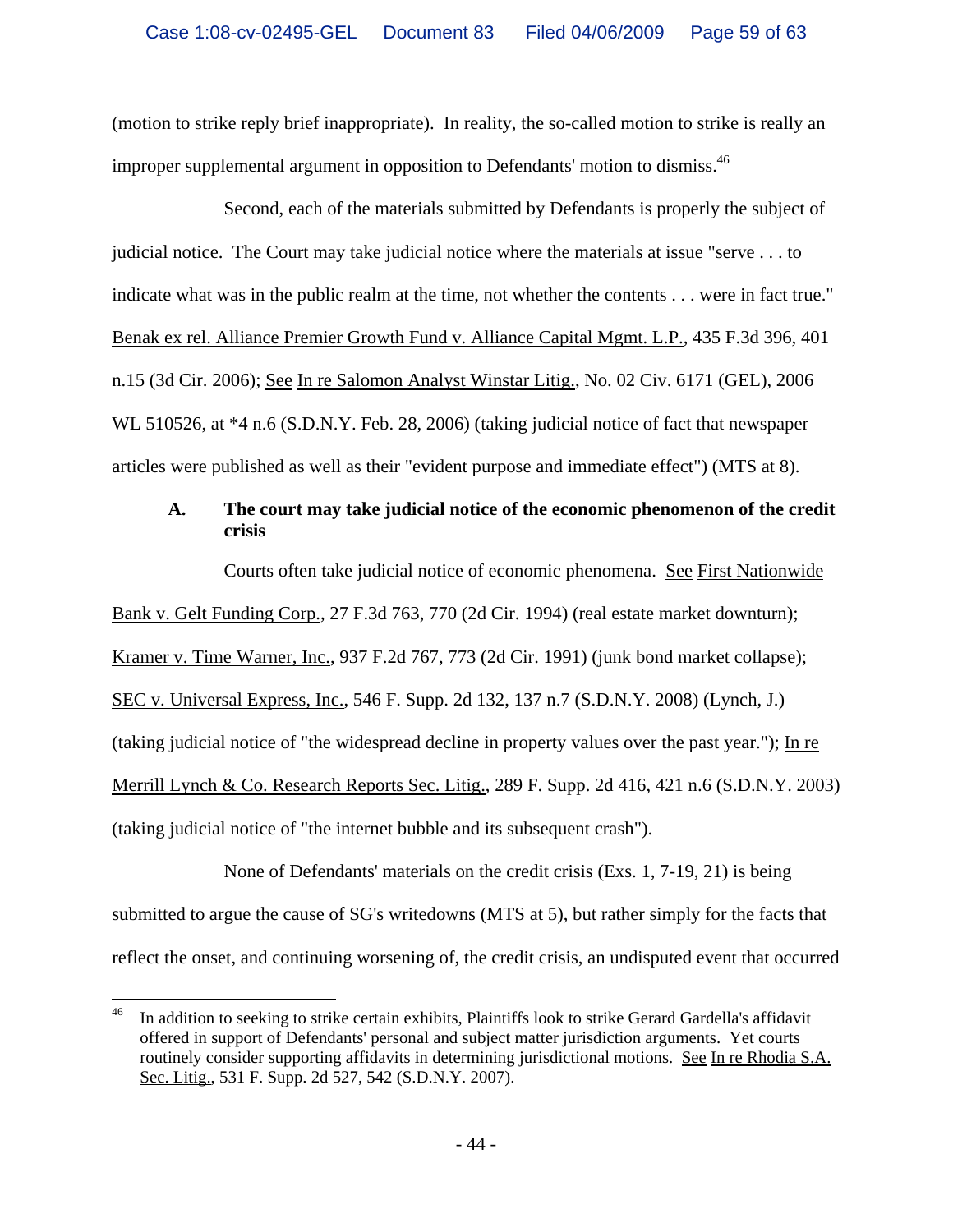(motion to strike reply brief inappropriate). In reality, the so-called motion to strike is really an improper supplemental argument in opposition to Defendants' motion to dismiss.<sup>46</sup>

Second, each of the materials submitted by Defendants is properly the subject of judicial notice. The Court may take judicial notice where the materials at issue "serve . . . to indicate what was in the public realm at the time, not whether the contents . . . were in fact true." Benak ex rel. Alliance Premier Growth Fund v. Alliance Capital Mgmt. L.P., 435 F.3d 396, 401 n.15 (3d Cir. 2006); See In re Salomon Analyst Winstar Litig., No. 02 Civ. 6171 (GEL), 2006 WL 510526, at  $*4$  n.6 (S.D.N.Y. Feb. 28, 2006) (taking judicial notice of fact that newspaper articles were published as well as their "evident purpose and immediate effect") (MTS at 8).

# **A. The court may take judicial notice of the economic phenomenon of the credit crisis**

Courts often take judicial notice of economic phenomena. See First Nationwide Bank v. Gelt Funding Corp., 27 F.3d 763, 770 (2d Cir. 1994) (real estate market downturn); Kramer v. Time Warner, Inc., 937 F.2d 767, 773 (2d Cir. 1991) (junk bond market collapse); SEC v. Universal Express, Inc., 546 F. Supp. 2d 132, 137 n.7 (S.D.N.Y. 2008) (Lynch, J.) (taking judicial notice of "the widespread decline in property values over the past year."); In re Merrill Lynch & Co. Research Reports Sec. Litig., 289 F. Supp. 2d 416, 421 n.6 (S.D.N.Y. 2003) (taking judicial notice of "the internet bubble and its subsequent crash").

None of Defendants' materials on the credit crisis (Exs. 1, 7-19, 21) is being submitted to argue the cause of SG's writedowns (MTS at 5), but rather simply for the facts that reflect the onset, and continuing worsening of, the credit crisis, an undisputed event that occurred

 $\overline{a}$ <sup>46</sup> In addition to seeking to strike certain exhibits, Plaintiffs look to strike Gerard Gardella's affidavit offered in support of Defendants' personal and subject matter jurisdiction arguments. Yet courts routinely consider supporting affidavits in determining jurisdictional motions. See In re Rhodia S.A. Sec. Litig., 531 F. Supp. 2d 527, 542 (S.D.N.Y. 2007).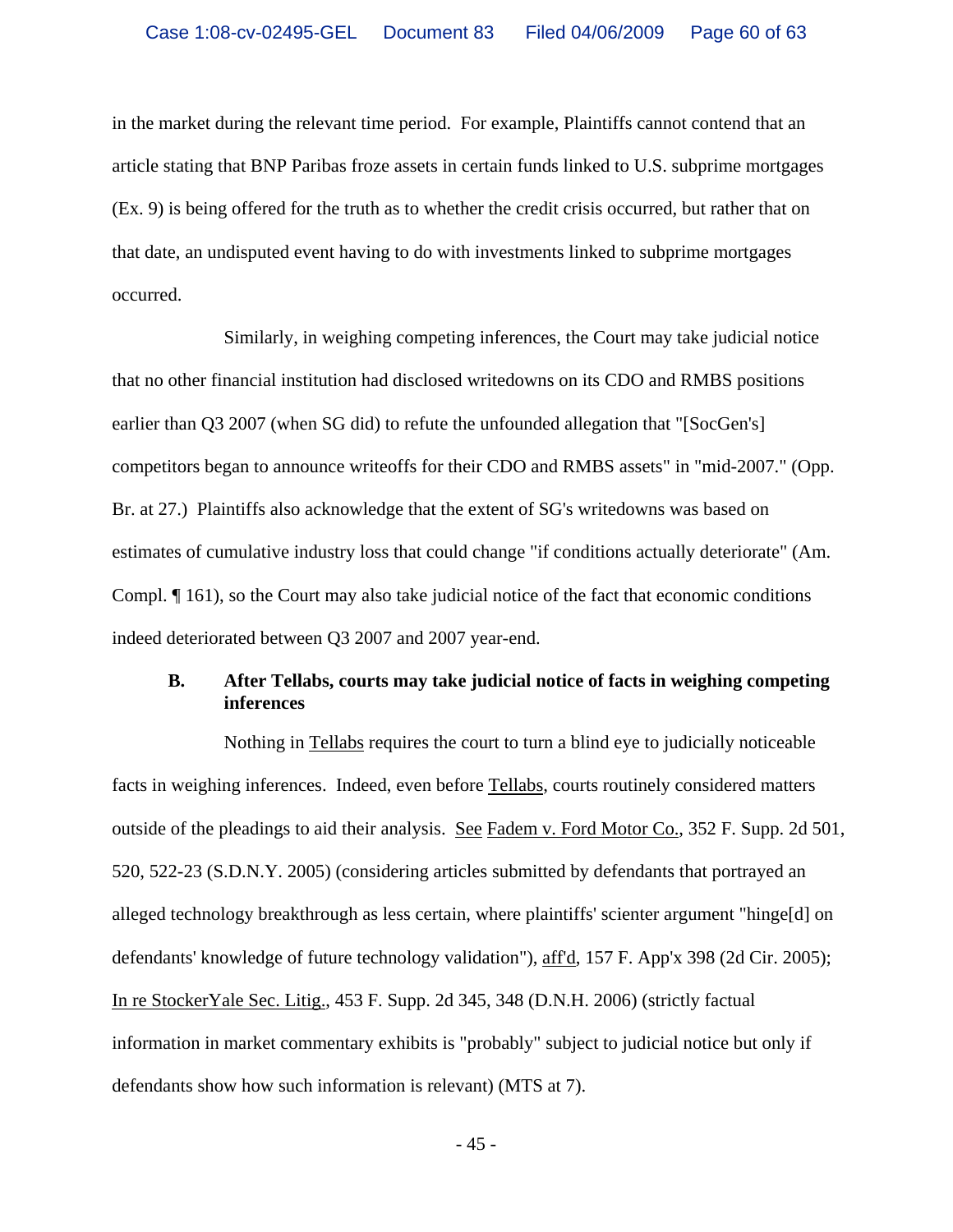in the market during the relevant time period. For example, Plaintiffs cannot contend that an article stating that BNP Paribas froze assets in certain funds linked to U.S. subprime mortgages (Ex. 9) is being offered for the truth as to whether the credit crisis occurred, but rather that on that date, an undisputed event having to do with investments linked to subprime mortgages occurred.

Similarly, in weighing competing inferences, the Court may take judicial notice that no other financial institution had disclosed writedowns on its CDO and RMBS positions earlier than Q3 2007 (when SG did) to refute the unfounded allegation that "[SocGen's] competitors began to announce writeoffs for their CDO and RMBS assets" in "mid-2007." (Opp. Br. at 27.) Plaintiffs also acknowledge that the extent of SG's writedowns was based on estimates of cumulative industry loss that could change "if conditions actually deteriorate" (Am. Compl. ¶ 161), so the Court may also take judicial notice of the fact that economic conditions indeed deteriorated between Q3 2007 and 2007 year-end.

#### **B. After Tellabs, courts may take judicial notice of facts in weighing competing inferences**

Nothing in Tellabs requires the court to turn a blind eye to judicially noticeable facts in weighing inferences. Indeed, even before Tellabs, courts routinely considered matters outside of the pleadings to aid their analysis. See Fadem v. Ford Motor Co., 352 F. Supp. 2d 501, 520, 522-23 (S.D.N.Y. 2005) (considering articles submitted by defendants that portrayed an alleged technology breakthrough as less certain, where plaintiffs' scienter argument "hinge[d] on defendants' knowledge of future technology validation"), aff'd, 157 F. App'x 398 (2d Cir. 2005); In re StockerYale Sec. Litig., 453 F. Supp. 2d 345, 348 (D.N.H. 2006) (strictly factual information in market commentary exhibits is "probably" subject to judicial notice but only if defendants show how such information is relevant) (MTS at 7).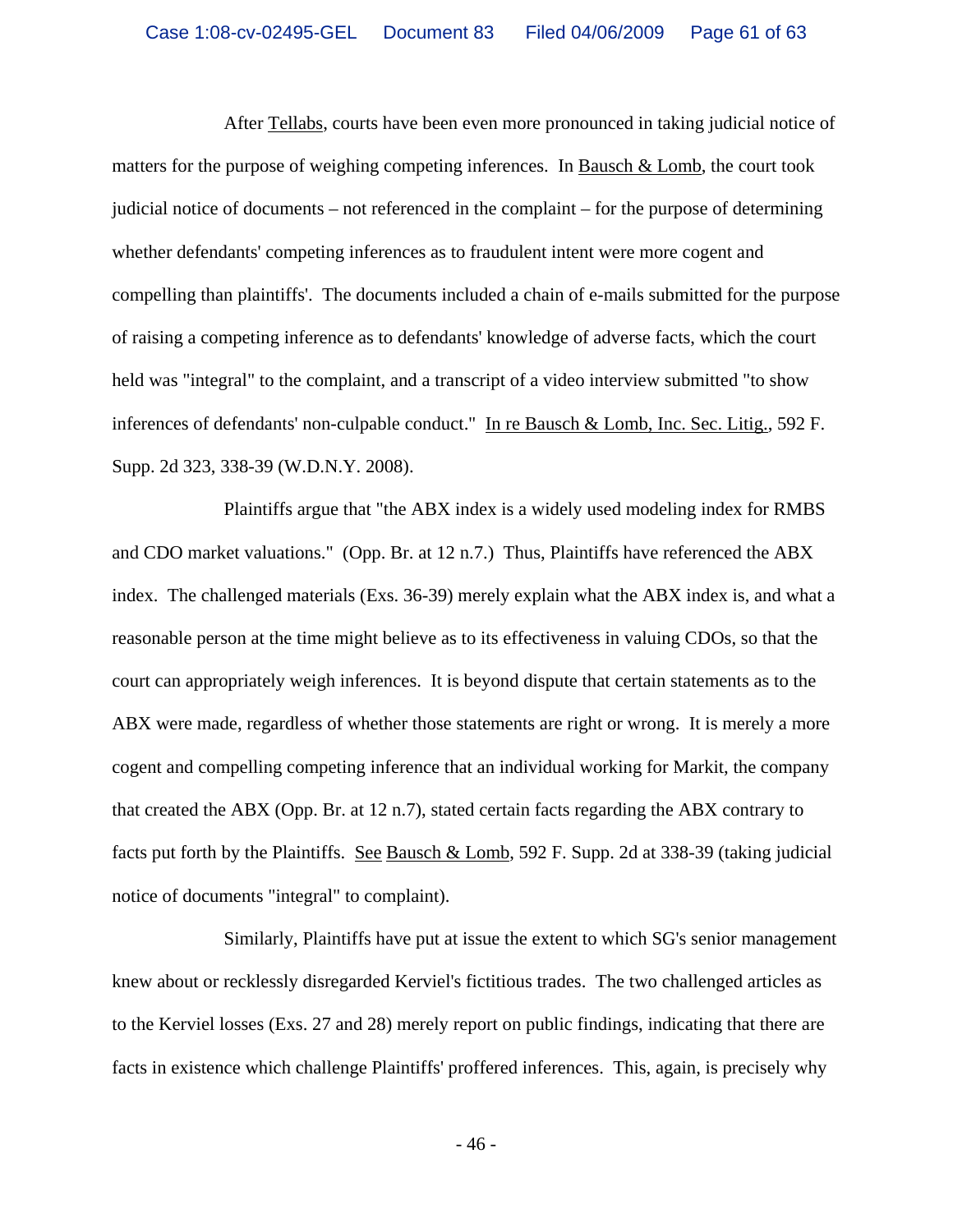After Tellabs, courts have been even more pronounced in taking judicial notice of matters for the purpose of weighing competing inferences. In Bausch & Lomb, the court took judicial notice of documents – not referenced in the complaint – for the purpose of determining whether defendants' competing inferences as to fraudulent intent were more cogent and compelling than plaintiffs'. The documents included a chain of e-mails submitted for the purpose of raising a competing inference as to defendants' knowledge of adverse facts, which the court held was "integral" to the complaint, and a transcript of a video interview submitted "to show inferences of defendants' non-culpable conduct." In re Bausch & Lomb, Inc. Sec. Litig., 592 F. Supp. 2d 323, 338-39 (W.D.N.Y. 2008).

Plaintiffs argue that "the ABX index is a widely used modeling index for RMBS and CDO market valuations." (Opp. Br. at 12 n.7.) Thus, Plaintiffs have referenced the ABX index. The challenged materials (Exs. 36-39) merely explain what the ABX index is, and what a reasonable person at the time might believe as to its effectiveness in valuing CDOs, so that the court can appropriately weigh inferences. It is beyond dispute that certain statements as to the ABX were made, regardless of whether those statements are right or wrong. It is merely a more cogent and compelling competing inference that an individual working for Markit, the company that created the ABX (Opp. Br. at 12 n.7), stated certain facts regarding the ABX contrary to facts put forth by the Plaintiffs. See Bausch & Lomb, 592 F. Supp. 2d at 338-39 (taking judicial notice of documents "integral" to complaint).

Similarly, Plaintiffs have put at issue the extent to which SG's senior management knew about or recklessly disregarded Kerviel's fictitious trades. The two challenged articles as to the Kerviel losses (Exs. 27 and 28) merely report on public findings, indicating that there are facts in existence which challenge Plaintiffs' proffered inferences. This, again, is precisely why

 $-46-$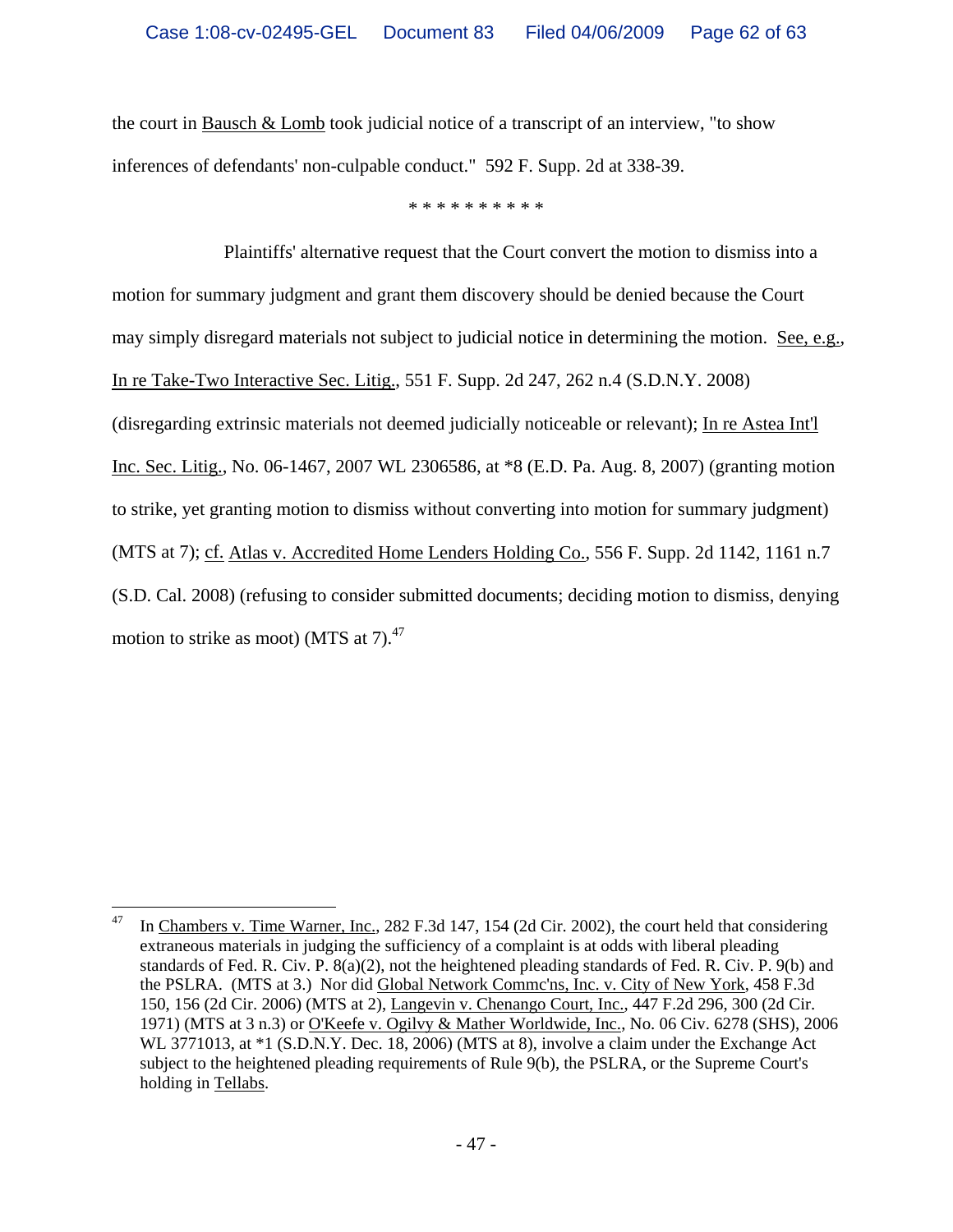the court in Bausch  $\&$  Lomb took judicial notice of a transcript of an interview, "to show inferences of defendants' non-culpable conduct." 592 F. Supp. 2d at 338-39.

\* \* \* \* \* \* \* \* \* \*

Plaintiffs' alternative request that the Court convert the motion to dismiss into a motion for summary judgment and grant them discovery should be denied because the Court may simply disregard materials not subject to judicial notice in determining the motion. See, e.g., In re Take-Two Interactive Sec. Litig., 551 F. Supp. 2d 247, 262 n.4 (S.D.N.Y. 2008) (disregarding extrinsic materials not deemed judicially noticeable or relevant); In re Astea Int'l Inc. Sec. Litig., No. 06-1467, 2007 WL 2306586, at \*8 (E.D. Pa. Aug. 8, 2007) (granting motion to strike, yet granting motion to dismiss without converting into motion for summary judgment) (MTS at 7); cf. Atlas v. Accredited Home Lenders Holding Co., 556 F. Supp. 2d 1142, 1161 n.7 (S.D. Cal. 2008) (refusing to consider submitted documents; deciding motion to dismiss, denying motion to strike as moot) (MTS at  $7$ ).<sup>47</sup>

 $\overline{a}$ 47 In Chambers v. Time Warner, Inc., 282 F.3d 147, 154 (2d Cir. 2002), the court held that considering extraneous materials in judging the sufficiency of a complaint is at odds with liberal pleading standards of Fed. R. Civ. P. 8(a)(2), not the heightened pleading standards of Fed. R. Civ. P. 9(b) and the PSLRA. (MTS at 3.) Nor did Global Network Commc'ns, Inc. v. City of New York, 458 F.3d 150, 156 (2d Cir. 2006) (MTS at 2), Langevin v. Chenango Court, Inc., 447 F.2d 296, 300 (2d Cir. 1971) (MTS at 3 n.3) or O'Keefe v. Ogilvy & Mather Worldwide, Inc., No. 06 Civ. 6278 (SHS), 2006 WL 3771013, at \*1 (S.D.N.Y. Dec. 18, 2006) (MTS at 8), involve a claim under the Exchange Act subject to the heightened pleading requirements of Rule 9(b), the PSLRA, or the Supreme Court's holding in Tellabs.